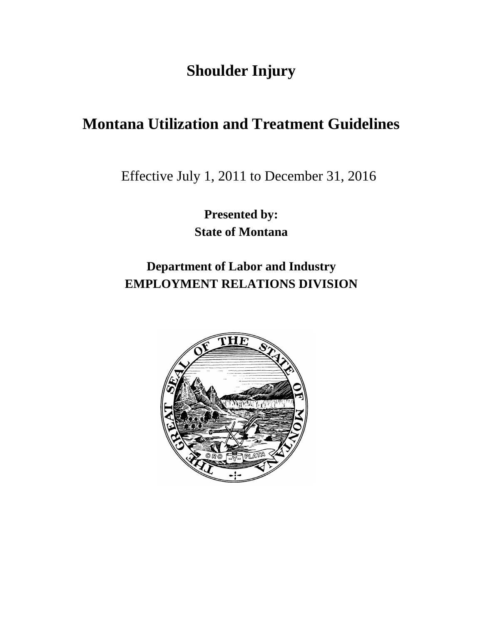# **Shoulder Injury**

# **Montana Utilization and Treatment Guidelines**

**Effective July 1, 2011** Effective July 1, 2011 to December 31, 2016

**Presented by: State of Montana**

**Department of Labor and Industry EMPLOYMENT RELATIONS DIVISION**

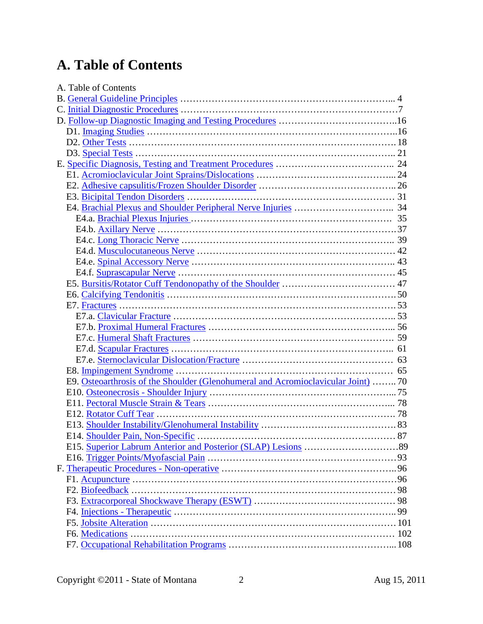# **A. Table of Contents**

| A. Table of Contents                                                             |  |
|----------------------------------------------------------------------------------|--|
|                                                                                  |  |
|                                                                                  |  |
|                                                                                  |  |
|                                                                                  |  |
|                                                                                  |  |
|                                                                                  |  |
|                                                                                  |  |
|                                                                                  |  |
|                                                                                  |  |
|                                                                                  |  |
|                                                                                  |  |
|                                                                                  |  |
|                                                                                  |  |
|                                                                                  |  |
|                                                                                  |  |
|                                                                                  |  |
|                                                                                  |  |
|                                                                                  |  |
|                                                                                  |  |
|                                                                                  |  |
|                                                                                  |  |
|                                                                                  |  |
|                                                                                  |  |
|                                                                                  |  |
|                                                                                  |  |
|                                                                                  |  |
| E9. Osteoarthrosis of the Shoulder (Glenohumeral and Acromioclavicular Joint) 70 |  |
|                                                                                  |  |
|                                                                                  |  |
|                                                                                  |  |
|                                                                                  |  |
| E14. Shoulder Pain, Non-Specific                                                 |  |
|                                                                                  |  |
|                                                                                  |  |
|                                                                                  |  |
|                                                                                  |  |
|                                                                                  |  |
|                                                                                  |  |
|                                                                                  |  |
|                                                                                  |  |
|                                                                                  |  |
|                                                                                  |  |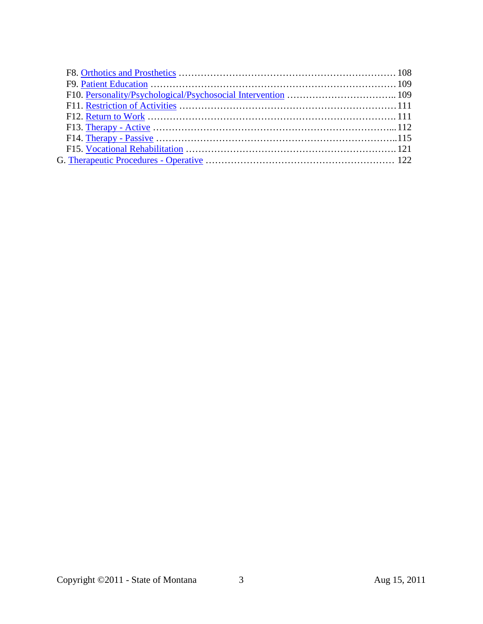| F9. Patient Education $\ldots$ $\ldots$ $\ldots$ $\ldots$ $\ldots$ $\ldots$ $\ldots$ $\ldots$ $\ldots$ $\ldots$ $\ldots$ $\ldots$ $\ldots$ $\ldots$ $\ldots$ $\ldots$ $\ldots$ $\ldots$ $\ldots$ $\ldots$ $\ldots$ $\ldots$ $\ldots$ $\ldots$ $\ldots$ $\ldots$ $\ldots$ $\ldots$ $\ldots$ $\ldots$ $\ldots$ $\ldots$ $\ldots$ |  |
|--------------------------------------------------------------------------------------------------------------------------------------------------------------------------------------------------------------------------------------------------------------------------------------------------------------------------------|--|
|                                                                                                                                                                                                                                                                                                                                |  |
|                                                                                                                                                                                                                                                                                                                                |  |
|                                                                                                                                                                                                                                                                                                                                |  |
|                                                                                                                                                                                                                                                                                                                                |  |
|                                                                                                                                                                                                                                                                                                                                |  |
|                                                                                                                                                                                                                                                                                                                                |  |
|                                                                                                                                                                                                                                                                                                                                |  |
|                                                                                                                                                                                                                                                                                                                                |  |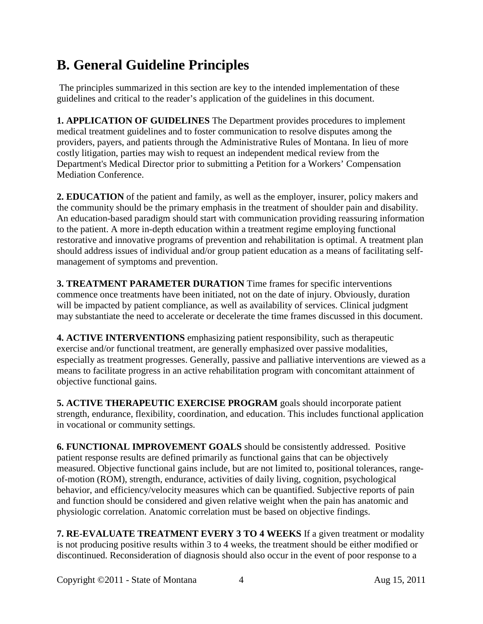# <span id="page-3-0"></span>**B. General Guideline Principles**

The principles summarized in this section are key to the intended implementation of these guidelines and critical to the reader's application of the guidelines in this document.

**1. APPLICATION OF GUIDELINES** The Department provides procedures to implement medical treatment guidelines and to foster communication to resolve disputes among the providers, payers, and patients through the Administrative Rules of Montana. In lieu of more costly litigation, parties may wish to request an independent medical review from the Department's Medical Director prior to submitting a Petition for a Workers' Compensation Mediation Conference.

**2. EDUCATION** of the patient and family, as well as the employer, insurer, policy makers and the community should be the primary emphasis in the treatment of shoulder pain and disability. An education-based paradigm should start with communication providing reassuring information to the patient. A more in-depth education within a treatment regime employing functional restorative and innovative programs of prevention and rehabilitation is optimal. A treatment plan should address issues of individual and/or group patient education as a means of facilitating selfmanagement of symptoms and prevention.

**3. TREATMENT PARAMETER DURATION** Time frames for specific interventions commence once treatments have been initiated, not on the date of injury. Obviously, duration will be impacted by patient compliance, as well as availability of services. Clinical judgment may substantiate the need to accelerate or decelerate the time frames discussed in this document.

**4. ACTIVE INTERVENTIONS** emphasizing patient responsibility, such as therapeutic exercise and/or functional treatment, are generally emphasized over passive modalities, especially as treatment progresses. Generally, passive and palliative interventions are viewed as a means to facilitate progress in an active rehabilitation program with concomitant attainment of objective functional gains.

**5. ACTIVE THERAPEUTIC EXERCISE PROGRAM** goals should incorporate patient strength, endurance, flexibility, coordination, and education. This includes functional application in vocational or community settings.

**6. FUNCTIONAL IMPROVEMENT GOALS** should be consistently addressed. Positive patient response results are defined primarily as functional gains that can be objectively measured. Objective functional gains include, but are not limited to, positional tolerances, rangeof-motion (ROM), strength, endurance, activities of daily living, cognition, psychological behavior, and efficiency/velocity measures which can be quantified. Subjective reports of pain and function should be considered and given relative weight when the pain has anatomic and physiologic correlation. Anatomic correlation must be based on objective findings.

**7. RE-EVALUATE TREATMENT EVERY 3 TO 4 WEEKS** If a given treatment or modality is not producing positive results within 3 to 4 weeks, the treatment should be either modified or discontinued. Reconsideration of diagnosis should also occur in the event of poor response to a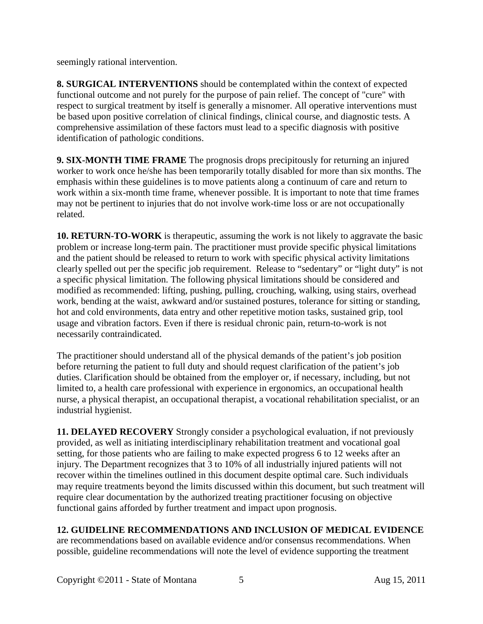seemingly rational intervention.

**8. SURGICAL INTERVENTIONS** should be contemplated within the context of expected functional outcome and not purely for the purpose of pain relief. The concept of "cure" with respect to surgical treatment by itself is generally a misnomer. All operative interventions must be based upon positive correlation of clinical findings, clinical course, and diagnostic tests. A comprehensive assimilation of these factors must lead to a specific diagnosis with positive identification of pathologic conditions.

**9. SIX-MONTH TIME FRAME** The prognosis drops precipitously for returning an injured worker to work once he/she has been temporarily totally disabled for more than six months. The emphasis within these guidelines is to move patients along a continuum of care and return to work within a six-month time frame, whenever possible. It is important to note that time frames may not be pertinent to injuries that do not involve work-time loss or are not occupationally related.

**10. RETURN-TO-WORK** is therapeutic, assuming the work is not likely to aggravate the basic problem or increase long-term pain. The practitioner must provide specific physical limitations and the patient should be released to return to work with specific physical activity limitations clearly spelled out per the specific job requirement. Release to "sedentary" or "light duty" is not a specific physical limitation. The following physical limitations should be considered and modified as recommended: lifting, pushing, pulling, crouching, walking, using stairs, overhead work, bending at the waist, awkward and/or sustained postures, tolerance for sitting or standing, hot and cold environments, data entry and other repetitive motion tasks, sustained grip, tool usage and vibration factors. Even if there is residual chronic pain, return-to-work is not necessarily contraindicated.

The practitioner should understand all of the physical demands of the patient's job position before returning the patient to full duty and should request clarification of the patient's job duties. Clarification should be obtained from the employer or, if necessary, including, but not limited to, a health care professional with experience in ergonomics, an occupational health nurse, a physical therapist, an occupational therapist, a vocational rehabilitation specialist, or an industrial hygienist.

**11. DELAYED RECOVERY** Strongly consider a psychological evaluation, if not previously provided, as well as initiating interdisciplinary rehabilitation treatment and vocational goal setting, for those patients who are failing to make expected progress 6 to 12 weeks after an injury. The Department recognizes that 3 to 10% of all industrially injured patients will not recover within the timelines outlined in this document despite optimal care. Such individuals may require treatments beyond the limits discussed within this document, but such treatment will require clear documentation by the authorized treating practitioner focusing on objective functional gains afforded by further treatment and impact upon prognosis.

## **12. GUIDELINE RECOMMENDATIONS AND INCLUSION OF MEDICAL EVIDENCE**

are recommendations based on available evidence and/or consensus recommendations. When possible, guideline recommendations will note the level of evidence supporting the treatment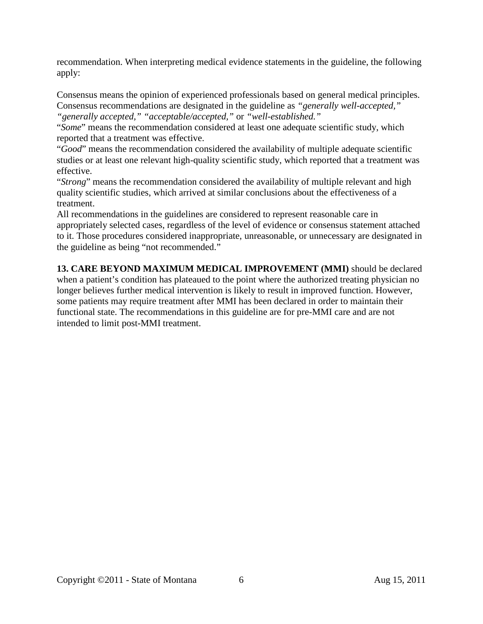recommendation. When interpreting medical evidence statements in the guideline, the following apply:

Consensus means the opinion of experienced professionals based on general medical principles. Consensus recommendations are designated in the guideline as *"generally well-accepted," "generally accepted," "acceptable/accepted,"* or *"well-established."*

"*Some*" means the recommendation considered at least one adequate scientific study, which reported that a treatment was effective.

"*Good*" means the recommendation considered the availability of multiple adequate scientific studies or at least one relevant high-quality scientific study, which reported that a treatment was effective.

"*Strong*" means the recommendation considered the availability of multiple relevant and high quality scientific studies, which arrived at similar conclusions about the effectiveness of a treatment.

All recommendations in the guidelines are considered to represent reasonable care in appropriately selected cases, regardless of the level of evidence or consensus statement attached to it. Those procedures considered inappropriate, unreasonable, or unnecessary are designated in the guideline as being "not recommended."

**13. CARE BEYOND MAXIMUM MEDICAL IMPROVEMENT (MMI)** should be declared when a patient's condition has plateaued to the point where the authorized treating physician no longer believes further medical intervention is likely to result in improved function. However, some patients may require treatment after MMI has been declared in order to maintain their functional state. The recommendations in this guideline are for pre-MMI care and are not intended to limit post-MMI treatment.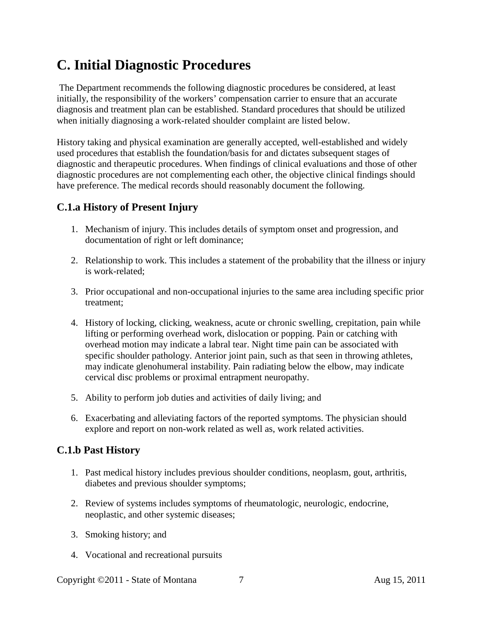# <span id="page-6-0"></span>**C. Initial Diagnostic Procedures**

The Department recommends the following diagnostic procedures be considered, at least initially, the responsibility of the workers' compensation carrier to ensure that an accurate diagnosis and treatment plan can be established. Standard procedures that should be utilized when initially diagnosing a work-related shoulder complaint are listed below.

History taking and physical examination are generally accepted, well-established and widely used procedures that establish the foundation/basis for and dictates subsequent stages of diagnostic and therapeutic procedures. When findings of clinical evaluations and those of other diagnostic procedures are not complementing each other, the objective clinical findings should have preference. The medical records should reasonably document the following.

### **C.1.a History of Present Injury**

- 1. Mechanism of injury. This includes details of symptom onset and progression, and documentation of right or left dominance;
- 2. Relationship to work. This includes a statement of the probability that the illness or injury is work-related;
- 3. Prior occupational and non-occupational injuries to the same area including specific prior treatment;
- 4. History of locking, clicking, weakness, acute or chronic swelling, crepitation, pain while lifting or performing overhead work, dislocation or popping. Pain or catching with overhead motion may indicate a labral tear. Night time pain can be associated with specific shoulder pathology. Anterior joint pain, such as that seen in throwing athletes, may indicate glenohumeral instability. Pain radiating below the elbow, may indicate cervical disc problems or proximal entrapment neuropathy.
- 5. Ability to perform job duties and activities of daily living; and
- 6. Exacerbating and alleviating factors of the reported symptoms. The physician should explore and report on non-work related as well as, work related activities.

### **C.1.b Past History**

- 1. Past medical history includes previous shoulder conditions, neoplasm, gout, arthritis, diabetes and previous shoulder symptoms;
- 2. Review of systems includes symptoms of rheumatologic, neurologic, endocrine, neoplastic, and other systemic diseases;
- 3. Smoking history; and
- 4. Vocational and recreational pursuits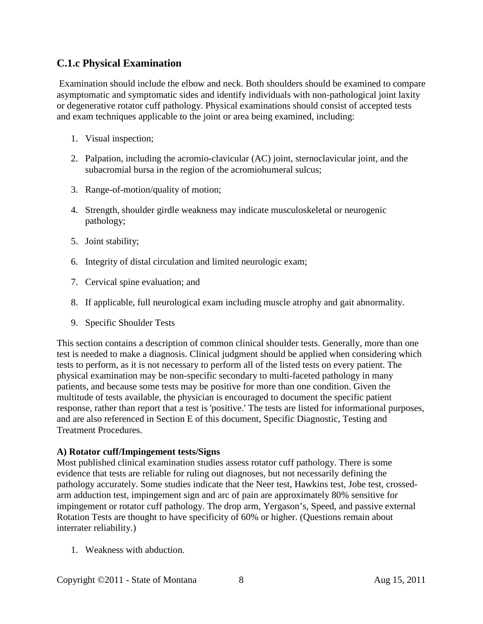### **C.1.c Physical Examination**

Examination should include the elbow and neck. Both shoulders should be examined to compare asymptomatic and symptomatic sides and identify individuals with non-pathological joint laxity or degenerative rotator cuff pathology. Physical examinations should consist of accepted tests and exam techniques applicable to the joint or area being examined, including:

- 1. Visual inspection;
- 2. Palpation, including the acromio-clavicular (AC) joint, sternoclavicular joint, and the subacromial bursa in the region of the acromiohumeral sulcus;
- 3. Range-of-motion/quality of motion;
- 4. Strength, shoulder girdle weakness may indicate musculoskeletal or neurogenic pathology;
- 5. Joint stability;
- 6. Integrity of distal circulation and limited neurologic exam;
- 7. Cervical spine evaluation; and
- 8. If applicable, full neurological exam including muscle atrophy and gait abnormality.
- 9. Specific Shoulder Tests

This section contains a description of common clinical shoulder tests. Generally, more than one test is needed to make a diagnosis. Clinical judgment should be applied when considering which tests to perform, as it is not necessary to perform all of the listed tests on every patient. The physical examination may be non-specific secondary to multi-faceted pathology in many patients, and because some tests may be positive for more than one condition. Given the multitude of tests available, the physician is encouraged to document the specific patient response, rather than report that a test is 'positive.' The tests are listed for informational purposes, and are also referenced in Section E of this document, Specific Diagnostic, Testing and Treatment Procedures.

#### **A) Rotator cuff/Impingement tests/Signs**

Most published clinical examination studies assess rotator cuff pathology. There is some evidence that tests are reliable for ruling out diagnoses, but not necessarily defining the pathology accurately. Some studies indicate that the Neer test, Hawkins test, Jobe test, crossedarm adduction test, impingement sign and arc of pain are approximately 80% sensitive for impingement or rotator cuff pathology. The drop arm, Yergason's, Speed, and passive external Rotation Tests are thought to have specificity of 60% or higher. (Questions remain about interrater reliability.)

1. Weakness with abduction.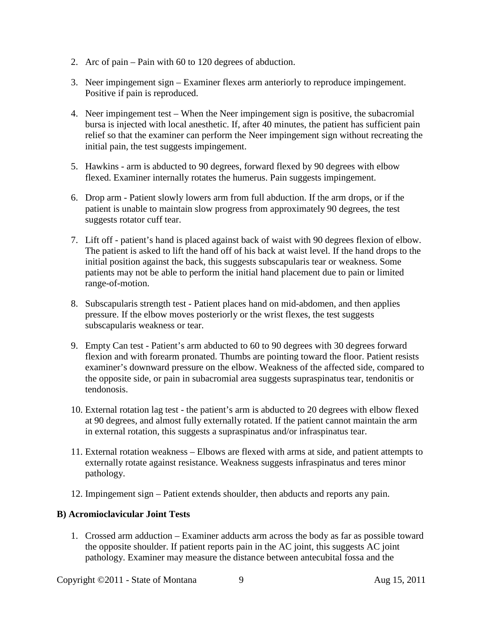- 2. Arc of pain Pain with 60 to 120 degrees of abduction.
- 3. Neer impingement sign Examiner flexes arm anteriorly to reproduce impingement. Positive if pain is reproduced.
- 4. Neer impingement test When the Neer impingement sign is positive, the subacromial bursa is injected with local anesthetic. If, after 40 minutes, the patient has sufficient pain relief so that the examiner can perform the Neer impingement sign without recreating the initial pain, the test suggests impingement.
- 5. Hawkins arm is abducted to 90 degrees, forward flexed by 90 degrees with elbow flexed. Examiner internally rotates the humerus. Pain suggests impingement.
- 6. Drop arm Patient slowly lowers arm from full abduction. If the arm drops, or if the patient is unable to maintain slow progress from approximately 90 degrees, the test suggests rotator cuff tear.
- 7. Lift off patient's hand is placed against back of waist with 90 degrees flexion of elbow. The patient is asked to lift the hand off of his back at waist level. If the hand drops to the initial position against the back, this suggests subscapularis tear or weakness. Some patients may not be able to perform the initial hand placement due to pain or limited range-of-motion.
- 8. Subscapularis strength test Patient places hand on mid-abdomen, and then applies pressure. If the elbow moves posteriorly or the wrist flexes, the test suggests subscapularis weakness or tear.
- 9. Empty Can test Patient's arm abducted to 60 to 90 degrees with 30 degrees forward flexion and with forearm pronated. Thumbs are pointing toward the floor. Patient resists examiner's downward pressure on the elbow. Weakness of the affected side, compared to the opposite side, or pain in subacromial area suggests supraspinatus tear, tendonitis or tendonosis.
- 10. External rotation lag test the patient's arm is abducted to 20 degrees with elbow flexed at 90 degrees, and almost fully externally rotated. If the patient cannot maintain the arm in external rotation, this suggests a supraspinatus and/or infraspinatus tear.
- 11. External rotation weakness Elbows are flexed with arms at side, and patient attempts to externally rotate against resistance. Weakness suggests infraspinatus and teres minor pathology.
- 12. Impingement sign Patient extends shoulder, then abducts and reports any pain.

#### **B) Acromioclavicular Joint Tests**

1. Crossed arm adduction – Examiner adducts arm across the body as far as possible toward the opposite shoulder. If patient reports pain in the AC joint, this suggests AC joint pathology. Examiner may measure the distance between antecubital fossa and the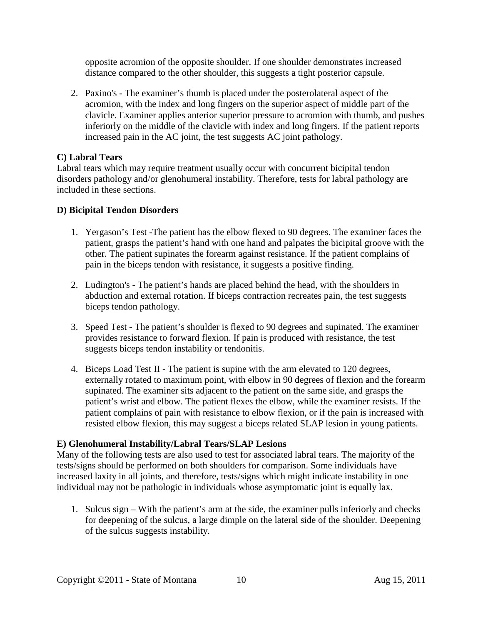opposite acromion of the opposite shoulder. If one shoulder demonstrates increased distance compared to the other shoulder, this suggests a tight posterior capsule.

2. Paxino's - The examiner's thumb is placed under the posterolateral aspect of the acromion, with the index and long fingers on the superior aspect of middle part of the clavicle. Examiner applies anterior superior pressure to acromion with thumb, and pushes inferiorly on the middle of the clavicle with index and long fingers. If the patient reports increased pain in the AC joint, the test suggests AC joint pathology.

#### **C) Labral Tears**

Labral tears which may require treatment usually occur with concurrent bicipital tendon disorders pathology and/or glenohumeral instability. Therefore, tests for labral pathology are included in these sections.

#### **D) Bicipital Tendon Disorders**

- 1. Yergason's Test -The patient has the elbow flexed to 90 degrees. The examiner faces the patient, grasps the patient's hand with one hand and palpates the bicipital groove with the other. The patient supinates the forearm against resistance. If the patient complains of pain in the biceps tendon with resistance, it suggests a positive finding.
- 2. Ludington's The patient's hands are placed behind the head, with the shoulders in abduction and external rotation. If biceps contraction recreates pain, the test suggests biceps tendon pathology.
- 3. Speed Test The patient's shoulder is flexed to 90 degrees and supinated. The examiner provides resistance to forward flexion. If pain is produced with resistance, the test suggests biceps tendon instability or tendonitis.
- 4. Biceps Load Test II The patient is supine with the arm elevated to 120 degrees, externally rotated to maximum point, with elbow in 90 degrees of flexion and the forearm supinated. The examiner sits adjacent to the patient on the same side, and grasps the patient's wrist and elbow. The patient flexes the elbow, while the examiner resists. If the patient complains of pain with resistance to elbow flexion, or if the pain is increased with resisted elbow flexion, this may suggest a biceps related SLAP lesion in young patients.

#### **E) Glenohumeral Instability/Labral Tears/SLAP Lesions**

Many of the following tests are also used to test for associated labral tears. The majority of the tests/signs should be performed on both shoulders for comparison. Some individuals have increased laxity in all joints, and therefore, tests/signs which might indicate instability in one individual may not be pathologic in individuals whose asymptomatic joint is equally lax.

1. Sulcus sign – With the patient's arm at the side, the examiner pulls inferiorly and checks for deepening of the sulcus, a large dimple on the lateral side of the shoulder. Deepening of the sulcus suggests instability.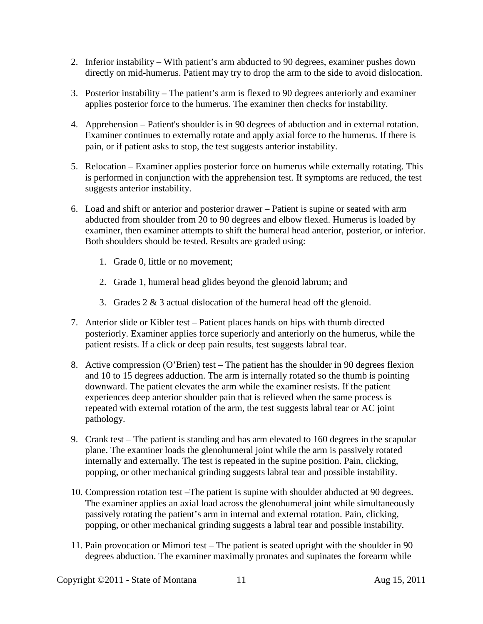- 2. Inferior instability With patient's arm abducted to 90 degrees, examiner pushes down directly on mid-humerus. Patient may try to drop the arm to the side to avoid dislocation.
- 3. Posterior instability The patient's arm is flexed to 90 degrees anteriorly and examiner applies posterior force to the humerus. The examiner then checks for instability.
- 4. Apprehension Patient's shoulder is in 90 degrees of abduction and in external rotation. Examiner continues to externally rotate and apply axial force to the humerus. If there is pain, or if patient asks to stop, the test suggests anterior instability.
- 5. Relocation Examiner applies posterior force on humerus while externally rotating. This is performed in conjunction with the apprehension test. If symptoms are reduced, the test suggests anterior instability.
- 6. Load and shift or anterior and posterior drawer Patient is supine or seated with arm abducted from shoulder from 20 to 90 degrees and elbow flexed. Humerus is loaded by examiner, then examiner attempts to shift the humeral head anterior, posterior, or inferior. Both shoulders should be tested. Results are graded using:
	- 1. Grade 0, little or no movement;
	- 2. Grade 1, humeral head glides beyond the glenoid labrum; and
	- 3. Grades 2 & 3 actual dislocation of the humeral head off the glenoid.
- 7. Anterior slide or Kibler test Patient places hands on hips with thumb directed posteriorly. Examiner applies force superiorly and anteriorly on the humerus, while the patient resists. If a click or deep pain results, test suggests labral tear.
- 8. Active compression (O'Brien) test The patient has the shoulder in 90 degrees flexion and 10 to 15 degrees adduction. The arm is internally rotated so the thumb is pointing downward. The patient elevates the arm while the examiner resists. If the patient experiences deep anterior shoulder pain that is relieved when the same process is repeated with external rotation of the arm, the test suggests labral tear or AC joint pathology.
- 9. Crank test The patient is standing and has arm elevated to 160 degrees in the scapular plane. The examiner loads the glenohumeral joint while the arm is passively rotated internally and externally. The test is repeated in the supine position. Pain, clicking, popping, or other mechanical grinding suggests labral tear and possible instability.
- 10. Compression rotation test –The patient is supine with shoulder abducted at 90 degrees. The examiner applies an axial load across the glenohumeral joint while simultaneously passively rotating the patient's arm in internal and external rotation. Pain, clicking, popping, or other mechanical grinding suggests a labral tear and possible instability.
- 11. Pain provocation or Mimori test The patient is seated upright with the shoulder in 90 degrees abduction. The examiner maximally pronates and supinates the forearm while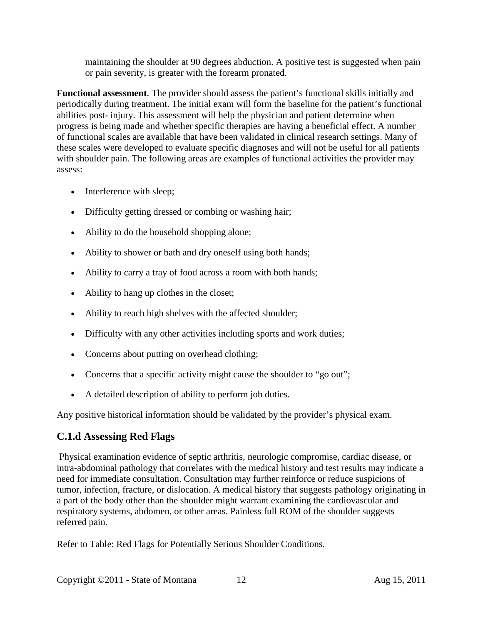maintaining the shoulder at 90 degrees abduction. A positive test is suggested when pain or pain severity, is greater with the forearm pronated.

**Functional assessment**. The provider should assess the patient's functional skills initially and periodically during treatment. The initial exam will form the baseline for the patient's functional abilities post- injury. This assessment will help the physician and patient determine when progress is being made and whether specific therapies are having a beneficial effect. A number of functional scales are available that have been validated in clinical research settings. Many of these scales were developed to evaluate specific diagnoses and will not be useful for all patients with shoulder pain. The following areas are examples of functional activities the provider may assess:

- Interference with sleep;
- Difficulty getting dressed or combing or washing hair;
- Ability to do the household shopping alone;
- Ability to shower or bath and dry oneself using both hands;
- Ability to carry a tray of food across a room with both hands;
- Ability to hang up clothes in the closet;
- Ability to reach high shelves with the affected shoulder;
- Difficulty with any other activities including sports and work duties;
- Concerns about putting on overhead clothing;
- Concerns that a specific activity might cause the shoulder to "go out";
- A detailed description of ability to perform job duties.

Any positive historical information should be validated by the provider's physical exam.

### **C.1.d Assessing Red Flags**

Physical examination evidence of septic arthritis, neurologic compromise, cardiac disease, or intra-abdominal pathology that correlates with the medical history and test results may indicate a need for immediate consultation. Consultation may further reinforce or reduce suspicions of tumor, infection, fracture, or dislocation. A medical history that suggests pathology originating in a part of the body other than the shoulder might warrant examining the cardiovascular and respiratory systems, abdomen, or other areas. Painless full ROM of the shoulder suggests referred pain.

Refer to Table: Red Flags for Potentially Serious Shoulder Conditions.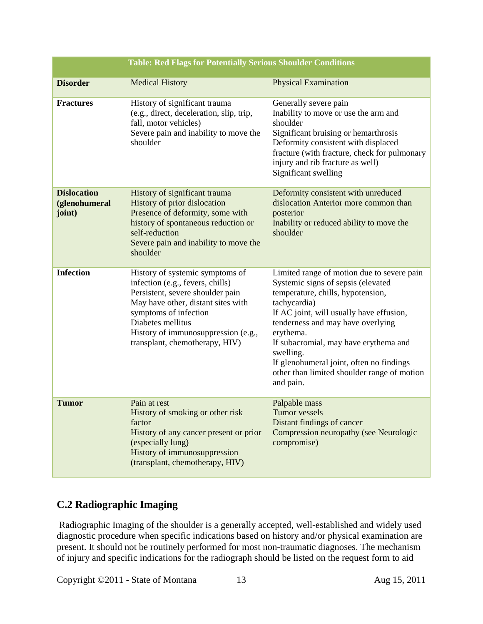| <b>Table: Red Flags for Potentially Serious Shoulder Conditions</b> |                                                                                                                                                                                                                                                                      |                                                                                                                                                                                                                                                                                                                                                                                                   |  |  |
|---------------------------------------------------------------------|----------------------------------------------------------------------------------------------------------------------------------------------------------------------------------------------------------------------------------------------------------------------|---------------------------------------------------------------------------------------------------------------------------------------------------------------------------------------------------------------------------------------------------------------------------------------------------------------------------------------------------------------------------------------------------|--|--|
| <b>Disorder</b>                                                     | <b>Medical History</b>                                                                                                                                                                                                                                               | <b>Physical Examination</b>                                                                                                                                                                                                                                                                                                                                                                       |  |  |
| <b>Fractures</b>                                                    | History of significant trauma<br>(e.g., direct, deceleration, slip, trip,<br>fall, motor vehicles)<br>Severe pain and inability to move the<br>shoulder                                                                                                              | Generally severe pain<br>Inability to move or use the arm and<br>shoulder<br>Significant bruising or hemarthrosis<br>Deformity consistent with displaced<br>fracture (with fracture, check for pulmonary<br>injury and rib fracture as well)<br>Significant swelling                                                                                                                              |  |  |
| <b>Dislocation</b><br>(glenohumeral<br>joint)                       | History of significant trauma<br>History of prior dislocation<br>Presence of deformity, some with<br>history of spontaneous reduction or<br>self-reduction<br>Severe pain and inability to move the<br>shoulder                                                      | Deformity consistent with unreduced<br>dislocation Anterior more common than<br>posterior<br>Inability or reduced ability to move the<br>shoulder                                                                                                                                                                                                                                                 |  |  |
| <b>Infection</b>                                                    | History of systemic symptoms of<br>infection (e.g., fevers, chills)<br>Persistent, severe shoulder pain<br>May have other, distant sites with<br>symptoms of infection<br>Diabetes mellitus<br>History of immunosuppression (e.g.,<br>transplant, chemotherapy, HIV) | Limited range of motion due to severe pain<br>Systemic signs of sepsis (elevated<br>temperature, chills, hypotension,<br>tachycardia)<br>If AC joint, will usually have effusion,<br>tenderness and may have overlying<br>erythema.<br>If subacromial, may have erythema and<br>swelling.<br>If glenohumeral joint, often no findings<br>other than limited shoulder range of motion<br>and pain. |  |  |
| <b>Tumor</b>                                                        | Pain at rest<br>History of smoking or other risk<br>factor<br>History of any cancer present or prior<br>(especially lung)<br>History of immunosuppression<br>(transplant, chemotherapy, HIV)                                                                         | Palpable mass<br><b>Tumor</b> vessels<br>Distant findings of cancer<br>Compression neuropathy (see Neurologic<br>compromise)                                                                                                                                                                                                                                                                      |  |  |

## **C.2 Radiographic Imaging**

Radiographic Imaging of the shoulder is a generally accepted, well-established and widely used diagnostic procedure when specific indications based on history and/or physical examination are present. It should not be routinely performed for most non-traumatic diagnoses. The mechanism of injury and specific indications for the radiograph should be listed on the request form to aid

Copyright ©2011 - State of Montana 13 Aug 15, 2011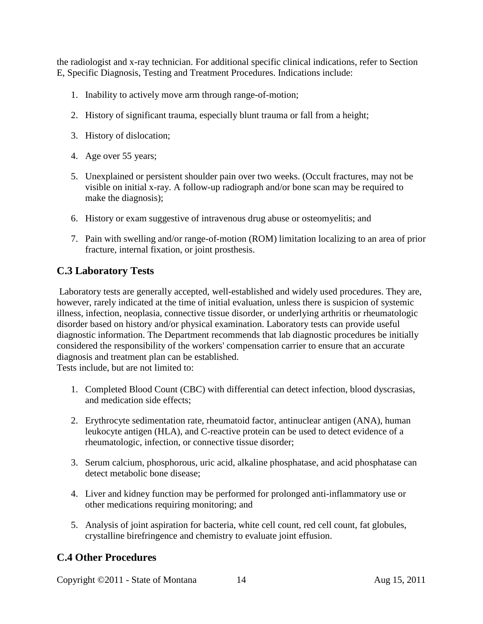the radiologist and x-ray technician. For additional specific clinical indications, refer to Section E, Specific Diagnosis, Testing and Treatment Procedures. Indications include:

- 1. Inability to actively move arm through range-of-motion;
- 2. History of significant trauma, especially blunt trauma or fall from a height;
- 3. History of dislocation;
- 4. Age over 55 years;
- 5. Unexplained or persistent shoulder pain over two weeks. (Occult fractures, may not be visible on initial x-ray. A follow-up radiograph and/or bone scan may be required to make the diagnosis);
- 6. History or exam suggestive of intravenous drug abuse or osteomyelitis; and
- 7. Pain with swelling and/or range-of-motion (ROM) limitation localizing to an area of prior fracture, internal fixation, or joint prosthesis.

### **C.3 Laboratory Tests**

Laboratory tests are generally accepted, well-established and widely used procedures. They are, however, rarely indicated at the time of initial evaluation, unless there is suspicion of systemic illness, infection, neoplasia, connective tissue disorder, or underlying arthritis or rheumatologic disorder based on history and/or physical examination. Laboratory tests can provide useful diagnostic information. The Department recommends that lab diagnostic procedures be initially considered the responsibility of the workers' compensation carrier to ensure that an accurate diagnosis and treatment plan can be established.

Tests include, but are not limited to:

- 1. Completed Blood Count (CBC) with differential can detect infection, blood dyscrasias, and medication side effects;
- 2. Erythrocyte sedimentation rate, rheumatoid factor, antinuclear antigen (ANA), human leukocyte antigen (HLA), and C-reactive protein can be used to detect evidence of a rheumatologic, infection, or connective tissue disorder;
- 3. Serum calcium, phosphorous, uric acid, alkaline phosphatase, and acid phosphatase can detect metabolic bone disease;
- 4. Liver and kidney function may be performed for prolonged anti-inflammatory use or other medications requiring monitoring; and
- 5. Analysis of joint aspiration for bacteria, white cell count, red cell count, fat globules, crystalline birefringence and chemistry to evaluate joint effusion.

### **C.4 Other Procedures**

Copyright ©2011 - State of Montana 14 Aug 15, 2011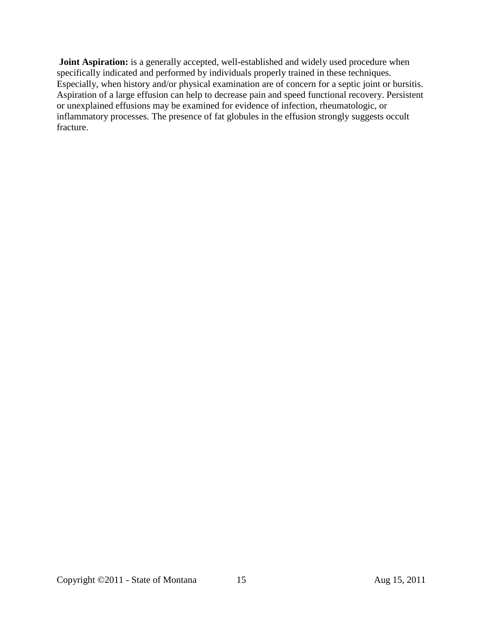**Joint Aspiration:** is a generally accepted, well-established and widely used procedure when specifically indicated and performed by individuals properly trained in these techniques. Especially, when history and/or physical examination are of concern for a septic joint or bursitis. Aspiration of a large effusion can help to decrease pain and speed functional recovery. Persistent or unexplained effusions may be examined for evidence of infection, rheumatologic, or inflammatory processes. The presence of fat globules in the effusion strongly suggests occult fracture.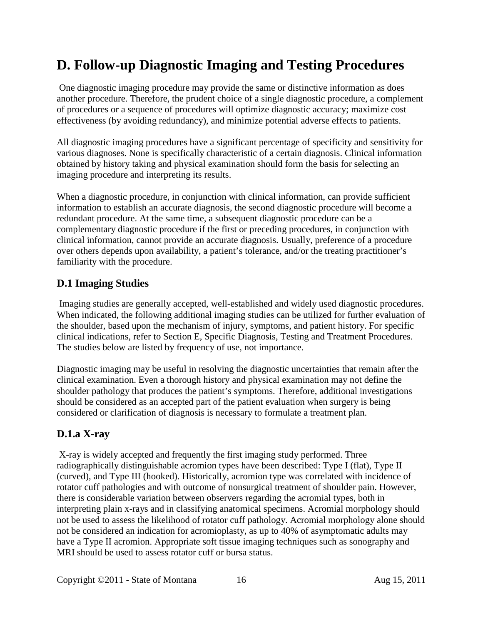# <span id="page-15-0"></span>**D. Follow-up Diagnostic Imaging and Testing Procedures**

One diagnostic imaging procedure may provide the same or distinctive information as does another procedure. Therefore, the prudent choice of a single diagnostic procedure, a complement of procedures or a sequence of procedures will optimize diagnostic accuracy; maximize cost effectiveness (by avoiding redundancy), and minimize potential adverse effects to patients.

All diagnostic imaging procedures have a significant percentage of specificity and sensitivity for various diagnoses. None is specifically characteristic of a certain diagnosis. Clinical information obtained by history taking and physical examination should form the basis for selecting an imaging procedure and interpreting its results.

When a diagnostic procedure, in conjunction with clinical information, can provide sufficient information to establish an accurate diagnosis, the second diagnostic procedure will become a redundant procedure. At the same time, a subsequent diagnostic procedure can be a complementary diagnostic procedure if the first or preceding procedures, in conjunction with clinical information, cannot provide an accurate diagnosis. Usually, preference of a procedure over others depends upon availability, a patient's tolerance, and/or the treating practitioner's familiarity with the procedure.

### <span id="page-15-1"></span>**D.1 Imaging Studies**

Imaging studies are generally accepted, well-established and widely used diagnostic procedures. When indicated, the following additional imaging studies can be utilized for further evaluation of the shoulder, based upon the mechanism of injury, symptoms, and patient history. For specific clinical indications, refer to Section E, Specific Diagnosis, Testing and Treatment Procedures. The studies below are listed by frequency of use, not importance.

Diagnostic imaging may be useful in resolving the diagnostic uncertainties that remain after the clinical examination. Even a thorough history and physical examination may not define the shoulder pathology that produces the patient's symptoms. Therefore, additional investigations should be considered as an accepted part of the patient evaluation when surgery is being considered or clarification of diagnosis is necessary to formulate a treatment plan.

## **D.1.a X-ray**

X-ray is widely accepted and frequently the first imaging study performed. Three radiographically distinguishable acromion types have been described: Type I (flat), Type II (curved), and Type III (hooked). Historically, acromion type was correlated with incidence of rotator cuff pathologies and with outcome of nonsurgical treatment of shoulder pain. However, there is considerable variation between observers regarding the acromial types, both in interpreting plain x-rays and in classifying anatomical specimens. Acromial morphology should not be used to assess the likelihood of rotator cuff pathology. Acromial morphology alone should not be considered an indication for acromioplasty, as up to 40% of asymptomatic adults may have a Type II acromion. Appropriate soft tissue imaging techniques such as sonography and MRI should be used to assess rotator cuff or bursa status.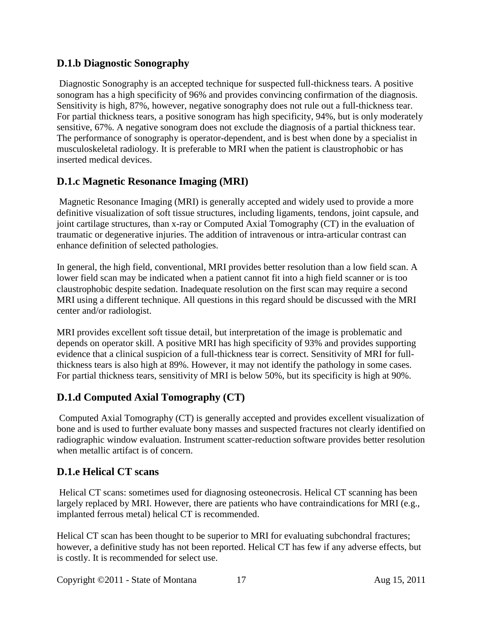### **D.1.b Diagnostic Sonography**

Diagnostic Sonography is an accepted technique for suspected full-thickness tears. A positive sonogram has a high specificity of 96% and provides convincing confirmation of the diagnosis. Sensitivity is high, 87%, however, negative sonography does not rule out a full-thickness tear. For partial thickness tears, a positive sonogram has high specificity, 94%, but is only moderately sensitive, 67%. A negative sonogram does not exclude the diagnosis of a partial thickness tear. The performance of sonography is operator-dependent, and is best when done by a specialist in musculoskeletal radiology. It is preferable to MRI when the patient is claustrophobic or has inserted medical devices.

## **D.1.c Magnetic Resonance Imaging (MRI)**

Magnetic Resonance Imaging (MRI) is generally accepted and widely used to provide a more definitive visualization of soft tissue structures, including ligaments, tendons, joint capsule, and joint cartilage structures, than x-ray or Computed Axial Tomography (CT) in the evaluation of traumatic or degenerative injuries. The addition of intravenous or intra-articular contrast can enhance definition of selected pathologies.

In general, the high field, conventional, MRI provides better resolution than a low field scan. A lower field scan may be indicated when a patient cannot fit into a high field scanner or is too claustrophobic despite sedation. Inadequate resolution on the first scan may require a second MRI using a different technique. All questions in this regard should be discussed with the MRI center and/or radiologist.

MRI provides excellent soft tissue detail, but interpretation of the image is problematic and depends on operator skill. A positive MRI has high specificity of 93% and provides supporting evidence that a clinical suspicion of a full-thickness tear is correct. Sensitivity of MRI for fullthickness tears is also high at 89%. However, it may not identify the pathology in some cases. For partial thickness tears, sensitivity of MRI is below 50%, but its specificity is high at 90%.

## **D.1.d Computed Axial Tomography (CT)**

Computed Axial Tomography (CT) is generally accepted and provides excellent visualization of bone and is used to further evaluate bony masses and suspected fractures not clearly identified on radiographic window evaluation. Instrument scatter-reduction software provides better resolution when metallic artifact is of concern.

## **D.1.e Helical CT scans**

Helical CT scans: sometimes used for diagnosing osteonecrosis. Helical CT scanning has been largely replaced by MRI. However, there are patients who have contraindications for MRI (e.g., implanted ferrous metal) helical CT is recommended.

Helical CT scan has been thought to be superior to MRI for evaluating subchondral fractures; however, a definitive study has not been reported. Helical CT has few if any adverse effects, but is costly. It is recommended for select use.

Copyright ©2011 - State of Montana 17 Aug 15, 2011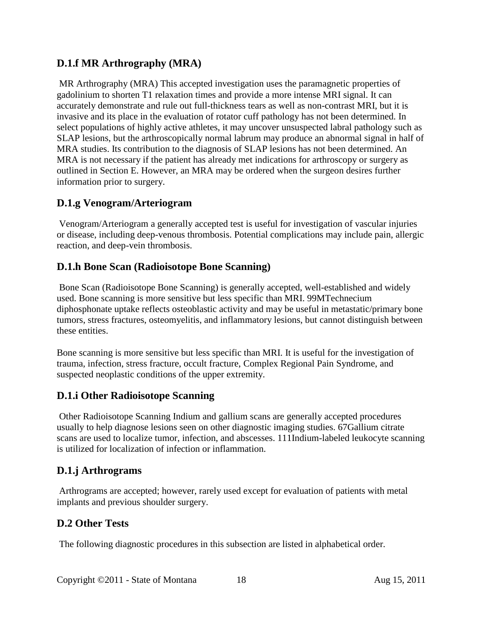## **D.1.f MR Arthrography (MRA)**

MR Arthrography (MRA) This accepted investigation uses the paramagnetic properties of gadolinium to shorten T1 relaxation times and provide a more intense MRI signal. It can accurately demonstrate and rule out full-thickness tears as well as non-contrast MRI, but it is invasive and its place in the evaluation of rotator cuff pathology has not been determined. In select populations of highly active athletes, it may uncover unsuspected labral pathology such as SLAP lesions, but the arthroscopically normal labrum may produce an abnormal signal in half of MRA studies. Its contribution to the diagnosis of SLAP lesions has not been determined. An MRA is not necessary if the patient has already met indications for arthroscopy or surgery as outlined in Section E. However, an MRA may be ordered when the surgeon desires further information prior to surgery.

### **D.1.g Venogram/Arteriogram**

Venogram/Arteriogram a generally accepted test is useful for investigation of vascular injuries or disease, including deep-venous thrombosis. Potential complications may include pain, allergic reaction, and deep-vein thrombosis.

### **D.1.h Bone Scan (Radioisotope Bone Scanning)**

Bone Scan (Radioisotope Bone Scanning) is generally accepted, well-established and widely used. Bone scanning is more sensitive but less specific than MRI. 99MTechnecium diphosphonate uptake reflects osteoblastic activity and may be useful in metastatic/primary bone tumors, stress fractures, osteomyelitis, and inflammatory lesions, but cannot distinguish between these entities.

Bone scanning is more sensitive but less specific than MRI. It is useful for the investigation of trauma, infection, stress fracture, occult fracture, Complex Regional Pain Syndrome, and suspected neoplastic conditions of the upper extremity.

### **D.1.i Other Radioisotope Scanning**

Other Radioisotope Scanning Indium and gallium scans are generally accepted procedures usually to help diagnose lesions seen on other diagnostic imaging studies. 67Gallium citrate scans are used to localize tumor, infection, and abscesses. 111Indium-labeled leukocyte scanning is utilized for localization of infection or inflammation.

### **D.1.j Arthrograms**

Arthrograms are accepted; however, rarely used except for evaluation of patients with metal implants and previous shoulder surgery.

## <span id="page-17-0"></span>**D.2 Other Tests**

The following diagnostic procedures in this subsection are listed in alphabetical order.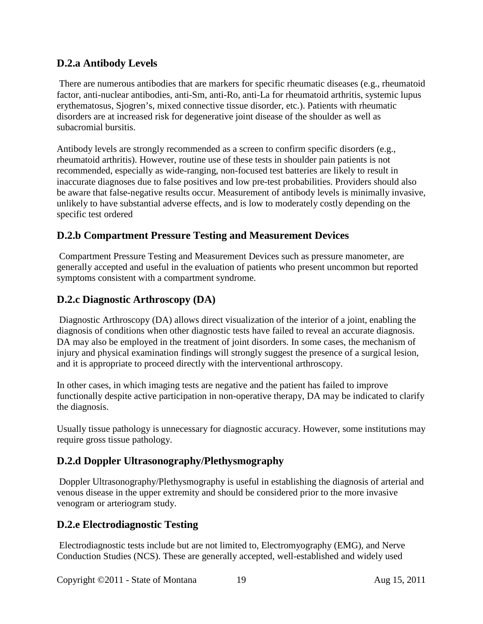### **D.2.a Antibody Levels**

There are numerous antibodies that are markers for specific rheumatic diseases (e.g., rheumatoid factor, anti-nuclear antibodies, anti-Sm, anti-Ro, anti-La for rheumatoid arthritis, systemic lupus erythematosus, Sjogren's, mixed connective tissue disorder, etc.). Patients with rheumatic disorders are at increased risk for degenerative joint disease of the shoulder as well as subacromial bursitis.

Antibody levels are strongly recommended as a screen to confirm specific disorders (e.g., rheumatoid arthritis). However, routine use of these tests in shoulder pain patients is not recommended, especially as wide-ranging, non-focused test batteries are likely to result in inaccurate diagnoses due to false positives and low pre-test probabilities. Providers should also be aware that false-negative results occur. Measurement of antibody levels is minimally invasive, unlikely to have substantial adverse effects, and is low to moderately costly depending on the specific test ordered

### **D.2.b Compartment Pressure Testing and Measurement Devices**

Compartment Pressure Testing and Measurement Devices such as pressure manometer, are generally accepted and useful in the evaluation of patients who present uncommon but reported symptoms consistent with a compartment syndrome.

### **D.2.c Diagnostic Arthroscopy (DA)**

Diagnostic Arthroscopy (DA) allows direct visualization of the interior of a joint, enabling the diagnosis of conditions when other diagnostic tests have failed to reveal an accurate diagnosis. DA may also be employed in the treatment of joint disorders. In some cases, the mechanism of injury and physical examination findings will strongly suggest the presence of a surgical lesion, and it is appropriate to proceed directly with the interventional arthroscopy.

In other cases, in which imaging tests are negative and the patient has failed to improve functionally despite active participation in non-operative therapy, DA may be indicated to clarify the diagnosis.

Usually tissue pathology is unnecessary for diagnostic accuracy. However, some institutions may require gross tissue pathology.

### **D.2.d Doppler Ultrasonography/Plethysmography**

Doppler Ultrasonography/Plethysmography is useful in establishing the diagnosis of arterial and venous disease in the upper extremity and should be considered prior to the more invasive venogram or arteriogram study.

### **D.2.e Electrodiagnostic Testing**

Electrodiagnostic tests include but are not limited to, Electromyography (EMG), and Nerve Conduction Studies (NCS). These are generally accepted, well-established and widely used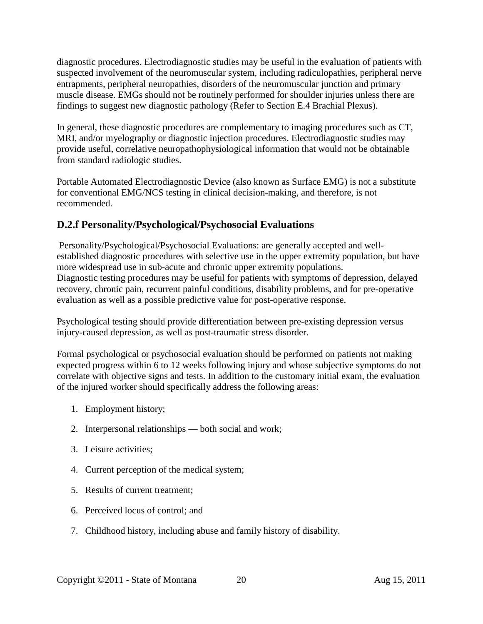diagnostic procedures. Electrodiagnostic studies may be useful in the evaluation of patients with suspected involvement of the neuromuscular system, including radiculopathies, peripheral nerve entrapments, peripheral neuropathies, disorders of the neuromuscular junction and primary muscle disease. EMGs should not be routinely performed for shoulder injuries unless there are findings to suggest new diagnostic pathology (Refer to Section E.4 Brachial Plexus).

In general, these diagnostic procedures are complementary to imaging procedures such as CT, MRI, and/or myelography or diagnostic injection procedures. Electrodiagnostic studies may provide useful, correlative neuropathophysiological information that would not be obtainable from standard radiologic studies.

Portable Automated Electrodiagnostic Device (also known as Surface EMG) is not a substitute for conventional EMG/NCS testing in clinical decision-making, and therefore, is not recommended.

## **D.2.f Personality/Psychological/Psychosocial Evaluations**

Personality/Psychological/Psychosocial Evaluations: are generally accepted and wellestablished diagnostic procedures with selective use in the upper extremity population, but have more widespread use in sub-acute and chronic upper extremity populations. Diagnostic testing procedures may be useful for patients with symptoms of depression, delayed recovery, chronic pain, recurrent painful conditions, disability problems, and for pre-operative evaluation as well as a possible predictive value for post-operative response.

Psychological testing should provide differentiation between pre-existing depression versus injury-caused depression, as well as post-traumatic stress disorder.

Formal psychological or psychosocial evaluation should be performed on patients not making expected progress within 6 to 12 weeks following injury and whose subjective symptoms do not correlate with objective signs and tests. In addition to the customary initial exam, the evaluation of the injured worker should specifically address the following areas:

- 1. Employment history;
- 2. Interpersonal relationships both social and work;
- 3. Leisure activities;
- 4. Current perception of the medical system;
- 5. Results of current treatment;
- 6. Perceived locus of control; and
- 7. Childhood history, including abuse and family history of disability.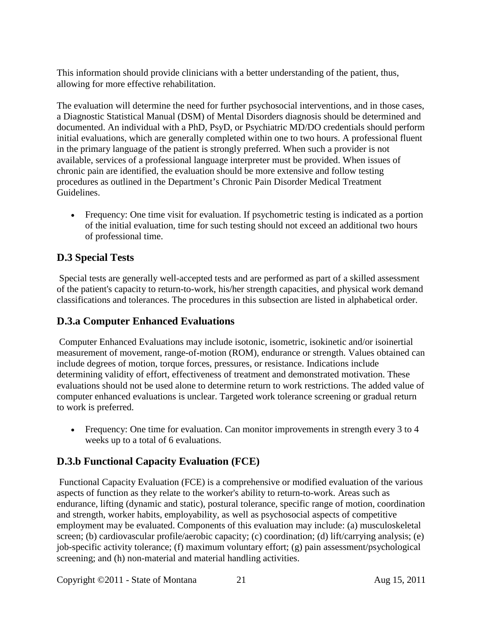This information should provide clinicians with a better understanding of the patient, thus, allowing for more effective rehabilitation.

The evaluation will determine the need for further psychosocial interventions, and in those cases, a Diagnostic Statistical Manual (DSM) of Mental Disorders diagnosis should be determined and documented. An individual with a PhD, PsyD, or Psychiatric MD/DO credentials should perform initial evaluations, which are generally completed within one to two hours. A professional fluent in the primary language of the patient is strongly preferred. When such a provider is not available, services of a professional language interpreter must be provided. When issues of chronic pain are identified, the evaluation should be more extensive and follow testing procedures as outlined in the Department's Chronic Pain Disorder Medical Treatment Guidelines.

• Frequency: One time visit for evaluation. If psychometric testing is indicated as a portion of the initial evaluation, time for such testing should not exceed an additional two hours of professional time.

# <span id="page-20-0"></span>**D.3 Special Tests**

Special tests are generally well-accepted tests and are performed as part of a skilled assessment of the patient's capacity to return-to-work, his/her strength capacities, and physical work demand classifications and tolerances. The procedures in this subsection are listed in alphabetical order.

## **D.3.a Computer Enhanced Evaluations**

Computer Enhanced Evaluations may include isotonic, isometric, isokinetic and/or isoinertial measurement of movement, range-of-motion (ROM), endurance or strength. Values obtained can include degrees of motion, torque forces, pressures, or resistance. Indications include determining validity of effort, effectiveness of treatment and demonstrated motivation. These evaluations should not be used alone to determine return to work restrictions. The added value of computer enhanced evaluations is unclear. Targeted work tolerance screening or gradual return to work is preferred.

• Frequency: One time for evaluation. Can monitor improvements in strength every 3 to 4 weeks up to a total of 6 evaluations.

## **D.3.b Functional Capacity Evaluation (FCE)**

Functional Capacity Evaluation (FCE) is a comprehensive or modified evaluation of the various aspects of function as they relate to the worker's ability to return-to-work. Areas such as endurance, lifting (dynamic and static), postural tolerance, specific range of motion, coordination and strength, worker habits, employability, as well as psychosocial aspects of competitive employment may be evaluated. Components of this evaluation may include: (a) musculoskeletal screen; (b) cardiovascular profile/aerobic capacity; (c) coordination; (d) lift/carrying analysis; (e) job-specific activity tolerance; (f) maximum voluntary effort; (g) pain assessment/psychological screening; and (h) non-material and material handling activities.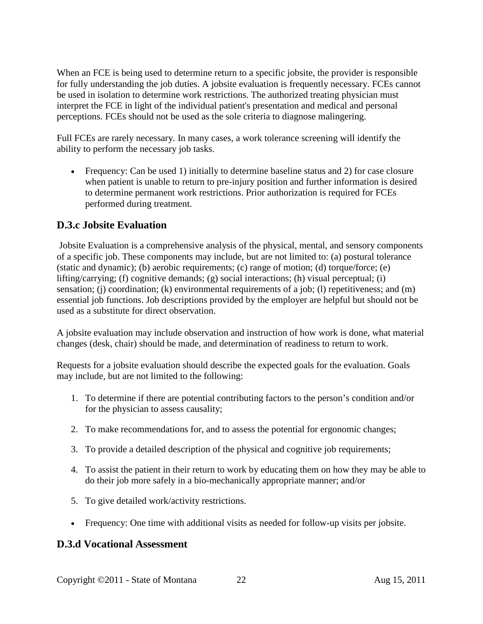When an FCE is being used to determine return to a specific jobsite, the provider is responsible for fully understanding the job duties. A jobsite evaluation is frequently necessary. FCEs cannot be used in isolation to determine work restrictions. The authorized treating physician must interpret the FCE in light of the individual patient's presentation and medical and personal perceptions. FCEs should not be used as the sole criteria to diagnose malingering.

Full FCEs are rarely necessary. In many cases, a work tolerance screening will identify the ability to perform the necessary job tasks.

• Frequency: Can be used 1) initially to determine baseline status and 2) for case closure when patient is unable to return to pre-injury position and further information is desired to determine permanent work restrictions. Prior authorization is required for FCEs performed during treatment.

### **D.3.c Jobsite Evaluation**

Jobsite Evaluation is a comprehensive analysis of the physical, mental, and sensory components of a specific job. These components may include, but are not limited to: (a) postural tolerance (static and dynamic); (b) aerobic requirements; (c) range of motion; (d) torque/force; (e) lifting/carrying; (f) cognitive demands; (g) social interactions; (h) visual perceptual; (i) sensation; (j) coordination; (k) environmental requirements of a job; (l) repetitiveness; and (m) essential job functions. Job descriptions provided by the employer are helpful but should not be used as a substitute for direct observation.

A jobsite evaluation may include observation and instruction of how work is done, what material changes (desk, chair) should be made, and determination of readiness to return to work.

Requests for a jobsite evaluation should describe the expected goals for the evaluation. Goals may include, but are not limited to the following:

- 1. To determine if there are potential contributing factors to the person's condition and/or for the physician to assess causality;
- 2. To make recommendations for, and to assess the potential for ergonomic changes;
- 3. To provide a detailed description of the physical and cognitive job requirements;
- 4. To assist the patient in their return to work by educating them on how they may be able to do their job more safely in a bio-mechanically appropriate manner; and/or
- 5. To give detailed work/activity restrictions.
- Frequency: One time with additional visits as needed for follow-up visits per jobsite.

### **D.3.d Vocational Assessment**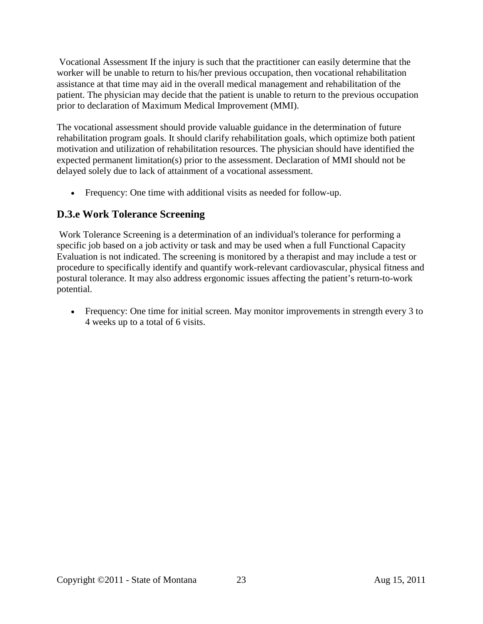Vocational Assessment If the injury is such that the practitioner can easily determine that the worker will be unable to return to his/her previous occupation, then vocational rehabilitation assistance at that time may aid in the overall medical management and rehabilitation of the patient. The physician may decide that the patient is unable to return to the previous occupation prior to declaration of Maximum Medical Improvement (MMI).

The vocational assessment should provide valuable guidance in the determination of future rehabilitation program goals. It should clarify rehabilitation goals, which optimize both patient motivation and utilization of rehabilitation resources. The physician should have identified the expected permanent limitation(s) prior to the assessment. Declaration of MMI should not be delayed solely due to lack of attainment of a vocational assessment.

• Frequency: One time with additional visits as needed for follow-up.

### **D.3.e Work Tolerance Screening**

Work Tolerance Screening is a determination of an individual's tolerance for performing a specific job based on a job activity or task and may be used when a full Functional Capacity Evaluation is not indicated. The screening is monitored by a therapist and may include a test or procedure to specifically identify and quantify work-relevant cardiovascular, physical fitness and postural tolerance. It may also address ergonomic issues affecting the patient's return-to-work potential.

• Frequency: One time for initial screen. May monitor improvements in strength every 3 to 4 weeks up to a total of 6 visits.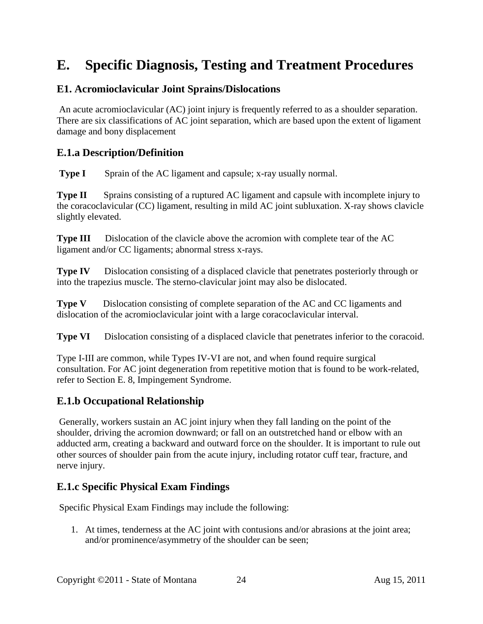# <span id="page-23-0"></span>**E. Specific Diagnosis, Testing and Treatment Procedures**

### <span id="page-23-1"></span>**E1. Acromioclavicular Joint Sprains/Dislocations**

An acute acromioclavicular (AC) joint injury is frequently referred to as a shoulder separation. There are six classifications of AC joint separation, which are based upon the extent of ligament damage and bony displacement

### **E.1.a Description/Definition**

**Type I** Sprain of the AC ligament and capsule; x-ray usually normal.

**Type II** Sprains consisting of a ruptured AC ligament and capsule with incomplete injury to the coracoclavicular (CC) ligament, resulting in mild AC joint subluxation. X-ray shows clavicle slightly elevated.

**Type III** Dislocation of the clavicle above the acromion with complete tear of the AC ligament and/or CC ligaments; abnormal stress x-rays.

**Type IV** Dislocation consisting of a displaced clavicle that penetrates posteriorly through or into the trapezius muscle. The sterno-clavicular joint may also be dislocated.

**Type V** Dislocation consisting of complete separation of the AC and CC ligaments and dislocation of the acromioclavicular joint with a large coracoclavicular interval.

**Type VI** Dislocation consisting of a displaced clavicle that penetrates inferior to the coracoid.

Type I-III are common, while Types IV-VI are not, and when found require surgical consultation. For AC joint degeneration from repetitive motion that is found to be work-related, refer to Section E. 8, Impingement Syndrome.

#### **E.1.b Occupational Relationship**

Generally, workers sustain an AC joint injury when they fall landing on the point of the shoulder, driving the acromion downward; or fall on an outstretched hand or elbow with an adducted arm, creating a backward and outward force on the shoulder. It is important to rule out other sources of shoulder pain from the acute injury, including rotator cuff tear, fracture, and nerve injury.

### **E.1.c Specific Physical Exam Findings**

Specific Physical Exam Findings may include the following:

1. At times, tenderness at the AC joint with contusions and/or abrasions at the joint area; and/or prominence/asymmetry of the shoulder can be seen;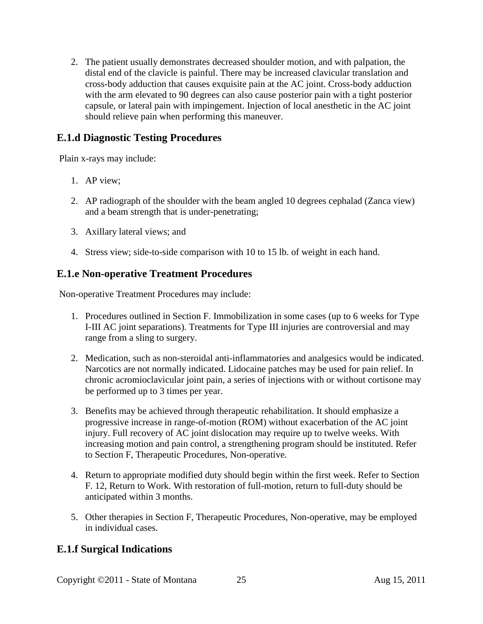2. The patient usually demonstrates decreased shoulder motion, and with palpation, the distal end of the clavicle is painful. There may be increased clavicular translation and cross-body adduction that causes exquisite pain at the AC joint. Cross-body adduction with the arm elevated to 90 degrees can also cause posterior pain with a tight posterior capsule, or lateral pain with impingement. Injection of local anesthetic in the AC joint should relieve pain when performing this maneuver.

### **E.1.d Diagnostic Testing Procedures**

Plain x-rays may include:

- 1. AP view;
- 2. AP radiograph of the shoulder with the beam angled 10 degrees cephalad (Zanca view) and a beam strength that is under-penetrating;
- 3. Axillary lateral views; and
- 4. Stress view; side-to-side comparison with 10 to 15 lb. of weight in each hand.

### **E.1.e Non-operative Treatment Procedures**

Non-operative Treatment Procedures may include:

- 1. Procedures outlined in Section F. Immobilization in some cases (up to 6 weeks for Type I-III AC joint separations). Treatments for Type III injuries are controversial and may range from a sling to surgery.
- 2. Medication, such as non-steroidal anti-inflammatories and analgesics would be indicated. Narcotics are not normally indicated. Lidocaine patches may be used for pain relief. In chronic acromioclavicular joint pain, a series of injections with or without cortisone may be performed up to 3 times per year.
- 3. Benefits may be achieved through therapeutic rehabilitation. It should emphasize a progressive increase in range-of-motion (ROM) without exacerbation of the AC joint injury. Full recovery of AC joint dislocation may require up to twelve weeks. With increasing motion and pain control, a strengthening program should be instituted. Refer to Section F, Therapeutic Procedures, Non-operative.
- 4. Return to appropriate modified duty should begin within the first week. Refer to Section F. 12, Return to Work. With restoration of full-motion, return to full-duty should be anticipated within 3 months.
- 5. Other therapies in Section F, Therapeutic Procedures, Non-operative, may be employed in individual cases.

## **E.1.f Surgical Indications**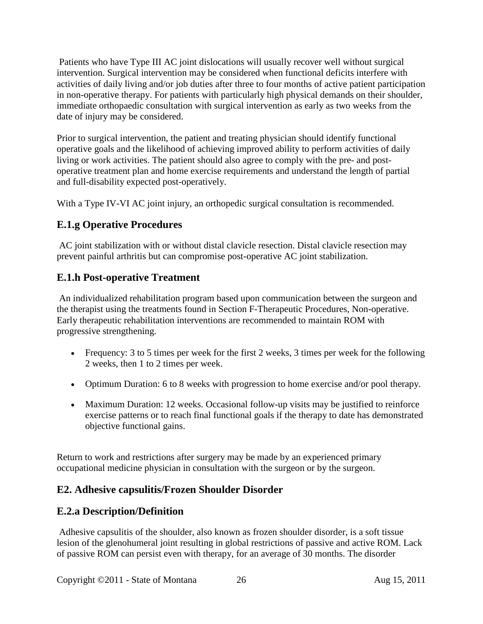Patients who have Type III AC joint dislocations will usually recover well without surgical intervention. Surgical intervention may be considered when functional deficits interfere with activities of daily living and/or job duties after three to four months of active patient participation in non-operative therapy. For patients with particularly high physical demands on their shoulder, immediate orthopaedic consultation with surgical intervention as early as two weeks from the date of injury may be considered.

Prior to surgical intervention, the patient and treating physician should identify functional operative goals and the likelihood of achieving improved ability to perform activities of daily living or work activities. The patient should also agree to comply with the pre- and postoperative treatment plan and home exercise requirements and understand the length of partial and full-disability expected post-operatively.

With a Type IV-VI AC joint injury, an orthopedic surgical consultation is recommended.

# **E.1.g Operative Procedures**

AC joint stabilization with or without distal clavicle resection. Distal clavicle resection may prevent painful arthritis but can compromise post-operative AC joint stabilization.

# **E.1.h Post-operative Treatment**

An individualized rehabilitation program based upon communication between the surgeon and the therapist using the treatments found in Section F-Therapeutic Procedures, Non-operative. Early therapeutic rehabilitation interventions are recommended to maintain ROM with progressive strengthening.

- Frequency: 3 to 5 times per week for the first 2 weeks, 3 times per week for the following 2 weeks, then 1 to 2 times per week.
- Optimum Duration: 6 to 8 weeks with progression to home exercise and/or pool therapy.
- Maximum Duration: 12 weeks. Occasional follow-up visits may be justified to reinforce exercise patterns or to reach final functional goals if the therapy to date has demonstrated objective functional gains.

Return to work and restrictions after surgery may be made by an experienced primary occupational medicine physician in consultation with the surgeon or by the surgeon.

# <span id="page-25-0"></span>**E2. Adhesive capsulitis/Frozen Shoulder Disorder**

# **E.2.a Description/Definition**

Adhesive capsulitis of the shoulder, also known as frozen shoulder disorder, is a soft tissue lesion of the glenohumeral joint resulting in global restrictions of passive and active ROM. Lack of passive ROM can persist even with therapy, for an average of 30 months. The disorder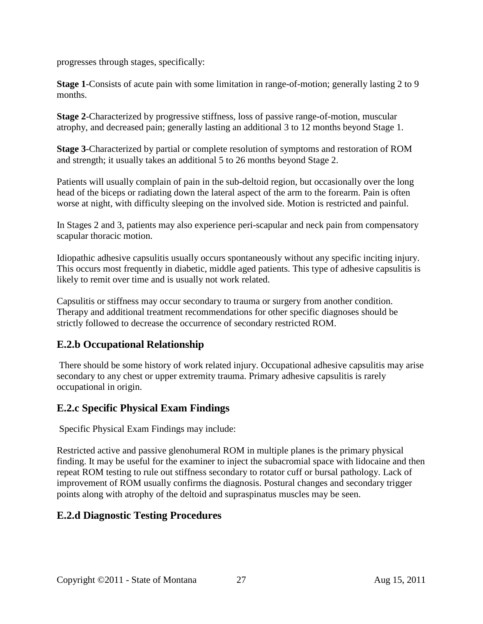progresses through stages, specifically:

**Stage 1**-Consists of acute pain with some limitation in range-of-motion; generally lasting 2 to 9 months.

**Stage 2**-Characterized by progressive stiffness, loss of passive range-of-motion, muscular atrophy, and decreased pain; generally lasting an additional 3 to 12 months beyond Stage 1.

**Stage 3**-Characterized by partial or complete resolution of symptoms and restoration of ROM and strength; it usually takes an additional 5 to 26 months beyond Stage 2.

Patients will usually complain of pain in the sub-deltoid region, but occasionally over the long head of the biceps or radiating down the lateral aspect of the arm to the forearm. Pain is often worse at night, with difficulty sleeping on the involved side. Motion is restricted and painful.

In Stages 2 and 3, patients may also experience peri-scapular and neck pain from compensatory scapular thoracic motion.

Idiopathic adhesive capsulitis usually occurs spontaneously without any specific inciting injury. This occurs most frequently in diabetic, middle aged patients. This type of adhesive capsulitis is likely to remit over time and is usually not work related.

Capsulitis or stiffness may occur secondary to trauma or surgery from another condition. Therapy and additional treatment recommendations for other specific diagnoses should be strictly followed to decrease the occurrence of secondary restricted ROM.

## **E.2.b Occupational Relationship**

There should be some history of work related injury. Occupational adhesive capsulitis may arise secondary to any chest or upper extremity trauma. Primary adhesive capsulitis is rarely occupational in origin.

## **E.2.c Specific Physical Exam Findings**

Specific Physical Exam Findings may include:

Restricted active and passive glenohumeral ROM in multiple planes is the primary physical finding. It may be useful for the examiner to inject the subacromial space with lidocaine and then repeat ROM testing to rule out stiffness secondary to rotator cuff or bursal pathology. Lack of improvement of ROM usually confirms the diagnosis. Postural changes and secondary trigger points along with atrophy of the deltoid and supraspinatus muscles may be seen.

## **E.2.d Diagnostic Testing Procedures**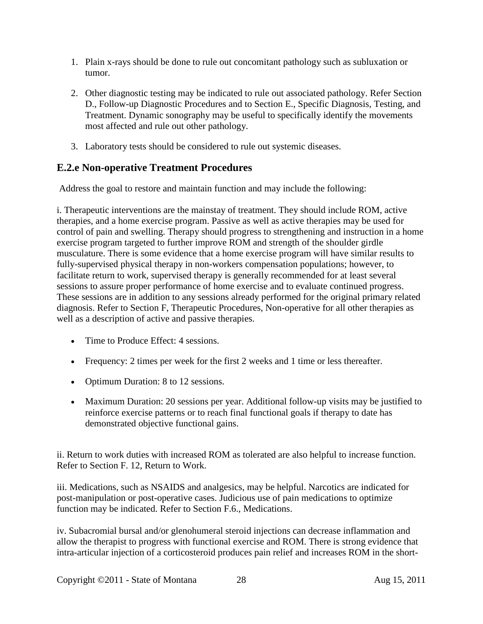- 1. Plain x-rays should be done to rule out concomitant pathology such as subluxation or tumor.
- 2. Other diagnostic testing may be indicated to rule out associated pathology. Refer Section D., Follow-up Diagnostic Procedures and to Section E., Specific Diagnosis, Testing, and Treatment. Dynamic sonography may be useful to specifically identify the movements most affected and rule out other pathology.
- 3. Laboratory tests should be considered to rule out systemic diseases.

### **E.2.e Non-operative Treatment Procedures**

Address the goal to restore and maintain function and may include the following:

i. Therapeutic interventions are the mainstay of treatment. They should include ROM, active therapies, and a home exercise program. Passive as well as active therapies may be used for control of pain and swelling. Therapy should progress to strengthening and instruction in a home exercise program targeted to further improve ROM and strength of the shoulder girdle musculature. There is some evidence that a home exercise program will have similar results to fully-supervised physical therapy in non-workers compensation populations; however, to facilitate return to work, supervised therapy is generally recommended for at least several sessions to assure proper performance of home exercise and to evaluate continued progress. These sessions are in addition to any sessions already performed for the original primary related diagnosis. Refer to Section F, Therapeutic Procedures, Non-operative for all other therapies as well as a description of active and passive therapies.

- Time to Produce Effect: 4 sessions.
- Frequency: 2 times per week for the first 2 weeks and 1 time or less thereafter.
- Optimum Duration: 8 to 12 sessions.
- Maximum Duration: 20 sessions per year. Additional follow-up visits may be justified to reinforce exercise patterns or to reach final functional goals if therapy to date has demonstrated objective functional gains.

ii. Return to work duties with increased ROM as tolerated are also helpful to increase function. Refer to Section F. 12, Return to Work.

iii. Medications, such as NSAIDS and analgesics, may be helpful. Narcotics are indicated for post-manipulation or post-operative cases. Judicious use of pain medications to optimize function may be indicated. Refer to Section F.6., Medications.

iv. Subacromial bursal and/or glenohumeral steroid injections can decrease inflammation and allow the therapist to progress with functional exercise and ROM. There is strong evidence that intra-articular injection of a corticosteroid produces pain relief and increases ROM in the short-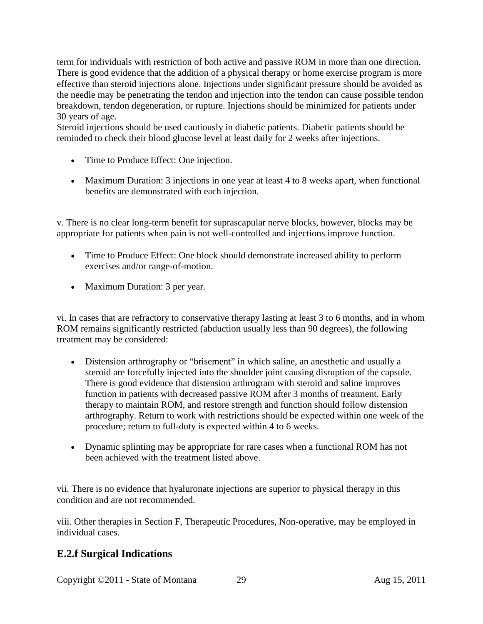term for individuals with restriction of both active and passive ROM in more than one direction. There is good evidence that the addition of a physical therapy or home exercise program is more effective than steroid injections alone. Injections under significant pressure should be avoided as the needle may be penetrating the tendon and injection into the tendon can cause possible tendon breakdown, tendon degeneration, or rupture. Injections should be minimized for patients under 30 years of age.

Steroid injections should be used cautiously in diabetic patients. Diabetic patients should be reminded to check their blood glucose level at least daily for 2 weeks after injections.

- Time to Produce Effect: One injection.
- Maximum Duration: 3 injections in one year at least 4 to 8 weeks apart, when functional benefits are demonstrated with each injection.

v. There is no clear long-term benefit for suprascapular nerve blocks, however, blocks may be appropriate for patients when pain is not well-controlled and injections improve function.

- Time to Produce Effect: One block should demonstrate increased ability to perform exercises and/or range-of-motion.
- Maximum Duration: 3 per year.

vi. In cases that are refractory to conservative therapy lasting at least 3 to 6 months, and in whom ROM remains significantly restricted (abduction usually less than 90 degrees), the following treatment may be considered:

- Distension arthrography or "brisement" in which saline, an anesthetic and usually a steroid are forcefully injected into the shoulder joint causing disruption of the capsule. There is good evidence that distension arthrogram with steroid and saline improves function in patients with decreased passive ROM after 3 months of treatment. Early therapy to maintain ROM, and restore strength and function should follow distension arthrography. Return to work with restrictions should be expected within one week of the procedure; return to full-duty is expected within 4 to 6 weeks.
- Dynamic splinting may be appropriate for rare cases when a functional ROM has not been achieved with the treatment listed above.

vii. There is no evidence that hyaluronate injections are superior to physical therapy in this condition and are not recommended.

viii. Other therapies in Section F, Therapeutic Procedures, Non-operative, may be employed in individual cases.

## **E.2.f Surgical Indications**

Copyright ©2011 - State of Montana 29 Aug 15, 2011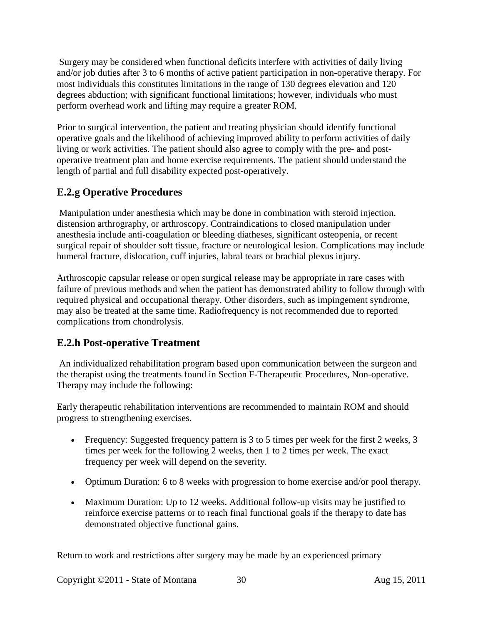Surgery may be considered when functional deficits interfere with activities of daily living and/or job duties after 3 to 6 months of active patient participation in non-operative therapy. For most individuals this constitutes limitations in the range of 130 degrees elevation and 120 degrees abduction; with significant functional limitations; however, individuals who must perform overhead work and lifting may require a greater ROM.

Prior to surgical intervention, the patient and treating physician should identify functional operative goals and the likelihood of achieving improved ability to perform activities of daily living or work activities. The patient should also agree to comply with the pre- and postoperative treatment plan and home exercise requirements. The patient should understand the length of partial and full disability expected post-operatively.

## **E.2.g Operative Procedures**

Manipulation under anesthesia which may be done in combination with steroid injection, distension arthrography, or arthroscopy. Contraindications to closed manipulation under anesthesia include anti-coagulation or bleeding diatheses, significant osteopenia, or recent surgical repair of shoulder soft tissue, fracture or neurological lesion. Complications may include humeral fracture, dislocation, cuff injuries, labral tears or brachial plexus injury.

Arthroscopic capsular release or open surgical release may be appropriate in rare cases with failure of previous methods and when the patient has demonstrated ability to follow through with required physical and occupational therapy. Other disorders, such as impingement syndrome, may also be treated at the same time. Radiofrequency is not recommended due to reported complications from chondrolysis.

## **E.2.h Post-operative Treatment**

An individualized rehabilitation program based upon communication between the surgeon and the therapist using the treatments found in Section F-Therapeutic Procedures, Non-operative. Therapy may include the following:

Early therapeutic rehabilitation interventions are recommended to maintain ROM and should progress to strengthening exercises.

- Frequency: Suggested frequency pattern is 3 to 5 times per week for the first 2 weeks, 3 times per week for the following 2 weeks, then 1 to 2 times per week. The exact frequency per week will depend on the severity.
- Optimum Duration: 6 to 8 weeks with progression to home exercise and/or pool therapy.
- Maximum Duration: Up to 12 weeks. Additional follow-up visits may be justified to reinforce exercise patterns or to reach final functional goals if the therapy to date has demonstrated objective functional gains.

Return to work and restrictions after surgery may be made by an experienced primary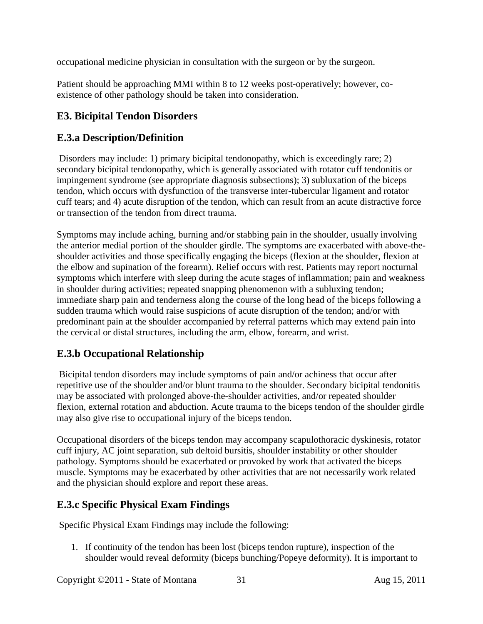occupational medicine physician in consultation with the surgeon or by the surgeon.

Patient should be approaching MMI within 8 to 12 weeks post-operatively; however, coexistence of other pathology should be taken into consideration.

## <span id="page-30-0"></span>**E3. Bicipital Tendon Disorders**

### **E.3.a Description/Definition**

Disorders may include: 1) primary bicipital tendonopathy, which is exceedingly rare; 2) secondary bicipital tendonopathy, which is generally associated with rotator cuff tendonitis or impingement syndrome (see appropriate diagnosis subsections); 3) subluxation of the biceps tendon, which occurs with dysfunction of the transverse inter-tubercular ligament and rotator cuff tears; and 4) acute disruption of the tendon, which can result from an acute distractive force or transection of the tendon from direct trauma.

Symptoms may include aching, burning and/or stabbing pain in the shoulder, usually involving the anterior medial portion of the shoulder girdle. The symptoms are exacerbated with above-theshoulder activities and those specifically engaging the biceps (flexion at the shoulder, flexion at the elbow and supination of the forearm). Relief occurs with rest. Patients may report nocturnal symptoms which interfere with sleep during the acute stages of inflammation; pain and weakness in shoulder during activities; repeated snapping phenomenon with a subluxing tendon; immediate sharp pain and tenderness along the course of the long head of the biceps following a sudden trauma which would raise suspicions of acute disruption of the tendon; and/or with predominant pain at the shoulder accompanied by referral patterns which may extend pain into the cervical or distal structures, including the arm, elbow, forearm, and wrist.

## **E.3.b Occupational Relationship**

Bicipital tendon disorders may include symptoms of pain and/or achiness that occur after repetitive use of the shoulder and/or blunt trauma to the shoulder. Secondary bicipital tendonitis may be associated with prolonged above-the-shoulder activities, and/or repeated shoulder flexion, external rotation and abduction. Acute trauma to the biceps tendon of the shoulder girdle may also give rise to occupational injury of the biceps tendon.

Occupational disorders of the biceps tendon may accompany scapulothoracic dyskinesis, rotator cuff injury, AC joint separation, sub deltoid bursitis, shoulder instability or other shoulder pathology. Symptoms should be exacerbated or provoked by work that activated the biceps muscle. Symptoms may be exacerbated by other activities that are not necessarily work related and the physician should explore and report these areas.

## **E.3.c Specific Physical Exam Findings**

Specific Physical Exam Findings may include the following:

1. If continuity of the tendon has been lost (biceps tendon rupture), inspection of the shoulder would reveal deformity (biceps bunching/Popeye deformity). It is important to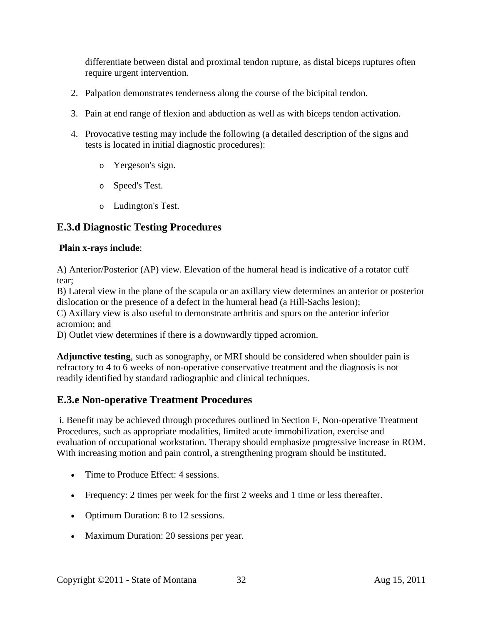differentiate between distal and proximal tendon rupture, as distal biceps ruptures often require urgent intervention.

- 2. Palpation demonstrates tenderness along the course of the bicipital tendon.
- 3. Pain at end range of flexion and abduction as well as with biceps tendon activation.
- 4. Provocative testing may include the following (a detailed description of the signs and tests is located in initial diagnostic procedures):
	- o Yergeson's sign.
	- o Speed's Test.
	- o Ludington's Test.

## **E.3.d Diagnostic Testing Procedures**

#### **Plain x-rays include**:

A) Anterior/Posterior (AP) view. Elevation of the humeral head is indicative of a rotator cuff tear;

B) Lateral view in the plane of the scapula or an axillary view determines an anterior or posterior dislocation or the presence of a defect in the humeral head (a Hill-Sachs lesion);

C) Axillary view is also useful to demonstrate arthritis and spurs on the anterior inferior acromion; and

D) Outlet view determines if there is a downwardly tipped acromion.

**Adjunctive testing**, such as sonography, or MRI should be considered when shoulder pain is refractory to 4 to 6 weeks of non-operative conservative treatment and the diagnosis is not readily identified by standard radiographic and clinical techniques.

### **E.3.e Non-operative Treatment Procedures**

i. Benefit may be achieved through procedures outlined in Section F, Non-operative Treatment Procedures, such as appropriate modalities, limited acute immobilization, exercise and evaluation of occupational workstation. Therapy should emphasize progressive increase in ROM. With increasing motion and pain control, a strengthening program should be instituted.

- Time to Produce Effect: 4 sessions.
- Frequency: 2 times per week for the first 2 weeks and 1 time or less thereafter.
- Optimum Duration: 8 to 12 sessions.
- Maximum Duration: 20 sessions per year.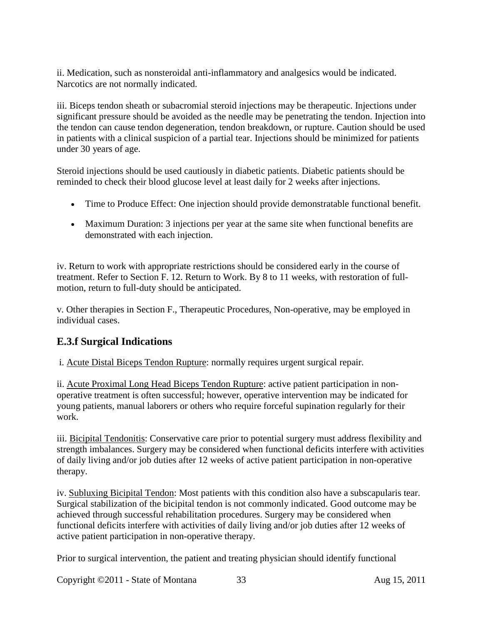ii. Medication, such as nonsteroidal anti-inflammatory and analgesics would be indicated. Narcotics are not normally indicated.

iii. Biceps tendon sheath or subacromial steroid injections may be therapeutic. Injections under significant pressure should be avoided as the needle may be penetrating the tendon. Injection into the tendon can cause tendon degeneration, tendon breakdown, or rupture. Caution should be used in patients with a clinical suspicion of a partial tear. Injections should be minimized for patients under 30 years of age.

Steroid injections should be used cautiously in diabetic patients. Diabetic patients should be reminded to check their blood glucose level at least daily for 2 weeks after injections.

- Time to Produce Effect: One injection should provide demonstratable functional benefit.
- Maximum Duration: 3 injections per year at the same site when functional benefits are demonstrated with each injection.

iv. Return to work with appropriate restrictions should be considered early in the course of treatment. Refer to Section F. 12. Return to Work. By 8 to 11 weeks, with restoration of fullmotion, return to full-duty should be anticipated.

v. Other therapies in Section F., Therapeutic Procedures, Non-operative, may be employed in individual cases.

## **E.3.f Surgical Indications**

i. Acute Distal Biceps Tendon Rupture: normally requires urgent surgical repair.

ii. Acute Proximal Long Head Biceps Tendon Rupture: active patient participation in nonoperative treatment is often successful; however, operative intervention may be indicated for young patients, manual laborers or others who require forceful supination regularly for their work.

iii. Bicipital Tendonitis: Conservative care prior to potential surgery must address flexibility and strength imbalances. Surgery may be considered when functional deficits interfere with activities of daily living and/or job duties after 12 weeks of active patient participation in non-operative therapy.

iv. Subluxing Bicipital Tendon: Most patients with this condition also have a subscapularis tear. Surgical stabilization of the bicipital tendon is not commonly indicated. Good outcome may be achieved through successful rehabilitation procedures. Surgery may be considered when functional deficits interfere with activities of daily living and/or job duties after 12 weeks of active patient participation in non-operative therapy.

Prior to surgical intervention, the patient and treating physician should identify functional

Copyright ©2011 - State of Montana 33 Aug 15, 2011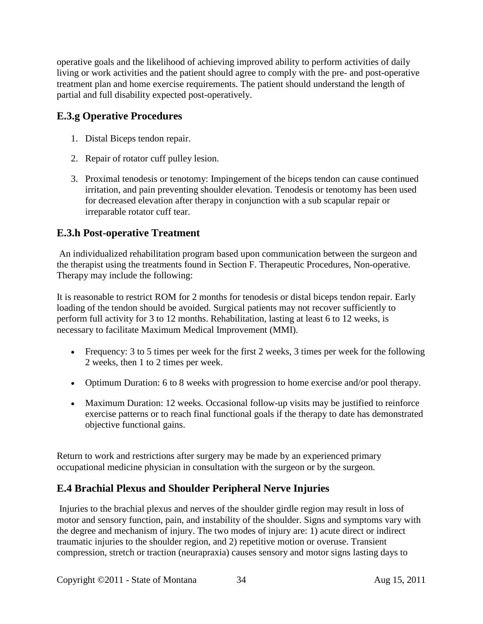operative goals and the likelihood of achieving improved ability to perform activities of daily living or work activities and the patient should agree to comply with the pre- and post-operative treatment plan and home exercise requirements. The patient should understand the length of partial and full disability expected post-operatively.

## **E.3.g Operative Procedures**

- 1. Distal Biceps tendon repair.
- 2. Repair of rotator cuff pulley lesion.
- 3. Proximal tenodesis or tenotomy: Impingement of the biceps tendon can cause continued irritation, and pain preventing shoulder elevation. Tenodesis or tenotomy has been used for decreased elevation after therapy in conjunction with a sub scapular repair or irreparable rotator cuff tear.

### **E.3.h Post-operative Treatment**

An individualized rehabilitation program based upon communication between the surgeon and the therapist using the treatments found in Section F. Therapeutic Procedures, Non-operative. Therapy may include the following:

It is reasonable to restrict ROM for 2 months for tenodesis or distal biceps tendon repair. Early loading of the tendon should be avoided. Surgical patients may not recover sufficiently to perform full activity for 3 to 12 months. Rehabilitation, lasting at least 6 to 12 weeks, is necessary to facilitate Maximum Medical Improvement (MMI).

- Frequency: 3 to 5 times per week for the first 2 weeks, 3 times per week for the following 2 weeks, then 1 to 2 times per week.
- Optimum Duration: 6 to 8 weeks with progression to home exercise and/or pool therapy.
- Maximum Duration: 12 weeks. Occasional follow-up visits may be justified to reinforce exercise patterns or to reach final functional goals if the therapy to date has demonstrated objective functional gains.

Return to work and restrictions after surgery may be made by an experienced primary occupational medicine physician in consultation with the surgeon or by the surgeon.

## <span id="page-33-0"></span>**E.4 Brachial Plexus and Shoulder Peripheral Nerve Injuries**

Injuries to the brachial plexus and nerves of the shoulder girdle region may result in loss of motor and sensory function, pain, and instability of the shoulder. Signs and symptoms vary with the degree and mechanism of injury. The two modes of injury are: 1) acute direct or indirect traumatic injuries to the shoulder region, and 2) repetitive motion or overuse. Transient compression, stretch or traction (neurapraxia) causes sensory and motor signs lasting days to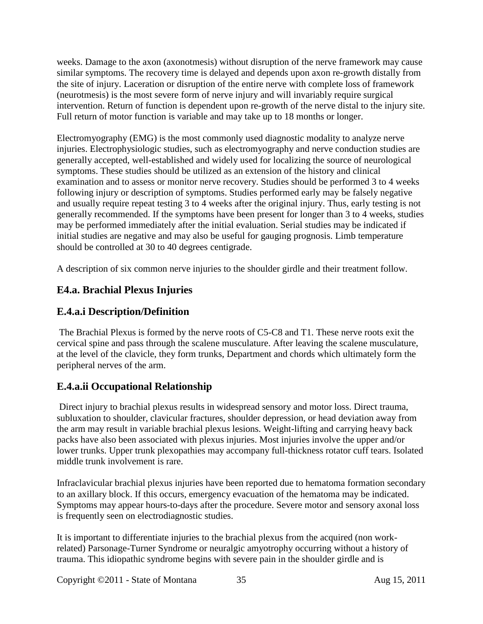weeks. Damage to the axon (axonotmesis) without disruption of the nerve framework may cause similar symptoms. The recovery time is delayed and depends upon axon re-growth distally from the site of injury. Laceration or disruption of the entire nerve with complete loss of framework (neurotmesis) is the most severe form of nerve injury and will invariably require surgical intervention. Return of function is dependent upon re-growth of the nerve distal to the injury site. Full return of motor function is variable and may take up to 18 months or longer.

Electromyography (EMG) is the most commonly used diagnostic modality to analyze nerve injuries. Electrophysiologic studies, such as electromyography and nerve conduction studies are generally accepted, well-established and widely used for localizing the source of neurological symptoms. These studies should be utilized as an extension of the history and clinical examination and to assess or monitor nerve recovery. Studies should be performed 3 to 4 weeks following injury or description of symptoms. Studies performed early may be falsely negative and usually require repeat testing 3 to 4 weeks after the original injury. Thus, early testing is not generally recommended. If the symptoms have been present for longer than 3 to 4 weeks, studies may be performed immediately after the initial evaluation. Serial studies may be indicated if initial studies are negative and may also be useful for gauging prognosis. Limb temperature should be controlled at 30 to 40 degrees centigrade.

A description of six common nerve injuries to the shoulder girdle and their treatment follow.

## <span id="page-34-0"></span>**E4.a. Brachial Plexus Injuries**

## **E.4.a.i Description/Definition**

The Brachial Plexus is formed by the nerve roots of C5-C8 and T1. These nerve roots exit the cervical spine and pass through the scalene musculature. After leaving the scalene musculature, at the level of the clavicle, they form trunks, Department and chords which ultimately form the peripheral nerves of the arm.

## **E.4.a.ii Occupational Relationship**

Direct injury to brachial plexus results in widespread sensory and motor loss. Direct trauma, subluxation to shoulder, clavicular fractures, shoulder depression, or head deviation away from the arm may result in variable brachial plexus lesions. Weight-lifting and carrying heavy back packs have also been associated with plexus injuries. Most injuries involve the upper and/or lower trunks. Upper trunk plexopathies may accompany full-thickness rotator cuff tears. Isolated middle trunk involvement is rare.

Infraclavicular brachial plexus injuries have been reported due to hematoma formation secondary to an axillary block. If this occurs, emergency evacuation of the hematoma may be indicated. Symptoms may appear hours-to-days after the procedure. Severe motor and sensory axonal loss is frequently seen on electrodiagnostic studies.

It is important to differentiate injuries to the brachial plexus from the acquired (non workrelated) Parsonage-Turner Syndrome or neuralgic amyotrophy occurring without a history of trauma. This idiopathic syndrome begins with severe pain in the shoulder girdle and is

Copyright ©2011 - State of Montana 35 Aug 15, 2011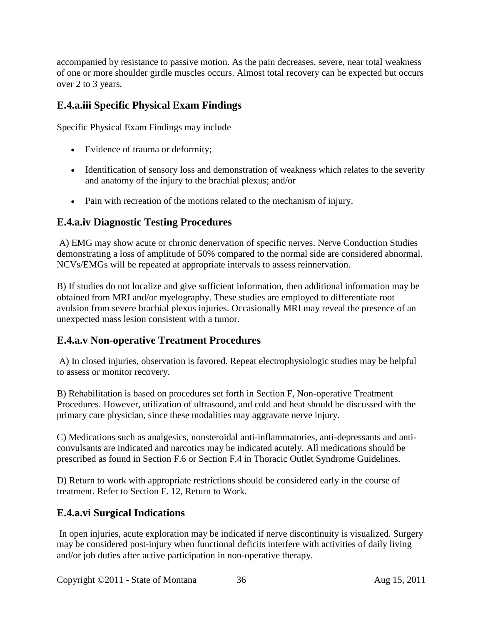accompanied by resistance to passive motion. As the pain decreases, severe, near total weakness of one or more shoulder girdle muscles occurs. Almost total recovery can be expected but occurs over 2 to 3 years.

## **E.4.a.iii Specific Physical Exam Findings**

Specific Physical Exam Findings may include

- Evidence of trauma or deformity;
- Identification of sensory loss and demonstration of weakness which relates to the severity and anatomy of the injury to the brachial plexus; and/or
- Pain with recreation of the motions related to the mechanism of injury.

### **E.4.a.iv Diagnostic Testing Procedures**

A) EMG may show acute or chronic denervation of specific nerves. Nerve Conduction Studies demonstrating a loss of amplitude of 50% compared to the normal side are considered abnormal. NCVs/EMGs will be repeated at appropriate intervals to assess reinnervation.

B) If studies do not localize and give sufficient information, then additional information may be obtained from MRI and/or myelography. These studies are employed to differentiate root avulsion from severe brachial plexus injuries. Occasionally MRI may reveal the presence of an unexpected mass lesion consistent with a tumor.

## **E.4.a.v Non-operative Treatment Procedures**

A) In closed injuries, observation is favored. Repeat electrophysiologic studies may be helpful to assess or monitor recovery.

B) Rehabilitation is based on procedures set forth in Section F, Non-operative Treatment Procedures. However, utilization of ultrasound, and cold and heat should be discussed with the primary care physician, since these modalities may aggravate nerve injury.

C) Medications such as analgesics, nonsteroidal anti-inflammatories, anti-depressants and anticonvulsants are indicated and narcotics may be indicated acutely. All medications should be prescribed as found in Section F.6 or Section F.4 in Thoracic Outlet Syndrome Guidelines.

D) Return to work with appropriate restrictions should be considered early in the course of treatment. Refer to Section F. 12, Return to Work.

# **E.4.a.vi Surgical Indications**

In open injuries, acute exploration may be indicated if nerve discontinuity is visualized. Surgery may be considered post-injury when functional deficits interfere with activities of daily living and/or job duties after active participation in non-operative therapy.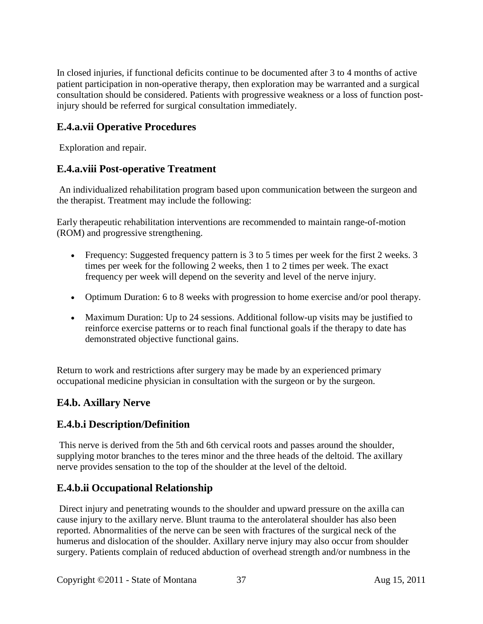In closed injuries, if functional deficits continue to be documented after 3 to 4 months of active patient participation in non-operative therapy, then exploration may be warranted and a surgical consultation should be considered. Patients with progressive weakness or a loss of function postinjury should be referred for surgical consultation immediately.

## **E.4.a.vii Operative Procedures**

Exploration and repair.

### **E.4.a.viii Post-operative Treatment**

An individualized rehabilitation program based upon communication between the surgeon and the therapist. Treatment may include the following:

Early therapeutic rehabilitation interventions are recommended to maintain range-of-motion (ROM) and progressive strengthening.

- Frequency: Suggested frequency pattern is 3 to 5 times per week for the first 2 weeks. 3 times per week for the following 2 weeks, then 1 to 2 times per week. The exact frequency per week will depend on the severity and level of the nerve injury.
- Optimum Duration: 6 to 8 weeks with progression to home exercise and/or pool therapy.
- Maximum Duration: Up to 24 sessions. Additional follow-up visits may be justified to reinforce exercise patterns or to reach final functional goals if the therapy to date has demonstrated objective functional gains.

Return to work and restrictions after surgery may be made by an experienced primary occupational medicine physician in consultation with the surgeon or by the surgeon.

## **E4.b. Axillary Nerve**

#### **E.4.b.i Description/Definition**

This nerve is derived from the 5th and 6th cervical roots and passes around the shoulder, supplying motor branches to the teres minor and the three heads of the deltoid. The axillary nerve provides sensation to the top of the shoulder at the level of the deltoid.

## **E.4.b.ii Occupational Relationship**

Direct injury and penetrating wounds to the shoulder and upward pressure on the axilla can cause injury to the axillary nerve. Blunt trauma to the anterolateral shoulder has also been reported. Abnormalities of the nerve can be seen with fractures of the surgical neck of the humerus and dislocation of the shoulder. Axillary nerve injury may also occur from shoulder surgery. Patients complain of reduced abduction of overhead strength and/or numbness in the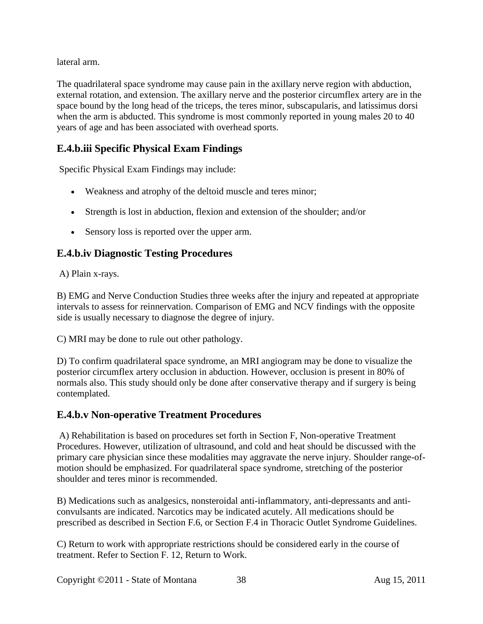lateral arm.

The quadrilateral space syndrome may cause pain in the axillary nerve region with abduction, external rotation, and extension. The axillary nerve and the posterior circumflex artery are in the space bound by the long head of the triceps, the teres minor, subscapularis, and latissimus dorsi when the arm is abducted. This syndrome is most commonly reported in young males 20 to 40 years of age and has been associated with overhead sports.

## **E.4.b.iii Specific Physical Exam Findings**

Specific Physical Exam Findings may include:

- Weakness and atrophy of the deltoid muscle and teres minor;
- Strength is lost in abduction, flexion and extension of the shoulder; and/or
- Sensory loss is reported over the upper arm.

## **E.4.b.iv Diagnostic Testing Procedures**

A) Plain x-rays.

B) EMG and Nerve Conduction Studies three weeks after the injury and repeated at appropriate intervals to assess for reinnervation. Comparison of EMG and NCV findings with the opposite side is usually necessary to diagnose the degree of injury.

C) MRI may be done to rule out other pathology.

D) To confirm quadrilateral space syndrome, an MRI angiogram may be done to visualize the posterior circumflex artery occlusion in abduction. However, occlusion is present in 80% of normals also. This study should only be done after conservative therapy and if surgery is being contemplated.

#### **E.4.b.v Non-operative Treatment Procedures**

A) Rehabilitation is based on procedures set forth in Section F, Non-operative Treatment Procedures. However, utilization of ultrasound, and cold and heat should be discussed with the primary care physician since these modalities may aggravate the nerve injury. Shoulder range-ofmotion should be emphasized. For quadrilateral space syndrome, stretching of the posterior shoulder and teres minor is recommended.

B) Medications such as analgesics, nonsteroidal anti-inflammatory, anti-depressants and anticonvulsants are indicated. Narcotics may be indicated acutely. All medications should be prescribed as described in Section F.6, or Section F.4 in Thoracic Outlet Syndrome Guidelines.

C) Return to work with appropriate restrictions should be considered early in the course of treatment. Refer to Section F. 12, Return to Work.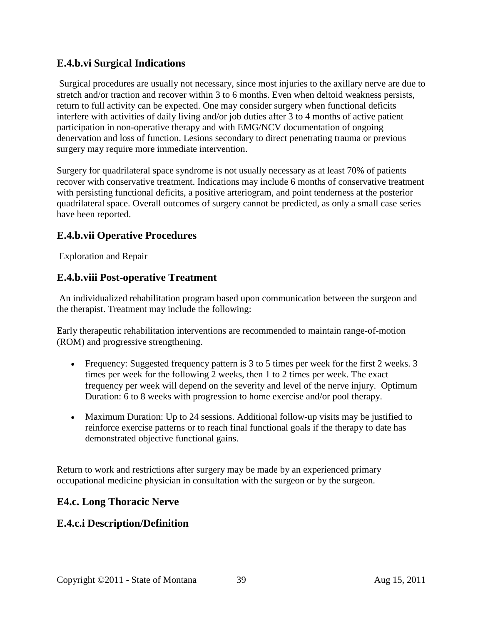### **E.4.b.vi Surgical Indications**

Surgical procedures are usually not necessary, since most injuries to the axillary nerve are due to stretch and/or traction and recover within 3 to 6 months. Even when deltoid weakness persists, return to full activity can be expected. One may consider surgery when functional deficits interfere with activities of daily living and/or job duties after 3 to 4 months of active patient participation in non-operative therapy and with EMG/NCV documentation of ongoing denervation and loss of function. Lesions secondary to direct penetrating trauma or previous surgery may require more immediate intervention.

Surgery for quadrilateral space syndrome is not usually necessary as at least 70% of patients recover with conservative treatment. Indications may include 6 months of conservative treatment with persisting functional deficits, a positive arteriogram, and point tenderness at the posterior quadrilateral space. Overall outcomes of surgery cannot be predicted, as only a small case series have been reported.

### **E.4.b.vii Operative Procedures**

Exploration and Repair

#### **E.4.b.viii Post-operative Treatment**

An individualized rehabilitation program based upon communication between the surgeon and the therapist. Treatment may include the following:

Early therapeutic rehabilitation interventions are recommended to maintain range-of-motion (ROM) and progressive strengthening.

- Frequency: Suggested frequency pattern is 3 to 5 times per week for the first 2 weeks. 3 times per week for the following 2 weeks, then 1 to 2 times per week. The exact frequency per week will depend on the severity and level of the nerve injury. Optimum Duration: 6 to 8 weeks with progression to home exercise and/or pool therapy.
- Maximum Duration: Up to 24 sessions. Additional follow-up visits may be justified to reinforce exercise patterns or to reach final functional goals if the therapy to date has demonstrated objective functional gains.

Return to work and restrictions after surgery may be made by an experienced primary occupational medicine physician in consultation with the surgeon or by the surgeon.

#### **E4.c. Long Thoracic Nerve**

## **E.4.c.i Description/Definition**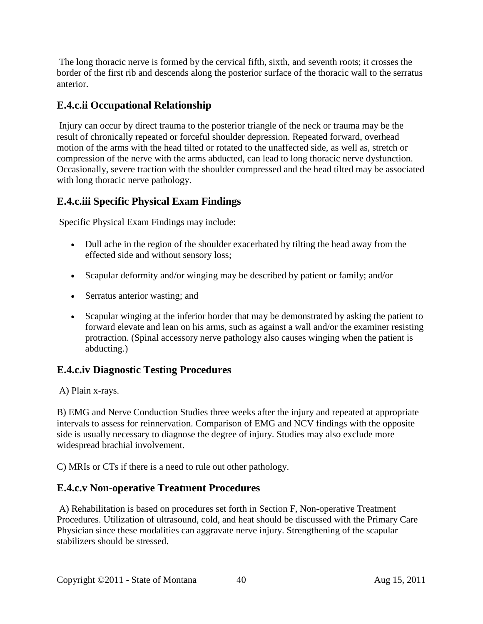The long thoracic nerve is formed by the cervical fifth, sixth, and seventh roots; it crosses the border of the first rib and descends along the posterior surface of the thoracic wall to the serratus anterior.

## **E.4.c.ii Occupational Relationship**

Injury can occur by direct trauma to the posterior triangle of the neck or trauma may be the result of chronically repeated or forceful shoulder depression. Repeated forward, overhead motion of the arms with the head tilted or rotated to the unaffected side, as well as, stretch or compression of the nerve with the arms abducted, can lead to long thoracic nerve dysfunction. Occasionally, severe traction with the shoulder compressed and the head tilted may be associated with long thoracic nerve pathology.

## **E.4.c.iii Specific Physical Exam Findings**

Specific Physical Exam Findings may include:

- Dull ache in the region of the shoulder exacerbated by tilting the head away from the effected side and without sensory loss;
- Scapular deformity and/or winging may be described by patient or family; and/or
- Serratus anterior wasting; and
- Scapular winging at the inferior border that may be demonstrated by asking the patient to forward elevate and lean on his arms, such as against a wall and/or the examiner resisting protraction. (Spinal accessory nerve pathology also causes winging when the patient is abducting.)

#### **E.4.c.iv Diagnostic Testing Procedures**

A) Plain x-rays.

B) EMG and Nerve Conduction Studies three weeks after the injury and repeated at appropriate intervals to assess for reinnervation. Comparison of EMG and NCV findings with the opposite side is usually necessary to diagnose the degree of injury. Studies may also exclude more widespread brachial involvement.

C) MRIs or CTs if there is a need to rule out other pathology.

#### **E.4.c.v Non-operative Treatment Procedures**

A) Rehabilitation is based on procedures set forth in Section F, Non-operative Treatment Procedures. Utilization of ultrasound, cold, and heat should be discussed with the Primary Care Physician since these modalities can aggravate nerve injury. Strengthening of the scapular stabilizers should be stressed.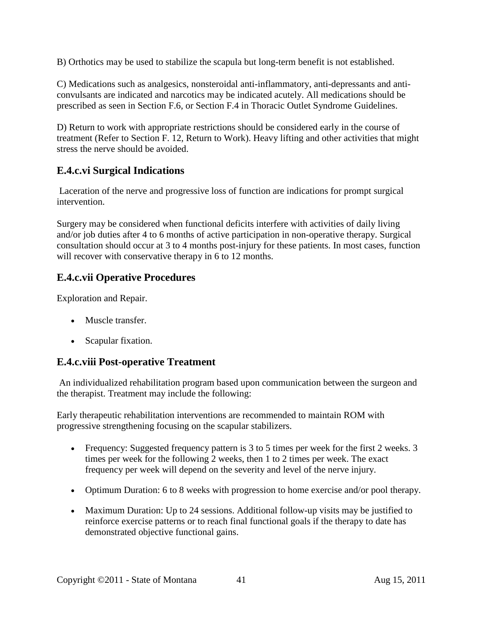B) Orthotics may be used to stabilize the scapula but long-term benefit is not established.

C) Medications such as analgesics, nonsteroidal anti-inflammatory, anti-depressants and anticonvulsants are indicated and narcotics may be indicated acutely. All medications should be prescribed as seen in Section F.6, or Section F.4 in Thoracic Outlet Syndrome Guidelines.

D) Return to work with appropriate restrictions should be considered early in the course of treatment (Refer to Section F. 12, Return to Work). Heavy lifting and other activities that might stress the nerve should be avoided.

## **E.4.c.vi Surgical Indications**

Laceration of the nerve and progressive loss of function are indications for prompt surgical intervention.

Surgery may be considered when functional deficits interfere with activities of daily living and/or job duties after 4 to 6 months of active participation in non-operative therapy. Surgical consultation should occur at 3 to 4 months post-injury for these patients. In most cases, function will recover with conservative therapy in 6 to 12 months.

## **E.4.c.vii Operative Procedures**

Exploration and Repair.

- Muscle transfer.
- Scapular fixation.

#### **E.4.c.viii Post-operative Treatment**

An individualized rehabilitation program based upon communication between the surgeon and the therapist. Treatment may include the following:

Early therapeutic rehabilitation interventions are recommended to maintain ROM with progressive strengthening focusing on the scapular stabilizers.

- Frequency: Suggested frequency pattern is 3 to 5 times per week for the first 2 weeks. 3 times per week for the following 2 weeks, then 1 to 2 times per week. The exact frequency per week will depend on the severity and level of the nerve injury.
- Optimum Duration: 6 to 8 weeks with progression to home exercise and/or pool therapy.
- Maximum Duration: Up to 24 sessions. Additional follow-up visits may be justified to reinforce exercise patterns or to reach final functional goals if the therapy to date has demonstrated objective functional gains.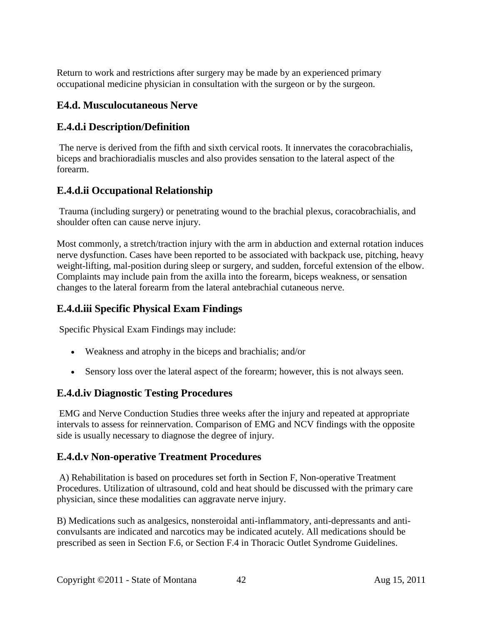Return to work and restrictions after surgery may be made by an experienced primary occupational medicine physician in consultation with the surgeon or by the surgeon.

#### **E4.d. Musculocutaneous Nerve**

### **E.4.d.i Description/Definition**

The nerve is derived from the fifth and sixth cervical roots. It innervates the coracobrachialis, biceps and brachioradialis muscles and also provides sensation to the lateral aspect of the forearm.

## **E.4.d.ii Occupational Relationship**

Trauma (including surgery) or penetrating wound to the brachial plexus, coracobrachialis, and shoulder often can cause nerve injury.

Most commonly, a stretch/traction injury with the arm in abduction and external rotation induces nerve dysfunction. Cases have been reported to be associated with backpack use, pitching, heavy weight-lifting, mal-position during sleep or surgery, and sudden, forceful extension of the elbow. Complaints may include pain from the axilla into the forearm, biceps weakness, or sensation changes to the lateral forearm from the lateral antebrachial cutaneous nerve.

## **E.4.d.iii Specific Physical Exam Findings**

Specific Physical Exam Findings may include:

- Weakness and atrophy in the biceps and brachialis; and/or
- Sensory loss over the lateral aspect of the forearm; however, this is not always seen.

#### **E.4.d.iv Diagnostic Testing Procedures**

EMG and Nerve Conduction Studies three weeks after the injury and repeated at appropriate intervals to assess for reinnervation. Comparison of EMG and NCV findings with the opposite side is usually necessary to diagnose the degree of injury.

## **E.4.d.v Non-operative Treatment Procedures**

A) Rehabilitation is based on procedures set forth in Section F, Non-operative Treatment Procedures. Utilization of ultrasound, cold and heat should be discussed with the primary care physician, since these modalities can aggravate nerve injury.

B) Medications such as analgesics, nonsteroidal anti-inflammatory, anti-depressants and anticonvulsants are indicated and narcotics may be indicated acutely. All medications should be prescribed as seen in Section F.6, or Section F.4 in Thoracic Outlet Syndrome Guidelines.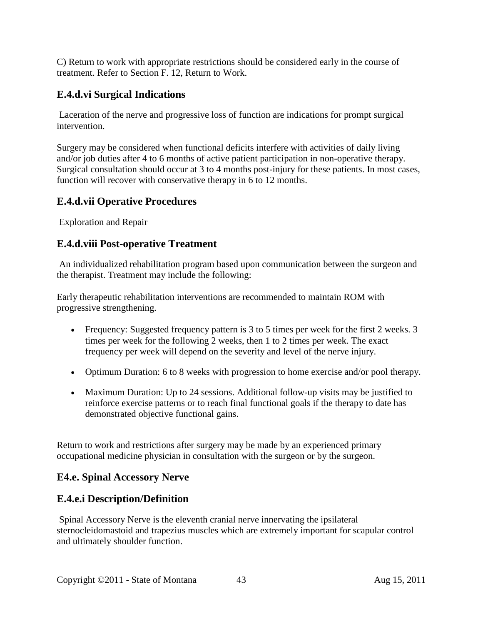C) Return to work with appropriate restrictions should be considered early in the course of treatment. Refer to Section F. 12, Return to Work.

## **E.4.d.vi Surgical Indications**

Laceration of the nerve and progressive loss of function are indications for prompt surgical intervention.

Surgery may be considered when functional deficits interfere with activities of daily living and/or job duties after 4 to 6 months of active patient participation in non-operative therapy. Surgical consultation should occur at 3 to 4 months post-injury for these patients. In most cases, function will recover with conservative therapy in 6 to 12 months.

#### **E.4.d.vii Operative Procedures**

Exploration and Repair

#### **E.4.d.viii Post-operative Treatment**

An individualized rehabilitation program based upon communication between the surgeon and the therapist. Treatment may include the following:

Early therapeutic rehabilitation interventions are recommended to maintain ROM with progressive strengthening.

- Frequency: Suggested frequency pattern is 3 to 5 times per week for the first 2 weeks. 3 times per week for the following 2 weeks, then 1 to 2 times per week. The exact frequency per week will depend on the severity and level of the nerve injury.
- Optimum Duration: 6 to 8 weeks with progression to home exercise and/or pool therapy.
- Maximum Duration: Up to 24 sessions. Additional follow-up visits may be justified to reinforce exercise patterns or to reach final functional goals if the therapy to date has demonstrated objective functional gains.

Return to work and restrictions after surgery may be made by an experienced primary occupational medicine physician in consultation with the surgeon or by the surgeon.

#### **E4.e. Spinal Accessory Nerve**

#### **E.4.e.i Description/Definition**

Spinal Accessory Nerve is the eleventh cranial nerve innervating the ipsilateral sternocleidomastoid and trapezius muscles which are extremely important for scapular control and ultimately shoulder function.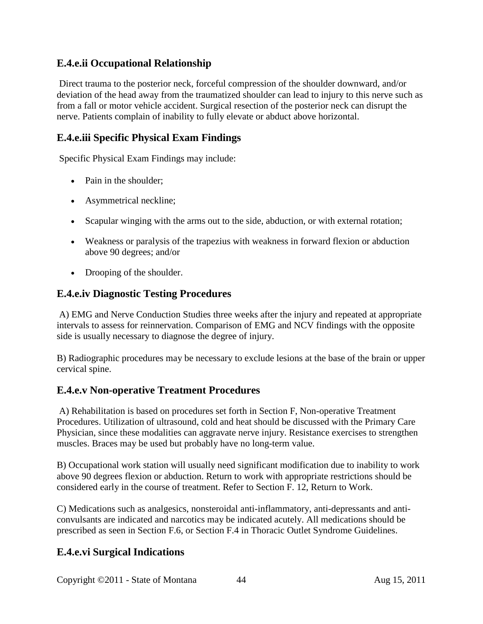### **E.4.e.ii Occupational Relationship**

Direct trauma to the posterior neck, forceful compression of the shoulder downward, and/or deviation of the head away from the traumatized shoulder can lead to injury to this nerve such as from a fall or motor vehicle accident. Surgical resection of the posterior neck can disrupt the nerve. Patients complain of inability to fully elevate or abduct above horizontal.

### **E.4.e.iii Specific Physical Exam Findings**

Specific Physical Exam Findings may include:

- Pain in the shoulder;
- Asymmetrical neckline;
- Scapular winging with the arms out to the side, abduction, or with external rotation;
- Weakness or paralysis of the trapezius with weakness in forward flexion or abduction above 90 degrees; and/or
- Drooping of the shoulder.

#### **E.4.e.iv Diagnostic Testing Procedures**

A) EMG and Nerve Conduction Studies three weeks after the injury and repeated at appropriate intervals to assess for reinnervation. Comparison of EMG and NCV findings with the opposite side is usually necessary to diagnose the degree of injury.

B) Radiographic procedures may be necessary to exclude lesions at the base of the brain or upper cervical spine.

#### **E.4.e.v Non-operative Treatment Procedures**

A) Rehabilitation is based on procedures set forth in Section F, Non-operative Treatment Procedures. Utilization of ultrasound, cold and heat should be discussed with the Primary Care Physician, since these modalities can aggravate nerve injury. Resistance exercises to strengthen muscles. Braces may be used but probably have no long-term value.

B) Occupational work station will usually need significant modification due to inability to work above 90 degrees flexion or abduction. Return to work with appropriate restrictions should be considered early in the course of treatment. Refer to Section F. 12, Return to Work.

C) Medications such as analgesics, nonsteroidal anti-inflammatory, anti-depressants and anticonvulsants are indicated and narcotics may be indicated acutely. All medications should be prescribed as seen in Section F.6, or Section F.4 in Thoracic Outlet Syndrome Guidelines.

## **E.4.e.vi Surgical Indications**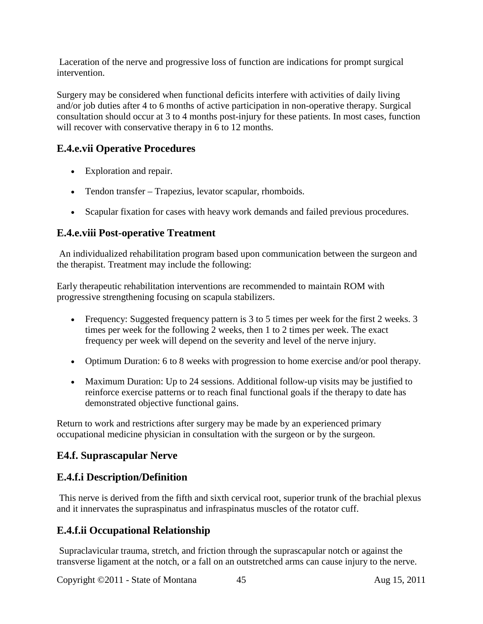Laceration of the nerve and progressive loss of function are indications for prompt surgical intervention.

Surgery may be considered when functional deficits interfere with activities of daily living and/or job duties after 4 to 6 months of active participation in non-operative therapy. Surgical consultation should occur at 3 to 4 months post-injury for these patients. In most cases, function will recover with conservative therapy in 6 to 12 months.

## **E.4.e.vii Operative Procedures**

- Exploration and repair.
- Tendon transfer Trapezius, levator scapular, rhomboids.
- Scapular fixation for cases with heavy work demands and failed previous procedures.

### **E.4.e.viii Post-operative Treatment**

An individualized rehabilitation program based upon communication between the surgeon and the therapist. Treatment may include the following:

Early therapeutic rehabilitation interventions are recommended to maintain ROM with progressive strengthening focusing on scapula stabilizers.

- Frequency: Suggested frequency pattern is 3 to 5 times per week for the first 2 weeks. 3 times per week for the following 2 weeks, then 1 to 2 times per week. The exact frequency per week will depend on the severity and level of the nerve injury.
- Optimum Duration: 6 to 8 weeks with progression to home exercise and/or pool therapy.
- Maximum Duration: Up to 24 sessions. Additional follow-up visits may be justified to reinforce exercise patterns or to reach final functional goals if the therapy to date has demonstrated objective functional gains.

Return to work and restrictions after surgery may be made by an experienced primary occupational medicine physician in consultation with the surgeon or by the surgeon.

#### **E4.f. Suprascapular Nerve**

## **E.4.f.i Description/Definition**

This nerve is derived from the fifth and sixth cervical root, superior trunk of the brachial plexus and it innervates the supraspinatus and infraspinatus muscles of the rotator cuff.

## **E.4.f.ii Occupational Relationship**

Supraclavicular trauma, stretch, and friction through the suprascapular notch or against the transverse ligament at the notch, or a fall on an outstretched arms can cause injury to the nerve.

Copyright ©2011 - State of Montana 45 Aug 15, 2011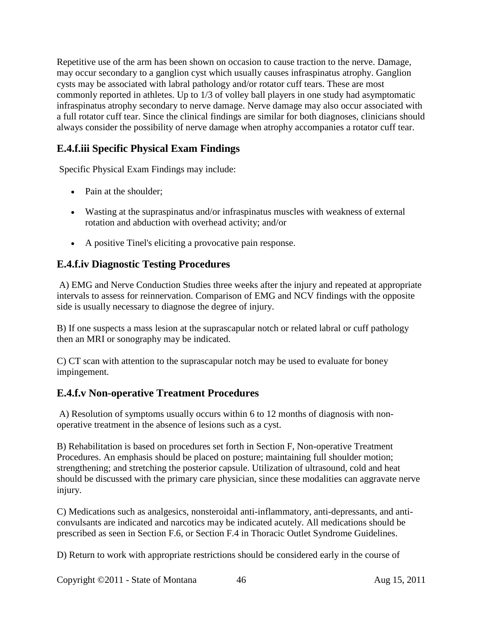Repetitive use of the arm has been shown on occasion to cause traction to the nerve. Damage, may occur secondary to a ganglion cyst which usually causes infraspinatus atrophy. Ganglion cysts may be associated with labral pathology and/or rotator cuff tears. These are most commonly reported in athletes. Up to 1/3 of volley ball players in one study had asymptomatic infraspinatus atrophy secondary to nerve damage. Nerve damage may also occur associated with a full rotator cuff tear. Since the clinical findings are similar for both diagnoses, clinicians should always consider the possibility of nerve damage when atrophy accompanies a rotator cuff tear.

# **E.4.f.iii Specific Physical Exam Findings**

Specific Physical Exam Findings may include:

- Pain at the shoulder:
- Wasting at the supraspinatus and/or infraspinatus muscles with weakness of external rotation and abduction with overhead activity; and/or
- A positive Tinel's eliciting a provocative pain response.

## **E.4.f.iv Diagnostic Testing Procedures**

A) EMG and Nerve Conduction Studies three weeks after the injury and repeated at appropriate intervals to assess for reinnervation. Comparison of EMG and NCV findings with the opposite side is usually necessary to diagnose the degree of injury.

B) If one suspects a mass lesion at the suprascapular notch or related labral or cuff pathology then an MRI or sonography may be indicated.

C) CT scan with attention to the suprascapular notch may be used to evaluate for boney impingement.

#### **E.4.f.v Non-operative Treatment Procedures**

A) Resolution of symptoms usually occurs within 6 to 12 months of diagnosis with nonoperative treatment in the absence of lesions such as a cyst.

B) Rehabilitation is based on procedures set forth in Section F, Non-operative Treatment Procedures. An emphasis should be placed on posture; maintaining full shoulder motion; strengthening; and stretching the posterior capsule. Utilization of ultrasound, cold and heat should be discussed with the primary care physician, since these modalities can aggravate nerve injury.

C) Medications such as analgesics, nonsteroidal anti-inflammatory, anti-depressants, and anticonvulsants are indicated and narcotics may be indicated acutely. All medications should be prescribed as seen in Section F.6, or Section F.4 in Thoracic Outlet Syndrome Guidelines.

D) Return to work with appropriate restrictions should be considered early in the course of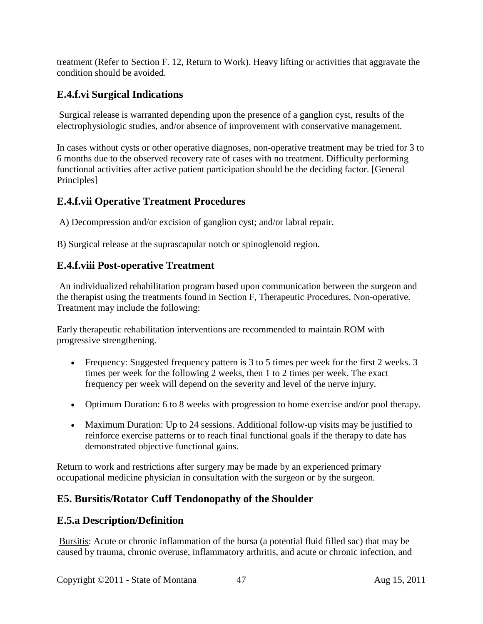treatment (Refer to Section F. 12, Return to Work). Heavy lifting or activities that aggravate the condition should be avoided.

## **E.4.f.vi Surgical Indications**

Surgical release is warranted depending upon the presence of a ganglion cyst, results of the electrophysiologic studies, and/or absence of improvement with conservative management.

In cases without cysts or other operative diagnoses, non-operative treatment may be tried for 3 to 6 months due to the observed recovery rate of cases with no treatment. Difficulty performing functional activities after active patient participation should be the deciding factor. [General Principles]

### **E.4.f.vii Operative Treatment Procedures**

A) Decompression and/or excision of ganglion cyst; and/or labral repair.

B) Surgical release at the suprascapular notch or spinoglenoid region.

### **E.4.f.viii Post-operative Treatment**

An individualized rehabilitation program based upon communication between the surgeon and the therapist using the treatments found in Section F, Therapeutic Procedures, Non-operative. Treatment may include the following:

Early therapeutic rehabilitation interventions are recommended to maintain ROM with progressive strengthening.

- Frequency: Suggested frequency pattern is 3 to 5 times per week for the first 2 weeks. 3 times per week for the following 2 weeks, then 1 to 2 times per week. The exact frequency per week will depend on the severity and level of the nerve injury.
- Optimum Duration: 6 to 8 weeks with progression to home exercise and/or pool therapy.
- Maximum Duration: Up to 24 sessions. Additional follow-up visits may be justified to reinforce exercise patterns or to reach final functional goals if the therapy to date has demonstrated objective functional gains.

Return to work and restrictions after surgery may be made by an experienced primary occupational medicine physician in consultation with the surgeon or by the surgeon.

## **E5. Bursitis/Rotator Cuff Tendonopathy of the Shoulder**

#### **E.5.a Description/Definition**

Bursitis: Acute or chronic inflammation of the bursa (a potential fluid filled sac) that may be caused by trauma, chronic overuse, inflammatory arthritis, and acute or chronic infection, and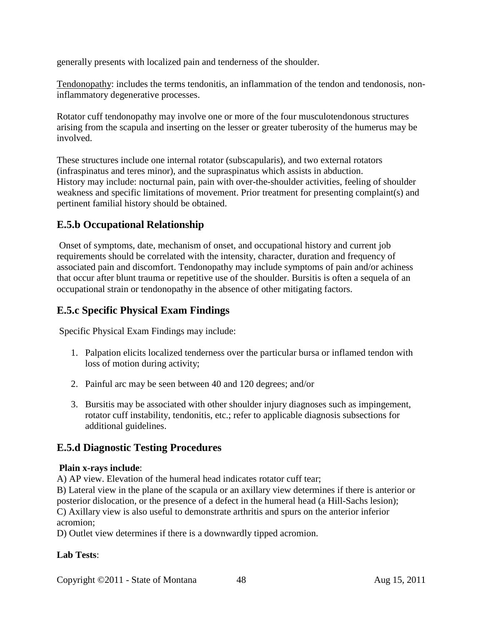generally presents with localized pain and tenderness of the shoulder.

Tendonopathy: includes the terms tendonitis, an inflammation of the tendon and tendonosis, noninflammatory degenerative processes.

Rotator cuff tendonopathy may involve one or more of the four musculotendonous structures arising from the scapula and inserting on the lesser or greater tuberosity of the humerus may be involved.

These structures include one internal rotator (subscapularis), and two external rotators (infraspinatus and teres minor), and the supraspinatus which assists in abduction. History may include: nocturnal pain, pain with over-the-shoulder activities, feeling of shoulder weakness and specific limitations of movement. Prior treatment for presenting complaint(s) and pertinent familial history should be obtained.

### **E.5.b Occupational Relationship**

Onset of symptoms, date, mechanism of onset, and occupational history and current job requirements should be correlated with the intensity, character, duration and frequency of associated pain and discomfort. Tendonopathy may include symptoms of pain and/or achiness that occur after blunt trauma or repetitive use of the shoulder. Bursitis is often a sequela of an occupational strain or tendonopathy in the absence of other mitigating factors.

#### **E.5.c Specific Physical Exam Findings**

Specific Physical Exam Findings may include:

- 1. Palpation elicits localized tenderness over the particular bursa or inflamed tendon with loss of motion during activity;
- 2. Painful arc may be seen between 40 and 120 degrees; and/or
- 3. Bursitis may be associated with other shoulder injury diagnoses such as impingement, rotator cuff instability, tendonitis, etc.; refer to applicable diagnosis subsections for additional guidelines.

#### **E.5.d Diagnostic Testing Procedures**

#### **Plain x-rays include**:

A) AP view. Elevation of the humeral head indicates rotator cuff tear;

B) Lateral view in the plane of the scapula or an axillary view determines if there is anterior or posterior dislocation, or the presence of a defect in the humeral head (a Hill-Sachs lesion); C) Axillary view is also useful to demonstrate arthritis and spurs on the anterior inferior acromion;

D) Outlet view determines if there is a downwardly tipped acromion.

#### **Lab Tests**:

Copyright ©2011 - State of Montana 48 Aug 15, 2011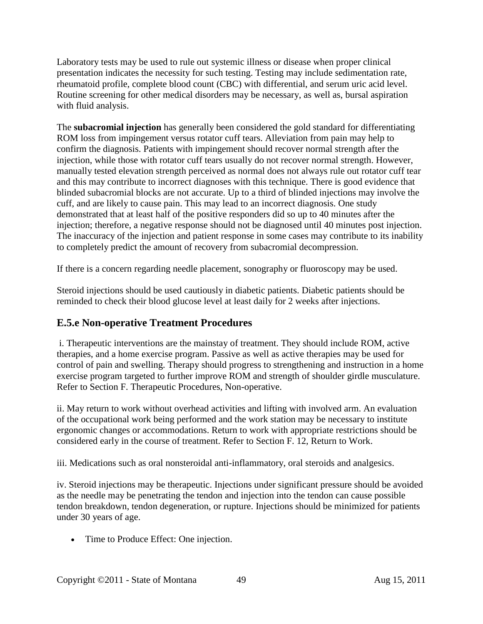Laboratory tests may be used to rule out systemic illness or disease when proper clinical presentation indicates the necessity for such testing. Testing may include sedimentation rate, rheumatoid profile, complete blood count (CBC) with differential, and serum uric acid level. Routine screening for other medical disorders may be necessary, as well as, bursal aspiration with fluid analysis.

The **subacromial injection** has generally been considered the gold standard for differentiating ROM loss from impingement versus rotator cuff tears. Alleviation from pain may help to confirm the diagnosis. Patients with impingement should recover normal strength after the injection, while those with rotator cuff tears usually do not recover normal strength. However, manually tested elevation strength perceived as normal does not always rule out rotator cuff tear and this may contribute to incorrect diagnoses with this technique. There is good evidence that blinded subacromial blocks are not accurate. Up to a third of blinded injections may involve the cuff, and are likely to cause pain. This may lead to an incorrect diagnosis. One study demonstrated that at least half of the positive responders did so up to 40 minutes after the injection; therefore, a negative response should not be diagnosed until 40 minutes post injection. The inaccuracy of the injection and patient response in some cases may contribute to its inability to completely predict the amount of recovery from subacromial decompression.

If there is a concern regarding needle placement, sonography or fluoroscopy may be used.

Steroid injections should be used cautiously in diabetic patients. Diabetic patients should be reminded to check their blood glucose level at least daily for 2 weeks after injections.

## **E.5.e Non-operative Treatment Procedures**

i. Therapeutic interventions are the mainstay of treatment. They should include ROM, active therapies, and a home exercise program. Passive as well as active therapies may be used for control of pain and swelling. Therapy should progress to strengthening and instruction in a home exercise program targeted to further improve ROM and strength of shoulder girdle musculature. Refer to Section F. Therapeutic Procedures, Non-operative.

ii. May return to work without overhead activities and lifting with involved arm. An evaluation of the occupational work being performed and the work station may be necessary to institute ergonomic changes or accommodations. Return to work with appropriate restrictions should be considered early in the course of treatment. Refer to Section F. 12, Return to Work.

iii. Medications such as oral nonsteroidal anti-inflammatory, oral steroids and analgesics.

iv. Steroid injections may be therapeutic. Injections under significant pressure should be avoided as the needle may be penetrating the tendon and injection into the tendon can cause possible tendon breakdown, tendon degeneration, or rupture. Injections should be minimized for patients under 30 years of age.

• Time to Produce Effect: One injection.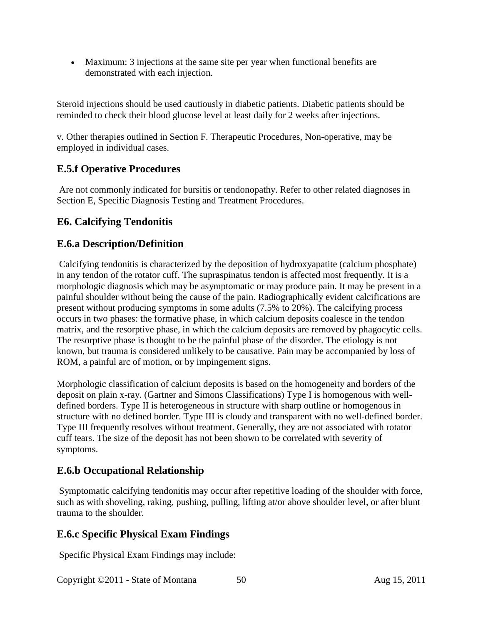• Maximum: 3 injections at the same site per year when functional benefits are demonstrated with each injection.

Steroid injections should be used cautiously in diabetic patients. Diabetic patients should be reminded to check their blood glucose level at least daily for 2 weeks after injections.

v. Other therapies outlined in Section F. Therapeutic Procedures, Non-operative, may be employed in individual cases.

## **E.5.f Operative Procedures**

Are not commonly indicated for bursitis or tendonopathy. Refer to other related diagnoses in Section E, Specific Diagnosis Testing and Treatment Procedures.

## **E6. Calcifying Tendonitis**

### **E.6.a Description/Definition**

Calcifying tendonitis is characterized by the deposition of hydroxyapatite (calcium phosphate) in any tendon of the rotator cuff. The supraspinatus tendon is affected most frequently. It is a morphologic diagnosis which may be asymptomatic or may produce pain. It may be present in a painful shoulder without being the cause of the pain. Radiographically evident calcifications are present without producing symptoms in some adults (7.5% to 20%). The calcifying process occurs in two phases: the formative phase, in which calcium deposits coalesce in the tendon matrix, and the resorptive phase, in which the calcium deposits are removed by phagocytic cells. The resorptive phase is thought to be the painful phase of the disorder. The etiology is not known, but trauma is considered unlikely to be causative. Pain may be accompanied by loss of ROM, a painful arc of motion, or by impingement signs.

Morphologic classification of calcium deposits is based on the homogeneity and borders of the deposit on plain x-ray. (Gartner and Simons Classifications) Type I is homogenous with welldefined borders. Type II is heterogeneous in structure with sharp outline or homogenous in structure with no defined border. Type III is cloudy and transparent with no well-defined border. Type III frequently resolves without treatment. Generally, they are not associated with rotator cuff tears. The size of the deposit has not been shown to be correlated with severity of symptoms.

## **E.6.b Occupational Relationship**

Symptomatic calcifying tendonitis may occur after repetitive loading of the shoulder with force, such as with shoveling, raking, pushing, pulling, lifting at/or above shoulder level, or after blunt trauma to the shoulder.

## **E.6.c Specific Physical Exam Findings**

Specific Physical Exam Findings may include:

Copyright ©2011 - State of Montana 50 Aug 15, 2011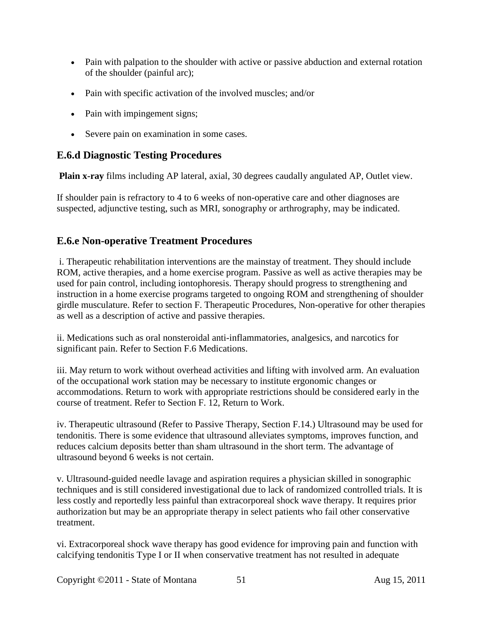- Pain with palpation to the shoulder with active or passive abduction and external rotation of the shoulder (painful arc);
- Pain with specific activation of the involved muscles; and/or
- Pain with impingement signs;
- Severe pain on examination in some cases.

## **E.6.d Diagnostic Testing Procedures**

**Plain x-ray** films including AP lateral, axial, 30 degrees caudally angulated AP, Outlet view.

If shoulder pain is refractory to 4 to 6 weeks of non-operative care and other diagnoses are suspected, adjunctive testing, such as MRI, sonography or arthrography, may be indicated.

## **E.6.e Non-operative Treatment Procedures**

i. Therapeutic rehabilitation interventions are the mainstay of treatment. They should include ROM, active therapies, and a home exercise program. Passive as well as active therapies may be used for pain control, including iontophoresis. Therapy should progress to strengthening and instruction in a home exercise programs targeted to ongoing ROM and strengthening of shoulder girdle musculature. Refer to section F. Therapeutic Procedures, Non-operative for other therapies as well as a description of active and passive therapies.

ii. Medications such as oral nonsteroidal anti-inflammatories, analgesics, and narcotics for significant pain. Refer to Section F.6 Medications.

iii. May return to work without overhead activities and lifting with involved arm. An evaluation of the occupational work station may be necessary to institute ergonomic changes or accommodations. Return to work with appropriate restrictions should be considered early in the course of treatment. Refer to Section F. 12, Return to Work.

iv. Therapeutic ultrasound (Refer to Passive Therapy, Section F.14.) Ultrasound may be used for tendonitis. There is some evidence that ultrasound alleviates symptoms, improves function, and reduces calcium deposits better than sham ultrasound in the short term. The advantage of ultrasound beyond 6 weeks is not certain.

v. Ultrasound-guided needle lavage and aspiration requires a physician skilled in sonographic techniques and is still considered investigational due to lack of randomized controlled trials. It is less costly and reportedly less painful than extracorporeal shock wave therapy. It requires prior authorization but may be an appropriate therapy in select patients who fail other conservative treatment.

vi. Extracorporeal shock wave therapy has good evidence for improving pain and function with calcifying tendonitis Type I or II when conservative treatment has not resulted in adequate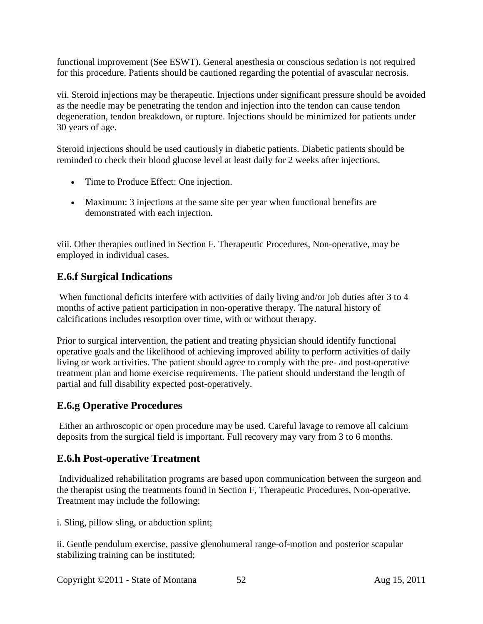functional improvement (See ESWT). General anesthesia or conscious sedation is not required for this procedure. Patients should be cautioned regarding the potential of avascular necrosis.

vii. Steroid injections may be therapeutic. Injections under significant pressure should be avoided as the needle may be penetrating the tendon and injection into the tendon can cause tendon degeneration, tendon breakdown, or rupture. Injections should be minimized for patients under 30 years of age.

Steroid injections should be used cautiously in diabetic patients. Diabetic patients should be reminded to check their blood glucose level at least daily for 2 weeks after injections.

- Time to Produce Effect: One injection.
- Maximum: 3 injections at the same site per year when functional benefits are demonstrated with each injection.

viii. Other therapies outlined in Section F. Therapeutic Procedures, Non-operative, may be employed in individual cases.

## **E.6.f Surgical Indications**

When functional deficits interfere with activities of daily living and/or job duties after 3 to 4 months of active patient participation in non-operative therapy. The natural history of calcifications includes resorption over time, with or without therapy.

Prior to surgical intervention, the patient and treating physician should identify functional operative goals and the likelihood of achieving improved ability to perform activities of daily living or work activities. The patient should agree to comply with the pre- and post-operative treatment plan and home exercise requirements. The patient should understand the length of partial and full disability expected post-operatively.

#### **E.6.g Operative Procedures**

Either an arthroscopic or open procedure may be used. Careful lavage to remove all calcium deposits from the surgical field is important. Full recovery may vary from 3 to 6 months.

#### **E.6.h Post-operative Treatment**

Individualized rehabilitation programs are based upon communication between the surgeon and the therapist using the treatments found in Section F, Therapeutic Procedures, Non-operative. Treatment may include the following:

i. Sling, pillow sling, or abduction splint;

ii. Gentle pendulum exercise, passive glenohumeral range-of-motion and posterior scapular stabilizing training can be instituted;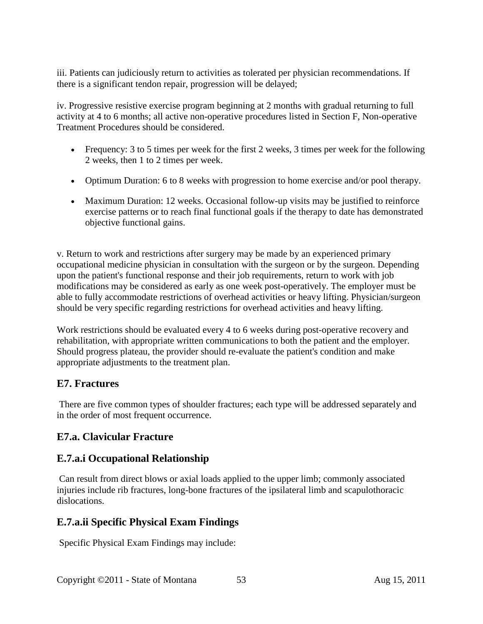iii. Patients can judiciously return to activities as tolerated per physician recommendations. If there is a significant tendon repair, progression will be delayed;

iv. Progressive resistive exercise program beginning at 2 months with gradual returning to full activity at 4 to 6 months; all active non-operative procedures listed in Section F, Non-operative Treatment Procedures should be considered.

- Frequency: 3 to 5 times per week for the first 2 weeks, 3 times per week for the following 2 weeks, then 1 to 2 times per week.
- Optimum Duration: 6 to 8 weeks with progression to home exercise and/or pool therapy.
- Maximum Duration: 12 weeks. Occasional follow-up visits may be justified to reinforce exercise patterns or to reach final functional goals if the therapy to date has demonstrated objective functional gains.

v. Return to work and restrictions after surgery may be made by an experienced primary occupational medicine physician in consultation with the surgeon or by the surgeon. Depending upon the patient's functional response and their job requirements, return to work with job modifications may be considered as early as one week post-operatively. The employer must be able to fully accommodate restrictions of overhead activities or heavy lifting. Physician/surgeon should be very specific regarding restrictions for overhead activities and heavy lifting.

Work restrictions should be evaluated every 4 to 6 weeks during post-operative recovery and rehabilitation, with appropriate written communications to both the patient and the employer. Should progress plateau, the provider should re-evaluate the patient's condition and make appropriate adjustments to the treatment plan.

#### **E7. Fractures**

There are five common types of shoulder fractures; each type will be addressed separately and in the order of most frequent occurrence.

## **E7.a. Clavicular Fracture**

## **E.7.a.i Occupational Relationship**

Can result from direct blows or axial loads applied to the upper limb; commonly associated injuries include rib fractures, long-bone fractures of the ipsilateral limb and scapulothoracic dislocations.

## **E.7.a.ii Specific Physical Exam Findings**

Specific Physical Exam Findings may include: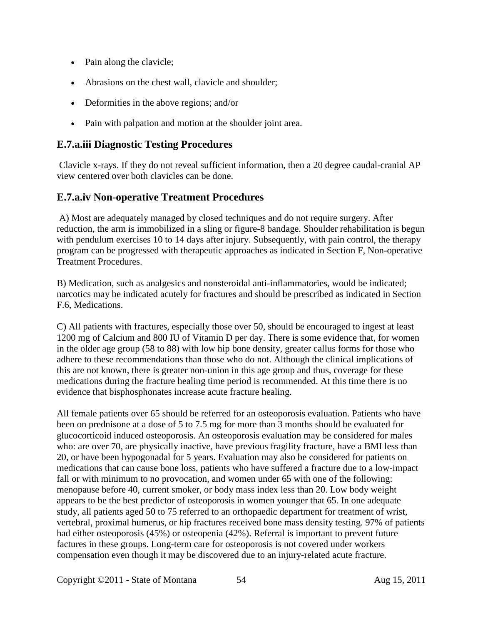- Pain along the clavicle;
- Abrasions on the chest wall, clavicle and shoulder;
- Deformities in the above regions; and/or
- Pain with palpation and motion at the shoulder joint area.

#### **E.7.a.iii Diagnostic Testing Procedures**

Clavicle x-rays. If they do not reveal sufficient information, then a 20 degree caudal-cranial AP view centered over both clavicles can be done.

### **E.7.a.iv Non-operative Treatment Procedures**

A) Most are adequately managed by closed techniques and do not require surgery. After reduction, the arm is immobilized in a sling or figure-8 bandage. Shoulder rehabilitation is begun with pendulum exercises 10 to 14 days after injury. Subsequently, with pain control, the therapy program can be progressed with therapeutic approaches as indicated in Section F, Non-operative Treatment Procedures.

B) Medication, such as analgesics and nonsteroidal anti-inflammatories, would be indicated; narcotics may be indicated acutely for fractures and should be prescribed as indicated in Section F.6, Medications.

C) All patients with fractures, especially those over 50, should be encouraged to ingest at least 1200 mg of Calcium and 800 IU of Vitamin D per day. There is some evidence that, for women in the older age group (58 to 88) with low hip bone density, greater callus forms for those who adhere to these recommendations than those who do not. Although the clinical implications of this are not known, there is greater non-union in this age group and thus, coverage for these medications during the fracture healing time period is recommended. At this time there is no evidence that bisphosphonates increase acute fracture healing.

All female patients over 65 should be referred for an osteoporosis evaluation. Patients who have been on prednisone at a dose of 5 to 7.5 mg for more than 3 months should be evaluated for glucocorticoid induced osteoporosis. An osteoporosis evaluation may be considered for males who: are over 70, are physically inactive, have previous fragility fracture, have a BMI less than 20, or have been hypogonadal for 5 years. Evaluation may also be considered for patients on medications that can cause bone loss, patients who have suffered a fracture due to a low-impact fall or with minimum to no provocation, and women under 65 with one of the following: menopause before 40, current smoker, or body mass index less than 20. Low body weight appears to be the best predictor of osteoporosis in women younger that 65. In one adequate study, all patients aged 50 to 75 referred to an orthopaedic department for treatment of wrist, vertebral, proximal humerus, or hip fractures received bone mass density testing. 97% of patients had either osteoporosis (45%) or osteopenia (42%). Referral is important to prevent future factures in these groups. Long-term care for osteoporosis is not covered under workers compensation even though it may be discovered due to an injury-related acute fracture.

Copyright ©2011 - State of Montana 54 Aug 15, 2011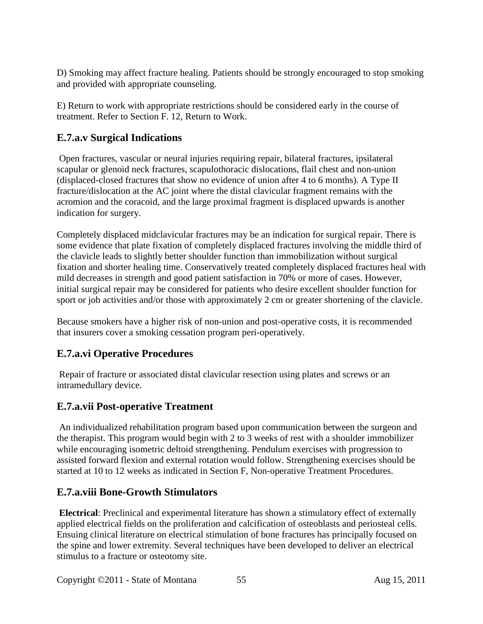D) Smoking may affect fracture healing. Patients should be strongly encouraged to stop smoking and provided with appropriate counseling.

E) Return to work with appropriate restrictions should be considered early in the course of treatment. Refer to Section F. 12, Return to Work.

# **E.7.a.v Surgical Indications**

Open fractures, vascular or neural injuries requiring repair, bilateral fractures, ipsilateral scapular or glenoid neck fractures, scapulothoracic dislocations, flail chest and non-union (displaced-closed fractures that show no evidence of union after 4 to 6 months). A Type II fracture/dislocation at the AC joint where the distal clavicular fragment remains with the acromion and the coracoid, and the large proximal fragment is displaced upwards is another indication for surgery.

Completely displaced midclavicular fractures may be an indication for surgical repair. There is some evidence that plate fixation of completely displaced fractures involving the middle third of the clavicle leads to slightly better shoulder function than immobilization without surgical fixation and shorter healing time. Conservatively treated completely displaced fractures heal with mild decreases in strength and good patient satisfaction in 70% or more of cases. However, initial surgical repair may be considered for patients who desire excellent shoulder function for sport or job activities and/or those with approximately 2 cm or greater shortening of the clavicle.

Because smokers have a higher risk of non-union and post-operative costs, it is recommended that insurers cover a smoking cessation program peri-operatively.

# **E.7.a.vi Operative Procedures**

Repair of fracture or associated distal clavicular resection using plates and screws or an intramedullary device.

# **E.7.a.vii Post-operative Treatment**

An individualized rehabilitation program based upon communication between the surgeon and the therapist. This program would begin with 2 to 3 weeks of rest with a shoulder immobilizer while encouraging isometric deltoid strengthening. Pendulum exercises with progression to assisted forward flexion and external rotation would follow. Strengthening exercises should be started at 10 to 12 weeks as indicated in Section F, Non-operative Treatment Procedures.

## **E.7.a.viii Bone-Growth Stimulators**

**Electrical**: Preclinical and experimental literature has shown a stimulatory effect of externally applied electrical fields on the proliferation and calcification of osteoblasts and periosteal cells. Ensuing clinical literature on electrical stimulation of bone fractures has principally focused on the spine and lower extremity. Several techniques have been developed to deliver an electrical stimulus to a fracture or osteotomy site.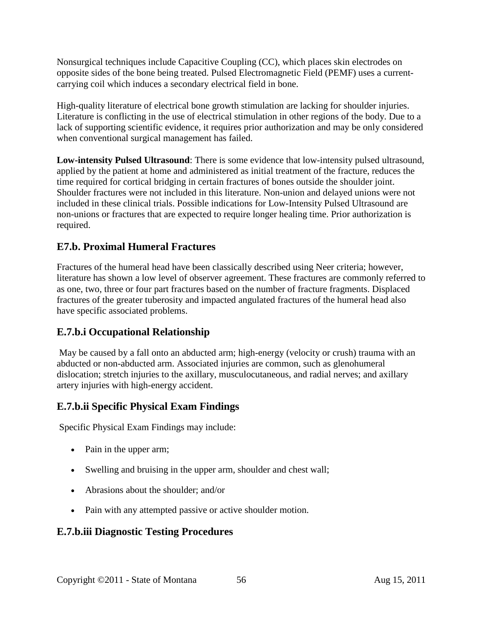Nonsurgical techniques include Capacitive Coupling (CC), which places skin electrodes on opposite sides of the bone being treated. Pulsed Electromagnetic Field (PEMF) uses a currentcarrying coil which induces a secondary electrical field in bone.

High-quality literature of electrical bone growth stimulation are lacking for shoulder injuries. Literature is conflicting in the use of electrical stimulation in other regions of the body. Due to a lack of supporting scientific evidence, it requires prior authorization and may be only considered when conventional surgical management has failed.

**Low-intensity Pulsed Ultrasound**: There is some evidence that low-intensity pulsed ultrasound, applied by the patient at home and administered as initial treatment of the fracture, reduces the time required for cortical bridging in certain fractures of bones outside the shoulder joint. Shoulder fractures were not included in this literature. Non-union and delayed unions were not included in these clinical trials. Possible indications for Low-Intensity Pulsed Ultrasound are non-unions or fractures that are expected to require longer healing time. Prior authorization is required.

### **E7.b. Proximal Humeral Fractures**

Fractures of the humeral head have been classically described using Neer criteria; however, literature has shown a low level of observer agreement. These fractures are commonly referred to as one, two, three or four part fractures based on the number of fracture fragments. Displaced fractures of the greater tuberosity and impacted angulated fractures of the humeral head also have specific associated problems.

## **E.7.b.i Occupational Relationship**

May be caused by a fall onto an abducted arm; high-energy (velocity or crush) trauma with an abducted or non-abducted arm. Associated injuries are common, such as glenohumeral dislocation; stretch injuries to the axillary, musculocutaneous, and radial nerves; and axillary artery injuries with high-energy accident.

#### **E.7.b.ii Specific Physical Exam Findings**

Specific Physical Exam Findings may include:

- Pain in the upper arm;
- Swelling and bruising in the upper arm, shoulder and chest wall;
- Abrasions about the shoulder; and/or
- Pain with any attempted passive or active shoulder motion.

#### **E.7.b.iii Diagnostic Testing Procedures**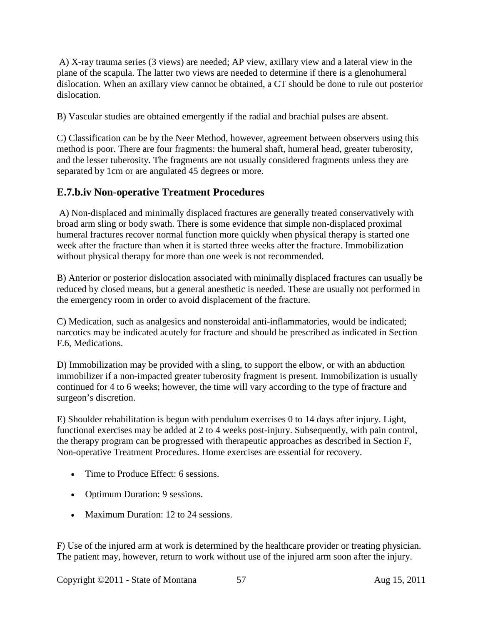A) X-ray trauma series (3 views) are needed; AP view, axillary view and a lateral view in the plane of the scapula. The latter two views are needed to determine if there is a glenohumeral dislocation. When an axillary view cannot be obtained, a CT should be done to rule out posterior dislocation.

B) Vascular studies are obtained emergently if the radial and brachial pulses are absent.

C) Classification can be by the Neer Method, however, agreement between observers using this method is poor. There are four fragments: the humeral shaft, humeral head, greater tuberosity, and the lesser tuberosity. The fragments are not usually considered fragments unless they are separated by 1cm or are angulated 45 degrees or more.

## **E.7.b.iv Non-operative Treatment Procedures**

A) Non-displaced and minimally displaced fractures are generally treated conservatively with broad arm sling or body swath. There is some evidence that simple non-displaced proximal humeral fractures recover normal function more quickly when physical therapy is started one week after the fracture than when it is started three weeks after the fracture. Immobilization without physical therapy for more than one week is not recommended.

B) Anterior or posterior dislocation associated with minimally displaced fractures can usually be reduced by closed means, but a general anesthetic is needed. These are usually not performed in the emergency room in order to avoid displacement of the fracture.

C) Medication, such as analgesics and nonsteroidal anti-inflammatories, would be indicated; narcotics may be indicated acutely for fracture and should be prescribed as indicated in Section F.6, Medications.

D) Immobilization may be provided with a sling, to support the elbow, or with an abduction immobilizer if a non-impacted greater tuberosity fragment is present. Immobilization is usually continued for 4 to 6 weeks; however, the time will vary according to the type of fracture and surgeon's discretion.

E) Shoulder rehabilitation is begun with pendulum exercises 0 to 14 days after injury. Light, functional exercises may be added at 2 to 4 weeks post-injury. Subsequently, with pain control, the therapy program can be progressed with therapeutic approaches as described in Section F, Non-operative Treatment Procedures. Home exercises are essential for recovery.

- Time to Produce Effect: 6 sessions.
- Optimum Duration: 9 sessions.
- Maximum Duration: 12 to 24 sessions.

F) Use of the injured arm at work is determined by the healthcare provider or treating physician. The patient may, however, return to work without use of the injured arm soon after the injury.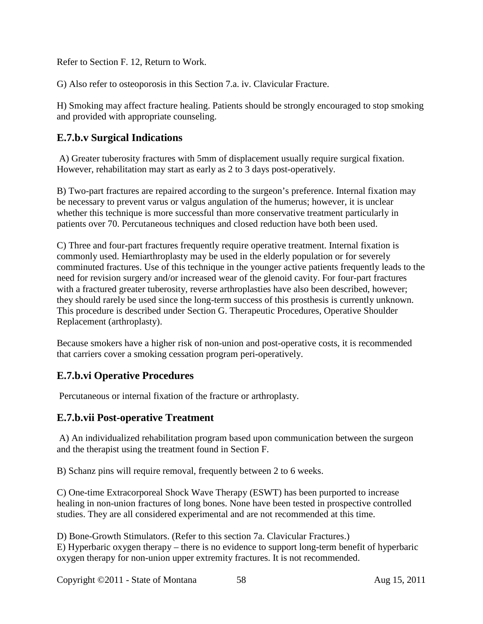Refer to Section F. 12, Return to Work.

G) Also refer to osteoporosis in this Section 7.a. iv. Clavicular Fracture.

H) Smoking may affect fracture healing. Patients should be strongly encouraged to stop smoking and provided with appropriate counseling.

### **E.7.b.v Surgical Indications**

A) Greater tuberosity fractures with 5mm of displacement usually require surgical fixation. However, rehabilitation may start as early as 2 to 3 days post-operatively.

B) Two-part fractures are repaired according to the surgeon's preference. Internal fixation may be necessary to prevent varus or valgus angulation of the humerus; however, it is unclear whether this technique is more successful than more conservative treatment particularly in patients over 70. Percutaneous techniques and closed reduction have both been used.

C) Three and four-part fractures frequently require operative treatment. Internal fixation is commonly used. Hemiarthroplasty may be used in the elderly population or for severely comminuted fractures. Use of this technique in the younger active patients frequently leads to the need for revision surgery and/or increased wear of the glenoid cavity. For four-part fractures with a fractured greater tuberosity, reverse arthroplasties have also been described, however; they should rarely be used since the long-term success of this prosthesis is currently unknown. This procedure is described under Section G. Therapeutic Procedures, Operative Shoulder Replacement (arthroplasty).

Because smokers have a higher risk of non-union and post-operative costs, it is recommended that carriers cover a smoking cessation program peri-operatively.

#### **E.7.b.vi Operative Procedures**

Percutaneous or internal fixation of the fracture or arthroplasty.

#### **E.7.b.vii Post-operative Treatment**

A) An individualized rehabilitation program based upon communication between the surgeon and the therapist using the treatment found in Section F.

B) Schanz pins will require removal, frequently between 2 to 6 weeks.

C) One-time Extracorporeal Shock Wave Therapy (ESWT) has been purported to increase healing in non-union fractures of long bones. None have been tested in prospective controlled studies. They are all considered experimental and are not recommended at this time.

D) Bone-Growth Stimulators. (Refer to this section 7a. Clavicular Fractures.) E) Hyperbaric oxygen therapy – there is no evidence to support long-term benefit of hyperbaric oxygen therapy for non-union upper extremity fractures. It is not recommended.

Copyright ©2011 - State of Montana 58 Aug 15, 2011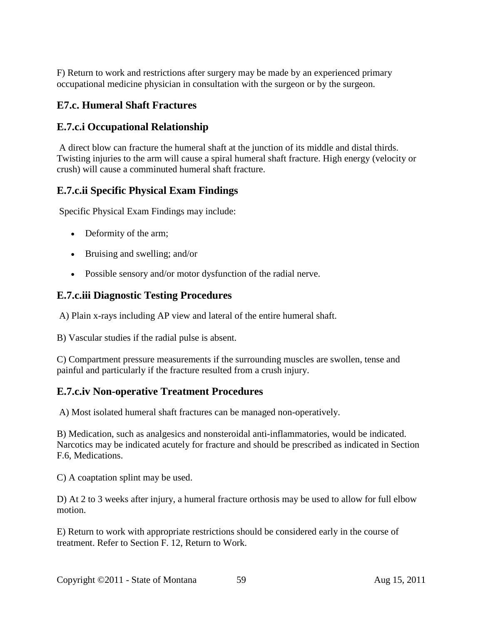F) Return to work and restrictions after surgery may be made by an experienced primary occupational medicine physician in consultation with the surgeon or by the surgeon.

### **E7.c. Humeral Shaft Fractures**

#### **E.7.c.i Occupational Relationship**

A direct blow can fracture the humeral shaft at the junction of its middle and distal thirds. Twisting injuries to the arm will cause a spiral humeral shaft fracture. High energy (velocity or crush) will cause a comminuted humeral shaft fracture.

#### **E.7.c.ii Specific Physical Exam Findings**

Specific Physical Exam Findings may include:

- Deformity of the arm;
- Bruising and swelling; and/or
- Possible sensory and/or motor dysfunction of the radial nerve.

#### **E.7.c.iii Diagnostic Testing Procedures**

A) Plain x-rays including AP view and lateral of the entire humeral shaft.

B) Vascular studies if the radial pulse is absent.

C) Compartment pressure measurements if the surrounding muscles are swollen, tense and painful and particularly if the fracture resulted from a crush injury.

#### **E.7.c.iv Non-operative Treatment Procedures**

A) Most isolated humeral shaft fractures can be managed non-operatively.

B) Medication, such as analgesics and nonsteroidal anti-inflammatories, would be indicated. Narcotics may be indicated acutely for fracture and should be prescribed as indicated in Section F.6, Medications.

C) A coaptation splint may be used.

D) At 2 to 3 weeks after injury, a humeral fracture orthosis may be used to allow for full elbow motion.

E) Return to work with appropriate restrictions should be considered early in the course of treatment. Refer to Section F. 12, Return to Work.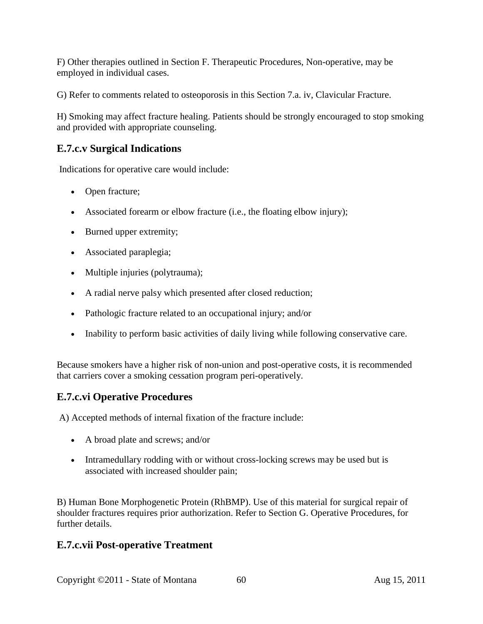F) Other therapies outlined in Section F. Therapeutic Procedures, Non-operative, may be employed in individual cases.

G) Refer to comments related to osteoporosis in this Section 7.a. iv, Clavicular Fracture.

H) Smoking may affect fracture healing. Patients should be strongly encouraged to stop smoking and provided with appropriate counseling.

# **E.7.c.v Surgical Indications**

Indications for operative care would include:

- Open fracture;
- Associated forearm or elbow fracture (i.e., the floating elbow injury);
- Burned upper extremity;
- Associated paraplegia;
- Multiple injuries (polytrauma);
- A radial nerve palsy which presented after closed reduction;
- Pathologic fracture related to an occupational injury; and/or
- Inability to perform basic activities of daily living while following conservative care.

Because smokers have a higher risk of non-union and post-operative costs, it is recommended that carriers cover a smoking cessation program peri-operatively.

## **E.7.c.vi Operative Procedures**

A) Accepted methods of internal fixation of the fracture include:

- A broad plate and screws; and/or
- Intramedullary rodding with or without cross-locking screws may be used but is associated with increased shoulder pain;

B) Human Bone Morphogenetic Protein (RhBMP). Use of this material for surgical repair of shoulder fractures requires prior authorization. Refer to Section G. Operative Procedures, for further details.

#### **E.7.c.vii Post-operative Treatment**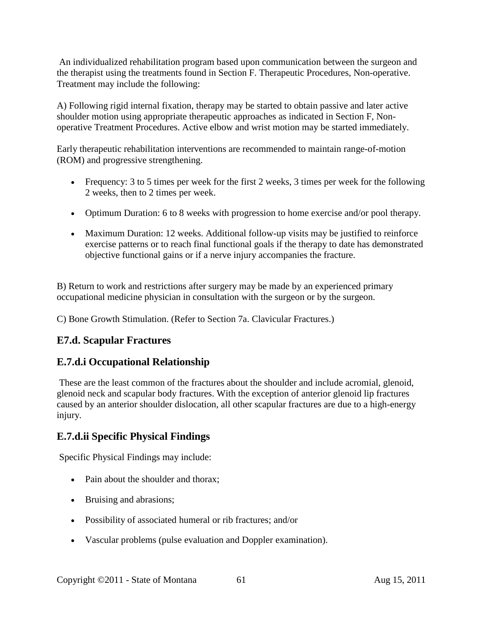An individualized rehabilitation program based upon communication between the surgeon and the therapist using the treatments found in Section F. Therapeutic Procedures, Non-operative. Treatment may include the following:

A) Following rigid internal fixation, therapy may be started to obtain passive and later active shoulder motion using appropriate therapeutic approaches as indicated in Section F, Nonoperative Treatment Procedures. Active elbow and wrist motion may be started immediately.

Early therapeutic rehabilitation interventions are recommended to maintain range-of-motion (ROM) and progressive strengthening.

- Frequency: 3 to 5 times per week for the first 2 weeks, 3 times per week for the following 2 weeks, then to 2 times per week.
- Optimum Duration: 6 to 8 weeks with progression to home exercise and/or pool therapy.
- Maximum Duration: 12 weeks. Additional follow-up visits may be justified to reinforce exercise patterns or to reach final functional goals if the therapy to date has demonstrated objective functional gains or if a nerve injury accompanies the fracture.

B) Return to work and restrictions after surgery may be made by an experienced primary occupational medicine physician in consultation with the surgeon or by the surgeon.

C) Bone Growth Stimulation. (Refer to Section 7a. Clavicular Fractures.)

## **E7.d. Scapular Fractures**

#### **E.7.d.i Occupational Relationship**

These are the least common of the fractures about the shoulder and include acromial, glenoid, glenoid neck and scapular body fractures. With the exception of anterior glenoid lip fractures caused by an anterior shoulder dislocation, all other scapular fractures are due to a high-energy injury.

## **E.7.d.ii Specific Physical Findings**

Specific Physical Findings may include:

- Pain about the shoulder and thorax;
- Bruising and abrasions;
- Possibility of associated humeral or rib fractures; and/or
- Vascular problems (pulse evaluation and Doppler examination).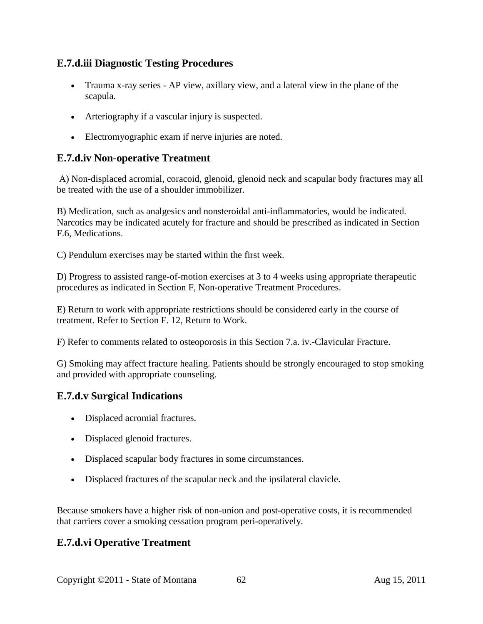### **E.7.d.iii Diagnostic Testing Procedures**

- Trauma x-ray series AP view, axillary view, and a lateral view in the plane of the scapula.
- Arteriography if a vascular injury is suspected.
- Electromyographic exam if nerve injuries are noted.

#### **E.7.d.iv Non-operative Treatment**

A) Non-displaced acromial, coracoid, glenoid, glenoid neck and scapular body fractures may all be treated with the use of a shoulder immobilizer.

B) Medication, such as analgesics and nonsteroidal anti-inflammatories, would be indicated. Narcotics may be indicated acutely for fracture and should be prescribed as indicated in Section F.6, Medications.

C) Pendulum exercises may be started within the first week.

D) Progress to assisted range-of-motion exercises at 3 to 4 weeks using appropriate therapeutic procedures as indicated in Section F, Non-operative Treatment Procedures.

E) Return to work with appropriate restrictions should be considered early in the course of treatment. Refer to Section F. 12, Return to Work.

F) Refer to comments related to osteoporosis in this Section 7.a. iv.-Clavicular Fracture.

G) Smoking may affect fracture healing. Patients should be strongly encouraged to stop smoking and provided with appropriate counseling.

## **E.7.d.v Surgical Indications**

- Displaced acromial fractures.
- Displaced glenoid fractures.
- Displaced scapular body fractures in some circumstances.
- Displaced fractures of the scapular neck and the ipsilateral clavicle.

Because smokers have a higher risk of non-union and post-operative costs, it is recommended that carriers cover a smoking cessation program peri-operatively.

## **E.7.d.vi Operative Treatment**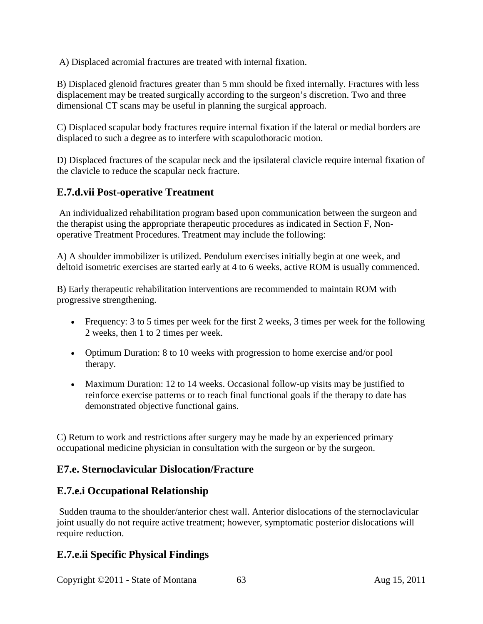A) Displaced acromial fractures are treated with internal fixation.

B) Displaced glenoid fractures greater than 5 mm should be fixed internally. Fractures with less displacement may be treated surgically according to the surgeon's discretion. Two and three dimensional CT scans may be useful in planning the surgical approach.

C) Displaced scapular body fractures require internal fixation if the lateral or medial borders are displaced to such a degree as to interfere with scapulothoracic motion.

D) Displaced fractures of the scapular neck and the ipsilateral clavicle require internal fixation of the clavicle to reduce the scapular neck fracture.

#### **E.7.d.vii Post-operative Treatment**

An individualized rehabilitation program based upon communication between the surgeon and the therapist using the appropriate therapeutic procedures as indicated in Section F, Nonoperative Treatment Procedures. Treatment may include the following:

A) A shoulder immobilizer is utilized. Pendulum exercises initially begin at one week, and deltoid isometric exercises are started early at 4 to 6 weeks, active ROM is usually commenced.

B) Early therapeutic rehabilitation interventions are recommended to maintain ROM with progressive strengthening.

- Frequency: 3 to 5 times per week for the first 2 weeks, 3 times per week for the following 2 weeks, then 1 to 2 times per week.
- Optimum Duration: 8 to 10 weeks with progression to home exercise and/or pool therapy.
- Maximum Duration: 12 to 14 weeks. Occasional follow-up visits may be justified to reinforce exercise patterns or to reach final functional goals if the therapy to date has demonstrated objective functional gains.

C) Return to work and restrictions after surgery may be made by an experienced primary occupational medicine physician in consultation with the surgeon or by the surgeon.

#### **E7.e. Sternoclavicular Dislocation/Fracture**

#### **E.7.e.i Occupational Relationship**

Sudden trauma to the shoulder/anterior chest wall. Anterior dislocations of the sternoclavicular joint usually do not require active treatment; however, symptomatic posterior dislocations will require reduction.

## **E.7.e.ii Specific Physical Findings**

Copyright ©2011 - State of Montana 63 Aug 15, 2011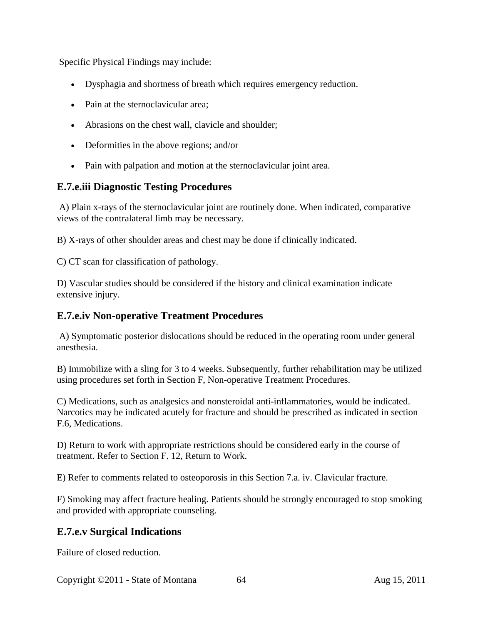Specific Physical Findings may include:

- Dysphagia and shortness of breath which requires emergency reduction.
- Pain at the sternoclavicular area;
- Abrasions on the chest wall, clavicle and shoulder;
- Deformities in the above regions; and/or
- Pain with palpation and motion at the sternoclavicular joint area.

#### **E.7.e.iii Diagnostic Testing Procedures**

A) Plain x-rays of the sternoclavicular joint are routinely done. When indicated, comparative views of the contralateral limb may be necessary.

B) X-rays of other shoulder areas and chest may be done if clinically indicated.

C) CT scan for classification of pathology.

D) Vascular studies should be considered if the history and clinical examination indicate extensive injury.

#### **E.7.e.iv Non-operative Treatment Procedures**

A) Symptomatic posterior dislocations should be reduced in the operating room under general anesthesia.

B) Immobilize with a sling for 3 to 4 weeks. Subsequently, further rehabilitation may be utilized using procedures set forth in Section F, Non-operative Treatment Procedures.

C) Medications, such as analgesics and nonsteroidal anti-inflammatories, would be indicated. Narcotics may be indicated acutely for fracture and should be prescribed as indicated in section F.6, Medications.

D) Return to work with appropriate restrictions should be considered early in the course of treatment. Refer to Section F. 12, Return to Work.

E) Refer to comments related to osteoporosis in this Section 7.a. iv. Clavicular fracture.

F) Smoking may affect fracture healing. Patients should be strongly encouraged to stop smoking and provided with appropriate counseling.

#### **E.7.e.v Surgical Indications**

Failure of closed reduction.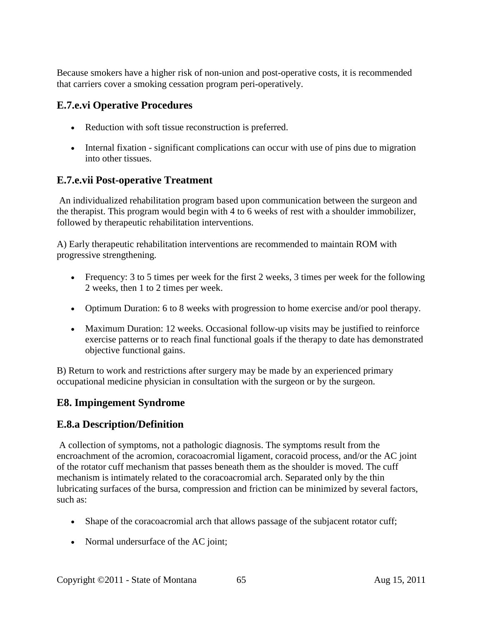Because smokers have a higher risk of non-union and post-operative costs, it is recommended that carriers cover a smoking cessation program peri-operatively.

### **E.7.e.vi Operative Procedures**

- Reduction with soft tissue reconstruction is preferred.
- Internal fixation significant complications can occur with use of pins due to migration into other tissues.

### **E.7.e.vii Post-operative Treatment**

An individualized rehabilitation program based upon communication between the surgeon and the therapist. This program would begin with 4 to 6 weeks of rest with a shoulder immobilizer, followed by therapeutic rehabilitation interventions.

A) Early therapeutic rehabilitation interventions are recommended to maintain ROM with progressive strengthening.

- Frequency: 3 to 5 times per week for the first 2 weeks, 3 times per week for the following 2 weeks, then 1 to 2 times per week.
- Optimum Duration: 6 to 8 weeks with progression to home exercise and/or pool therapy.
- Maximum Duration: 12 weeks. Occasional follow-up visits may be justified to reinforce exercise patterns or to reach final functional goals if the therapy to date has demonstrated objective functional gains.

B) Return to work and restrictions after surgery may be made by an experienced primary occupational medicine physician in consultation with the surgeon or by the surgeon.

## **E8. Impingement Syndrome**

## **E.8.a Description/Definition**

A collection of symptoms, not a pathologic diagnosis. The symptoms result from the encroachment of the acromion, coracoacromial ligament, coracoid process, and/or the AC joint of the rotator cuff mechanism that passes beneath them as the shoulder is moved. The cuff mechanism is intimately related to the coracoacromial arch. Separated only by the thin lubricating surfaces of the bursa, compression and friction can be minimized by several factors, such as:

- Shape of the coracoacromial arch that allows passage of the subjacent rotator cuff;
- Normal undersurface of the AC joint;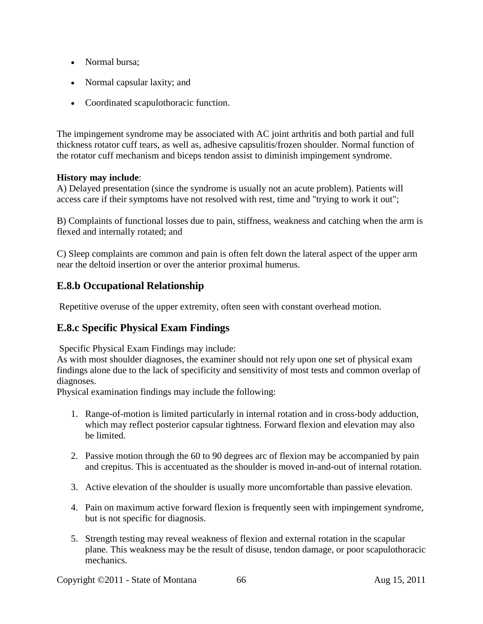- Normal bursa;
- Normal capsular laxity; and
- Coordinated scapulothoracic function.

The impingement syndrome may be associated with AC joint arthritis and both partial and full thickness rotator cuff tears, as well as, adhesive capsulitis/frozen shoulder. Normal function of the rotator cuff mechanism and biceps tendon assist to diminish impingement syndrome.

#### **History may include**:

A) Delayed presentation (since the syndrome is usually not an acute problem). Patients will access care if their symptoms have not resolved with rest, time and "trying to work it out";

B) Complaints of functional losses due to pain, stiffness, weakness and catching when the arm is flexed and internally rotated; and

C) Sleep complaints are common and pain is often felt down the lateral aspect of the upper arm near the deltoid insertion or over the anterior proximal humerus.

## **E.8.b Occupational Relationship**

Repetitive overuse of the upper extremity, often seen with constant overhead motion.

## **E.8.c Specific Physical Exam Findings**

Specific Physical Exam Findings may include:

As with most shoulder diagnoses, the examiner should not rely upon one set of physical exam findings alone due to the lack of specificity and sensitivity of most tests and common overlap of diagnoses.

Physical examination findings may include the following:

- 1. Range-of-motion is limited particularly in internal rotation and in cross-body adduction, which may reflect posterior capsular tightness. Forward flexion and elevation may also be limited.
- 2. Passive motion through the 60 to 90 degrees arc of flexion may be accompanied by pain and crepitus. This is accentuated as the shoulder is moved in-and-out of internal rotation.
- 3. Active elevation of the shoulder is usually more uncomfortable than passive elevation.
- 4. Pain on maximum active forward flexion is frequently seen with impingement syndrome, but is not specific for diagnosis.
- 5. Strength testing may reveal weakness of flexion and external rotation in the scapular plane. This weakness may be the result of disuse, tendon damage, or poor scapulothoracic mechanics.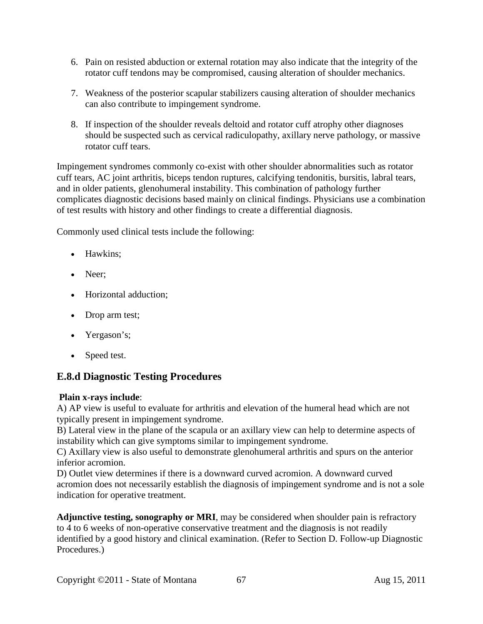- 6. Pain on resisted abduction or external rotation may also indicate that the integrity of the rotator cuff tendons may be compromised, causing alteration of shoulder mechanics.
- 7. Weakness of the posterior scapular stabilizers causing alteration of shoulder mechanics can also contribute to impingement syndrome.
- 8. If inspection of the shoulder reveals deltoid and rotator cuff atrophy other diagnoses should be suspected such as cervical radiculopathy, axillary nerve pathology, or massive rotator cuff tears.

Impingement syndromes commonly co-exist with other shoulder abnormalities such as rotator cuff tears, AC joint arthritis, biceps tendon ruptures, calcifying tendonitis, bursitis, labral tears, and in older patients, glenohumeral instability. This combination of pathology further complicates diagnostic decisions based mainly on clinical findings. Physicians use a combination of test results with history and other findings to create a differential diagnosis.

Commonly used clinical tests include the following:

- Hawkins:
- Neer;
- Horizontal adduction;
- Drop arm test;
- Yergason's;
- Speed test.

## **E.8.d Diagnostic Testing Procedures**

#### **Plain x-rays include**:

A) AP view is useful to evaluate for arthritis and elevation of the humeral head which are not typically present in impingement syndrome.

B) Lateral view in the plane of the scapula or an axillary view can help to determine aspects of instability which can give symptoms similar to impingement syndrome.

C) Axillary view is also useful to demonstrate glenohumeral arthritis and spurs on the anterior inferior acromion.

D) Outlet view determines if there is a downward curved acromion. A downward curved acromion does not necessarily establish the diagnosis of impingement syndrome and is not a sole indication for operative treatment.

**Adjunctive testing, sonography or MRI**, may be considered when shoulder pain is refractory to 4 to 6 weeks of non-operative conservative treatment and the diagnosis is not readily identified by a good history and clinical examination. (Refer to Section D. Follow-up Diagnostic Procedures.)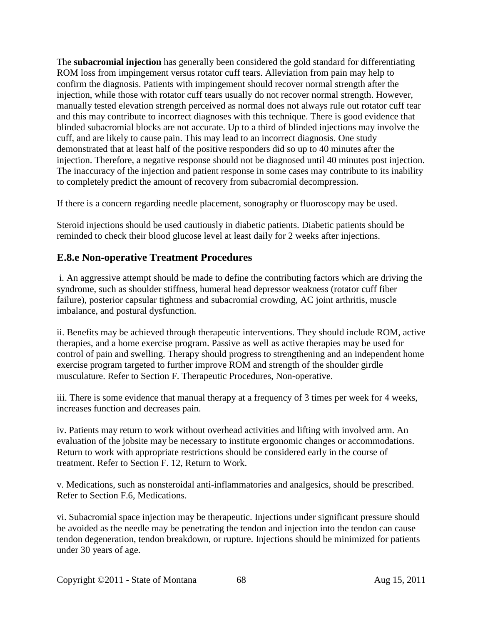The **subacromial injection** has generally been considered the gold standard for differentiating ROM loss from impingement versus rotator cuff tears. Alleviation from pain may help to confirm the diagnosis. Patients with impingement should recover normal strength after the injection, while those with rotator cuff tears usually do not recover normal strength. However, manually tested elevation strength perceived as normal does not always rule out rotator cuff tear and this may contribute to incorrect diagnoses with this technique. There is good evidence that blinded subacromial blocks are not accurate. Up to a third of blinded injections may involve the cuff, and are likely to cause pain. This may lead to an incorrect diagnosis. One study demonstrated that at least half of the positive responders did so up to 40 minutes after the injection. Therefore, a negative response should not be diagnosed until 40 minutes post injection. The inaccuracy of the injection and patient response in some cases may contribute to its inability to completely predict the amount of recovery from subacromial decompression.

If there is a concern regarding needle placement, sonography or fluoroscopy may be used.

Steroid injections should be used cautiously in diabetic patients. Diabetic patients should be reminded to check their blood glucose level at least daily for 2 weeks after injections.

### **E.8.e Non-operative Treatment Procedures**

i. An aggressive attempt should be made to define the contributing factors which are driving the syndrome, such as shoulder stiffness, humeral head depressor weakness (rotator cuff fiber failure), posterior capsular tightness and subacromial crowding, AC joint arthritis, muscle imbalance, and postural dysfunction.

ii. Benefits may be achieved through therapeutic interventions. They should include ROM, active therapies, and a home exercise program. Passive as well as active therapies may be used for control of pain and swelling. Therapy should progress to strengthening and an independent home exercise program targeted to further improve ROM and strength of the shoulder girdle musculature. Refer to Section F. Therapeutic Procedures, Non-operative.

iii. There is some evidence that manual therapy at a frequency of 3 times per week for 4 weeks, increases function and decreases pain.

iv. Patients may return to work without overhead activities and lifting with involved arm. An evaluation of the jobsite may be necessary to institute ergonomic changes or accommodations. Return to work with appropriate restrictions should be considered early in the course of treatment. Refer to Section F. 12, Return to Work.

v. Medications, such as nonsteroidal anti-inflammatories and analgesics, should be prescribed. Refer to Section F.6, Medications.

vi. Subacromial space injection may be therapeutic. Injections under significant pressure should be avoided as the needle may be penetrating the tendon and injection into the tendon can cause tendon degeneration, tendon breakdown, or rupture. Injections should be minimized for patients under 30 years of age.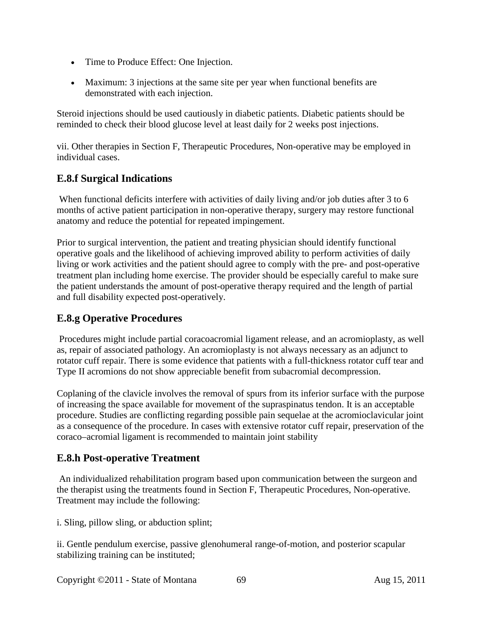- Time to Produce Effect: One Injection.
- Maximum: 3 injections at the same site per year when functional benefits are demonstrated with each injection.

Steroid injections should be used cautiously in diabetic patients. Diabetic patients should be reminded to check their blood glucose level at least daily for 2 weeks post injections.

vii. Other therapies in Section F, Therapeutic Procedures, Non-operative may be employed in individual cases.

## **E.8.f Surgical Indications**

When functional deficits interfere with activities of daily living and/or job duties after 3 to 6 months of active patient participation in non-operative therapy, surgery may restore functional anatomy and reduce the potential for repeated impingement.

Prior to surgical intervention, the patient and treating physician should identify functional operative goals and the likelihood of achieving improved ability to perform activities of daily living or work activities and the patient should agree to comply with the pre- and post-operative treatment plan including home exercise. The provider should be especially careful to make sure the patient understands the amount of post-operative therapy required and the length of partial and full disability expected post-operatively.

# **E.8.g Operative Procedures**

Procedures might include partial coracoacromial ligament release, and an acromioplasty, as well as, repair of associated pathology. An acromioplasty is not always necessary as an adjunct to rotator cuff repair. There is some evidence that patients with a full-thickness rotator cuff tear and Type II acromions do not show appreciable benefit from subacromial decompression.

Coplaning of the clavicle involves the removal of spurs from its inferior surface with the purpose of increasing the space available for movement of the supraspinatus tendon. It is an acceptable procedure. Studies are conflicting regarding possible pain sequelae at the acromioclavicular joint as a consequence of the procedure. In cases with extensive rotator cuff repair, preservation of the coraco–acromial ligament is recommended to maintain joint stability

## **E.8.h Post-operative Treatment**

An individualized rehabilitation program based upon communication between the surgeon and the therapist using the treatments found in Section F, Therapeutic Procedures, Non-operative. Treatment may include the following:

i. Sling, pillow sling, or abduction splint;

ii. Gentle pendulum exercise, passive glenohumeral range-of-motion, and posterior scapular stabilizing training can be instituted;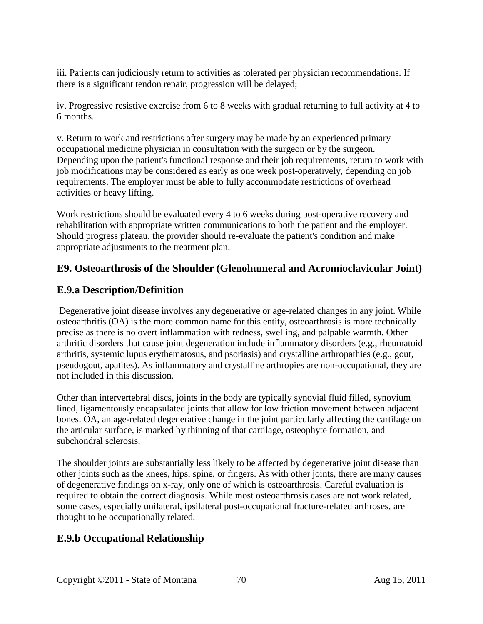iii. Patients can judiciously return to activities as tolerated per physician recommendations. If there is a significant tendon repair, progression will be delayed;

iv. Progressive resistive exercise from 6 to 8 weeks with gradual returning to full activity at 4 to 6 months.

v. Return to work and restrictions after surgery may be made by an experienced primary occupational medicine physician in consultation with the surgeon or by the surgeon. Depending upon the patient's functional response and their job requirements, return to work with job modifications may be considered as early as one week post-operatively, depending on job requirements. The employer must be able to fully accommodate restrictions of overhead activities or heavy lifting.

Work restrictions should be evaluated every 4 to 6 weeks during post-operative recovery and rehabilitation with appropriate written communications to both the patient and the employer. Should progress plateau, the provider should re-evaluate the patient's condition and make appropriate adjustments to the treatment plan.

## **E9. Osteoarthrosis of the Shoulder (Glenohumeral and Acromioclavicular Joint)**

### **E.9.a Description/Definition**

Degenerative joint disease involves any degenerative or age-related changes in any joint. While osteoarthritis (OA) is the more common name for this entity, osteoarthrosis is more technically precise as there is no overt inflammation with redness, swelling, and palpable warmth. Other arthritic disorders that cause joint degeneration include inflammatory disorders (e.g., rheumatoid arthritis, systemic lupus erythematosus, and psoriasis) and crystalline arthropathies (e.g., gout, pseudogout, apatites). As inflammatory and crystalline arthropies are non-occupational, they are not included in this discussion.

Other than intervertebral discs, joints in the body are typically synovial fluid filled, synovium lined, ligamentously encapsulated joints that allow for low friction movement between adjacent bones. OA, an age-related degenerative change in the joint particularly affecting the cartilage on the articular surface, is marked by thinning of that cartilage, osteophyte formation, and subchondral sclerosis.

The shoulder joints are substantially less likely to be affected by degenerative joint disease than other joints such as the knees, hips, spine, or fingers. As with other joints, there are many causes of degenerative findings on x-ray, only one of which is osteoarthrosis. Careful evaluation is required to obtain the correct diagnosis. While most osteoarthrosis cases are not work related, some cases, especially unilateral, ipsilateral post-occupational fracture-related arthroses, are thought to be occupationally related.

## **E.9.b Occupational Relationship**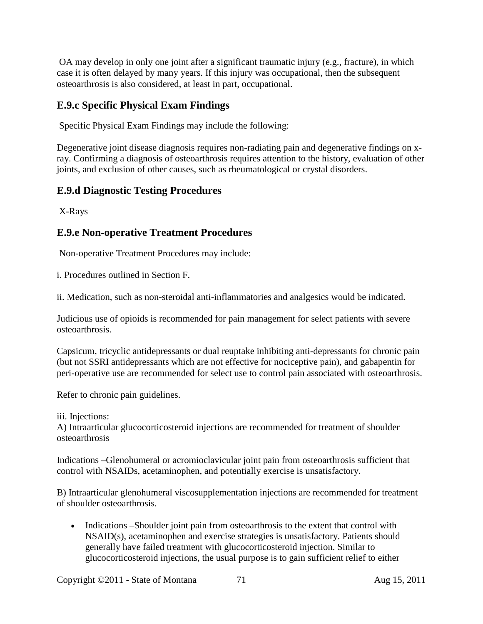OA may develop in only one joint after a significant traumatic injury (e.g., fracture), in which case it is often delayed by many years. If this injury was occupational, then the subsequent osteoarthrosis is also considered, at least in part, occupational.

### **E.9.c Specific Physical Exam Findings**

Specific Physical Exam Findings may include the following:

Degenerative joint disease diagnosis requires non-radiating pain and degenerative findings on xray. Confirming a diagnosis of osteoarthrosis requires attention to the history, evaluation of other joints, and exclusion of other causes, such as rheumatological or crystal disorders.

## **E.9.d Diagnostic Testing Procedures**

X-Rays

### **E.9.e Non-operative Treatment Procedures**

Non-operative Treatment Procedures may include:

i. Procedures outlined in Section F.

ii. Medication, such as non-steroidal anti-inflammatories and analgesics would be indicated.

Judicious use of opioids is recommended for pain management for select patients with severe osteoarthrosis.

Capsicum, tricyclic antidepressants or dual reuptake inhibiting anti-depressants for chronic pain (but not SSRI antidepressants which are not effective for nociceptive pain), and gabapentin for peri-operative use are recommended for select use to control pain associated with osteoarthrosis.

Refer to chronic pain guidelines.

iii. Injections:

A) Intraarticular glucocorticosteroid injections are recommended for treatment of shoulder osteoarthrosis

Indications –Glenohumeral or acromioclavicular joint pain from osteoarthrosis sufficient that control with NSAIDs, acetaminophen, and potentially exercise is unsatisfactory.

B) Intraarticular glenohumeral viscosupplementation injections are recommended for treatment of shoulder osteoarthrosis.

• Indications –Shoulder joint pain from osteoarthrosis to the extent that control with NSAID(s), acetaminophen and exercise strategies is unsatisfactory. Patients should generally have failed treatment with glucocorticosteroid injection. Similar to glucocorticosteroid injections, the usual purpose is to gain sufficient relief to either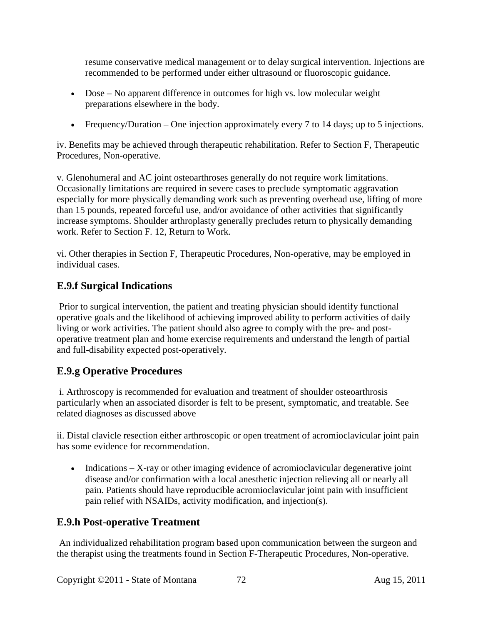resume conservative medical management or to delay surgical intervention. Injections are recommended to be performed under either ultrasound or fluoroscopic guidance.

- Dose No apparent difference in outcomes for high vs. low molecular weight preparations elsewhere in the body.
- Frequency/Duration One injection approximately every 7 to 14 days; up to 5 injections.

iv. Benefits may be achieved through therapeutic rehabilitation. Refer to Section F, Therapeutic Procedures, Non-operative.

v. Glenohumeral and AC joint osteoarthroses generally do not require work limitations. Occasionally limitations are required in severe cases to preclude symptomatic aggravation especially for more physically demanding work such as preventing overhead use, lifting of more than 15 pounds, repeated forceful use, and/or avoidance of other activities that significantly increase symptoms. Shoulder arthroplasty generally precludes return to physically demanding work. Refer to Section F. 12, Return to Work.

vi. Other therapies in Section F, Therapeutic Procedures, Non-operative, may be employed in individual cases.

## **E.9.f Surgical Indications**

Prior to surgical intervention, the patient and treating physician should identify functional operative goals and the likelihood of achieving improved ability to perform activities of daily living or work activities. The patient should also agree to comply with the pre- and postoperative treatment plan and home exercise requirements and understand the length of partial and full-disability expected post-operatively.

## **E.9.g Operative Procedures**

i. Arthroscopy is recommended for evaluation and treatment of shoulder osteoarthrosis particularly when an associated disorder is felt to be present, symptomatic, and treatable. See related diagnoses as discussed above

ii. Distal clavicle resection either arthroscopic or open treatment of acromioclavicular joint pain has some evidence for recommendation.

• Indications – X-ray or other imaging evidence of acromioclavicular degenerative joint disease and/or confirmation with a local anesthetic injection relieving all or nearly all pain. Patients should have reproducible acromioclavicular joint pain with insufficient pain relief with NSAIDs, activity modification, and injection(s).

#### **E.9.h Post-operative Treatment**

An individualized rehabilitation program based upon communication between the surgeon and the therapist using the treatments found in Section F-Therapeutic Procedures, Non-operative.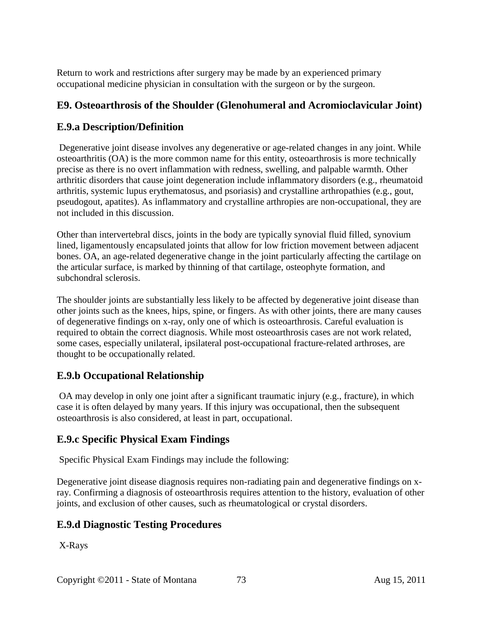Return to work and restrictions after surgery may be made by an experienced primary occupational medicine physician in consultation with the surgeon or by the surgeon.

#### **E9. Osteoarthrosis of the Shoulder (Glenohumeral and Acromioclavicular Joint)**

#### **E.9.a Description/Definition**

Degenerative joint disease involves any degenerative or age-related changes in any joint. While osteoarthritis (OA) is the more common name for this entity, osteoarthrosis is more technically precise as there is no overt inflammation with redness, swelling, and palpable warmth. Other arthritic disorders that cause joint degeneration include inflammatory disorders (e.g., rheumatoid arthritis, systemic lupus erythematosus, and psoriasis) and crystalline arthropathies (e.g., gout, pseudogout, apatites). As inflammatory and crystalline arthropies are non-occupational, they are not included in this discussion.

Other than intervertebral discs, joints in the body are typically synovial fluid filled, synovium lined, ligamentously encapsulated joints that allow for low friction movement between adjacent bones. OA, an age-related degenerative change in the joint particularly affecting the cartilage on the articular surface, is marked by thinning of that cartilage, osteophyte formation, and subchondral sclerosis.

The shoulder joints are substantially less likely to be affected by degenerative joint disease than other joints such as the knees, hips, spine, or fingers. As with other joints, there are many causes of degenerative findings on x-ray, only one of which is osteoarthrosis. Careful evaluation is required to obtain the correct diagnosis. While most osteoarthrosis cases are not work related, some cases, especially unilateral, ipsilateral post-occupational fracture-related arthroses, are thought to be occupationally related.

#### **E.9.b Occupational Relationship**

OA may develop in only one joint after a significant traumatic injury (e.g., fracture), in which case it is often delayed by many years. If this injury was occupational, then the subsequent osteoarthrosis is also considered, at least in part, occupational.

## **E.9.c Specific Physical Exam Findings**

Specific Physical Exam Findings may include the following:

Degenerative joint disease diagnosis requires non-radiating pain and degenerative findings on xray. Confirming a diagnosis of osteoarthrosis requires attention to the history, evaluation of other joints, and exclusion of other causes, such as rheumatological or crystal disorders.

## **E.9.d Diagnostic Testing Procedures**

X-Rays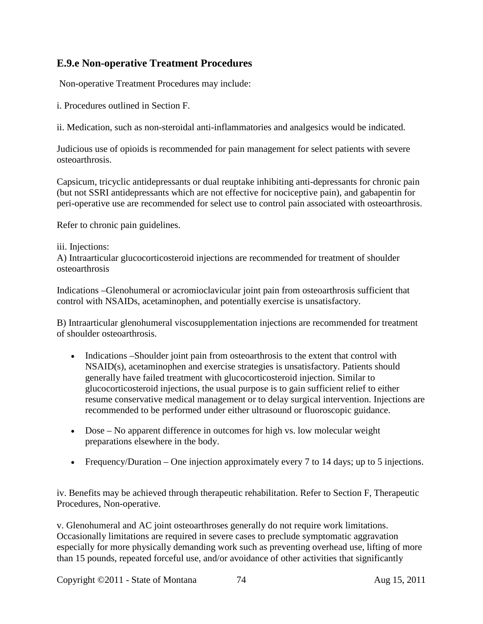#### **E.9.e Non-operative Treatment Procedures**

Non-operative Treatment Procedures may include:

i. Procedures outlined in Section F.

ii. Medication, such as non-steroidal anti-inflammatories and analgesics would be indicated.

Judicious use of opioids is recommended for pain management for select patients with severe osteoarthrosis.

Capsicum, tricyclic antidepressants or dual reuptake inhibiting anti-depressants for chronic pain (but not SSRI antidepressants which are not effective for nociceptive pain), and gabapentin for peri-operative use are recommended for select use to control pain associated with osteoarthrosis.

Refer to chronic pain guidelines.

#### iii. Injections:

A) Intraarticular glucocorticosteroid injections are recommended for treatment of shoulder osteoarthrosis

Indications –Glenohumeral or acromioclavicular joint pain from osteoarthrosis sufficient that control with NSAIDs, acetaminophen, and potentially exercise is unsatisfactory.

B) Intraarticular glenohumeral viscosupplementation injections are recommended for treatment of shoulder osteoarthrosis.

- Indications –Shoulder joint pain from osteoarthrosis to the extent that control with NSAID(s), acetaminophen and exercise strategies is unsatisfactory. Patients should generally have failed treatment with glucocorticosteroid injection. Similar to glucocorticosteroid injections, the usual purpose is to gain sufficient relief to either resume conservative medical management or to delay surgical intervention. Injections are recommended to be performed under either ultrasound or fluoroscopic guidance.
- Dose No apparent difference in outcomes for high vs. low molecular weight preparations elsewhere in the body.
- Frequency/Duration One injection approximately every 7 to 14 days; up to 5 injections.

iv. Benefits may be achieved through therapeutic rehabilitation. Refer to Section F, Therapeutic Procedures, Non-operative.

v. Glenohumeral and AC joint osteoarthroses generally do not require work limitations. Occasionally limitations are required in severe cases to preclude symptomatic aggravation especially for more physically demanding work such as preventing overhead use, lifting of more than 15 pounds, repeated forceful use, and/or avoidance of other activities that significantly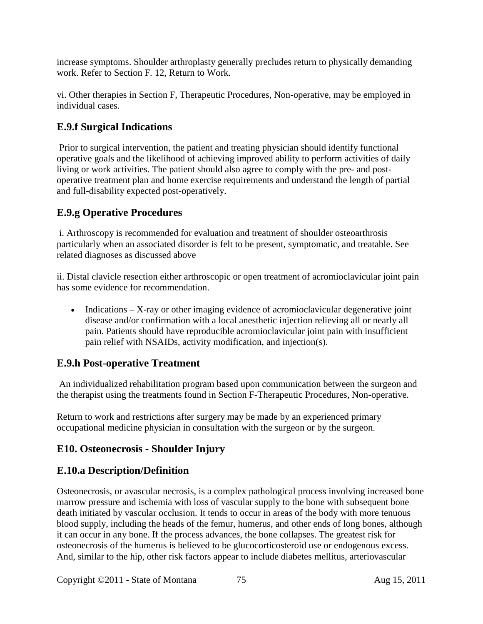increase symptoms. Shoulder arthroplasty generally precludes return to physically demanding work. Refer to Section F. 12, Return to Work.

vi. Other therapies in Section F, Therapeutic Procedures, Non-operative, may be employed in individual cases.

# **E.9.f Surgical Indications**

Prior to surgical intervention, the patient and treating physician should identify functional operative goals and the likelihood of achieving improved ability to perform activities of daily living or work activities. The patient should also agree to comply with the pre- and postoperative treatment plan and home exercise requirements and understand the length of partial and full-disability expected post-operatively.

# **E.9.g Operative Procedures**

i. Arthroscopy is recommended for evaluation and treatment of shoulder osteoarthrosis particularly when an associated disorder is felt to be present, symptomatic, and treatable. See related diagnoses as discussed above

ii. Distal clavicle resection either arthroscopic or open treatment of acromioclavicular joint pain has some evidence for recommendation.

• Indications – X-ray or other imaging evidence of acromioclavicular degenerative joint disease and/or confirmation with a local anesthetic injection relieving all or nearly all pain. Patients should have reproducible acromioclavicular joint pain with insufficient pain relief with NSAIDs, activity modification, and injection(s).

## **E.9.h Post-operative Treatment**

An individualized rehabilitation program based upon communication between the surgeon and the therapist using the treatments found in Section F-Therapeutic Procedures, Non-operative.

Return to work and restrictions after surgery may be made by an experienced primary occupational medicine physician in consultation with the surgeon or by the surgeon.

# **E10. Osteonecrosis - Shoulder Injury**

## **E.10.a Description/Definition**

Osteonecrosis, or avascular necrosis, is a complex pathological process involving increased bone marrow pressure and ischemia with loss of vascular supply to the bone with subsequent bone death initiated by vascular occlusion. It tends to occur in areas of the body with more tenuous blood supply, including the heads of the femur, humerus, and other ends of long bones, although it can occur in any bone. If the process advances, the bone collapses. The greatest risk for osteonecrosis of the humerus is believed to be glucocorticosteroid use or endogenous excess. And, similar to the hip, other risk factors appear to include diabetes mellitus, arteriovascular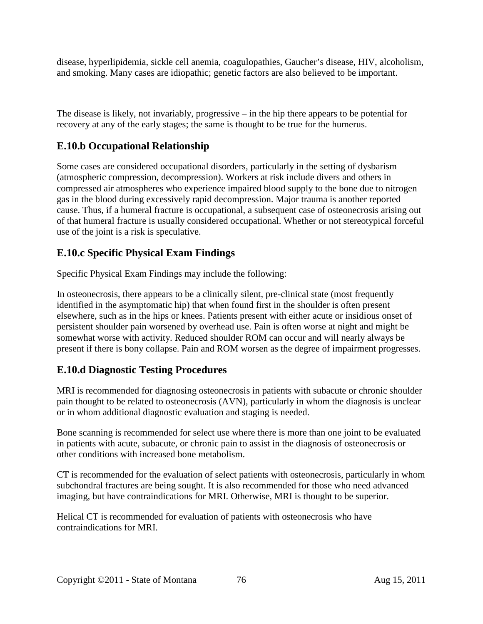disease, hyperlipidemia, sickle cell anemia, coagulopathies, Gaucher's disease, HIV, alcoholism, and smoking. Many cases are idiopathic; genetic factors are also believed to be important.

The disease is likely, not invariably, progressive – in the hip there appears to be potential for recovery at any of the early stages; the same is thought to be true for the humerus.

# **E.10.b Occupational Relationship**

Some cases are considered occupational disorders, particularly in the setting of dysbarism (atmospheric compression, decompression). Workers at risk include divers and others in compressed air atmospheres who experience impaired blood supply to the bone due to nitrogen gas in the blood during excessively rapid decompression. Major trauma is another reported cause. Thus, if a humeral fracture is occupational, a subsequent case of osteonecrosis arising out of that humeral fracture is usually considered occupational. Whether or not stereotypical forceful use of the joint is a risk is speculative.

# **E.10.c Specific Physical Exam Findings**

Specific Physical Exam Findings may include the following:

In osteonecrosis, there appears to be a clinically silent, pre-clinical state (most frequently identified in the asymptomatic hip) that when found first in the shoulder is often present elsewhere, such as in the hips or knees. Patients present with either acute or insidious onset of persistent shoulder pain worsened by overhead use. Pain is often worse at night and might be somewhat worse with activity. Reduced shoulder ROM can occur and will nearly always be present if there is bony collapse. Pain and ROM worsen as the degree of impairment progresses.

# **E.10.d Diagnostic Testing Procedures**

MRI is recommended for diagnosing osteonecrosis in patients with subacute or chronic shoulder pain thought to be related to osteonecrosis (AVN), particularly in whom the diagnosis is unclear or in whom additional diagnostic evaluation and staging is needed.

Bone scanning is recommended for select use where there is more than one joint to be evaluated in patients with acute, subacute, or chronic pain to assist in the diagnosis of osteonecrosis or other conditions with increased bone metabolism.

CT is recommended for the evaluation of select patients with osteonecrosis, particularly in whom subchondral fractures are being sought. It is also recommended for those who need advanced imaging, but have contraindications for MRI. Otherwise, MRI is thought to be superior.

Helical CT is recommended for evaluation of patients with osteonecrosis who have contraindications for MRI.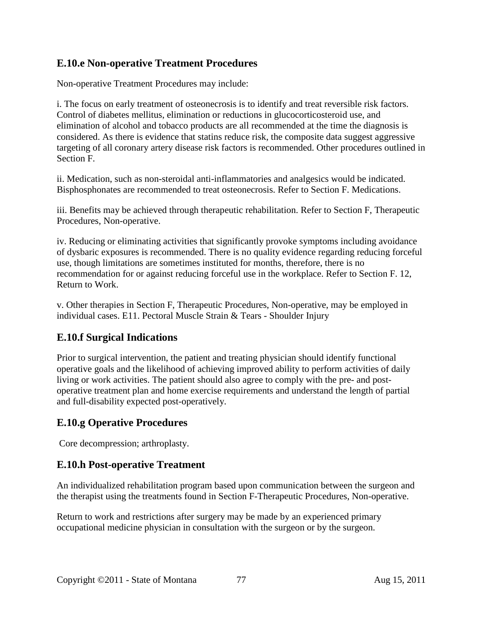#### **E.10.e Non-operative Treatment Procedures**

Non-operative Treatment Procedures may include:

i. The focus on early treatment of osteonecrosis is to identify and treat reversible risk factors. Control of diabetes mellitus, elimination or reductions in glucocorticosteroid use, and elimination of alcohol and tobacco products are all recommended at the time the diagnosis is considered. As there is evidence that statins reduce risk, the composite data suggest aggressive targeting of all coronary artery disease risk factors is recommended. Other procedures outlined in Section F.

ii. Medication, such as non-steroidal anti-inflammatories and analgesics would be indicated. Bisphosphonates are recommended to treat osteonecrosis. Refer to Section F. Medications.

iii. Benefits may be achieved through therapeutic rehabilitation. Refer to Section F, Therapeutic Procedures, Non-operative.

iv. Reducing or eliminating activities that significantly provoke symptoms including avoidance of dysbaric exposures is recommended. There is no quality evidence regarding reducing forceful use, though limitations are sometimes instituted for months, therefore, there is no recommendation for or against reducing forceful use in the workplace. Refer to Section F. 12, Return to Work.

v. Other therapies in Section F, Therapeutic Procedures, Non-operative, may be employed in individual cases. E11. Pectoral Muscle Strain & Tears - Shoulder Injury

## **E.10.f Surgical Indications**

Prior to surgical intervention, the patient and treating physician should identify functional operative goals and the likelihood of achieving improved ability to perform activities of daily living or work activities. The patient should also agree to comply with the pre- and postoperative treatment plan and home exercise requirements and understand the length of partial and full-disability expected post-operatively.

## **E.10.g Operative Procedures**

Core decompression; arthroplasty.

#### **E.10.h Post-operative Treatment**

An individualized rehabilitation program based upon communication between the surgeon and the therapist using the treatments found in Section F-Therapeutic Procedures, Non-operative.

Return to work and restrictions after surgery may be made by an experienced primary occupational medicine physician in consultation with the surgeon or by the surgeon.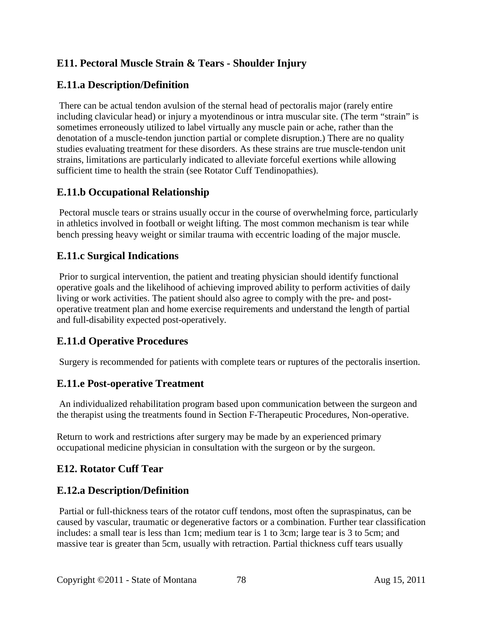# **E11. Pectoral Muscle Strain & Tears - Shoulder Injury**

# **E.11.a Description/Definition**

There can be actual tendon avulsion of the sternal head of pectoralis major (rarely entire including clavicular head) or injury a myotendinous or intra muscular site. (The term "strain" is sometimes erroneously utilized to label virtually any muscle pain or ache, rather than the denotation of a muscle-tendon junction partial or complete disruption.) There are no quality studies evaluating treatment for these disorders. As these strains are true muscle-tendon unit strains, limitations are particularly indicated to alleviate forceful exertions while allowing sufficient time to health the strain (see Rotator Cuff Tendinopathies).

## **E.11.b Occupational Relationship**

Pectoral muscle tears or strains usually occur in the course of overwhelming force, particularly in athletics involved in football or weight lifting. The most common mechanism is tear while bench pressing heavy weight or similar trauma with eccentric loading of the major muscle.

#### **E.11.c Surgical Indications**

Prior to surgical intervention, the patient and treating physician should identify functional operative goals and the likelihood of achieving improved ability to perform activities of daily living or work activities. The patient should also agree to comply with the pre- and postoperative treatment plan and home exercise requirements and understand the length of partial and full-disability expected post-operatively.

## **E.11.d Operative Procedures**

Surgery is recommended for patients with complete tears or ruptures of the pectoralis insertion.

#### **E.11.e Post-operative Treatment**

An individualized rehabilitation program based upon communication between the surgeon and the therapist using the treatments found in Section F-Therapeutic Procedures, Non-operative.

Return to work and restrictions after surgery may be made by an experienced primary occupational medicine physician in consultation with the surgeon or by the surgeon.

#### **E12. Rotator Cuff Tear**

#### **E.12.a Description/Definition**

Partial or full-thickness tears of the rotator cuff tendons, most often the supraspinatus, can be caused by vascular, traumatic or degenerative factors or a combination. Further tear classification includes: a small tear is less than 1cm; medium tear is 1 to 3cm; large tear is 3 to 5cm; and massive tear is greater than 5cm, usually with retraction. Partial thickness cuff tears usually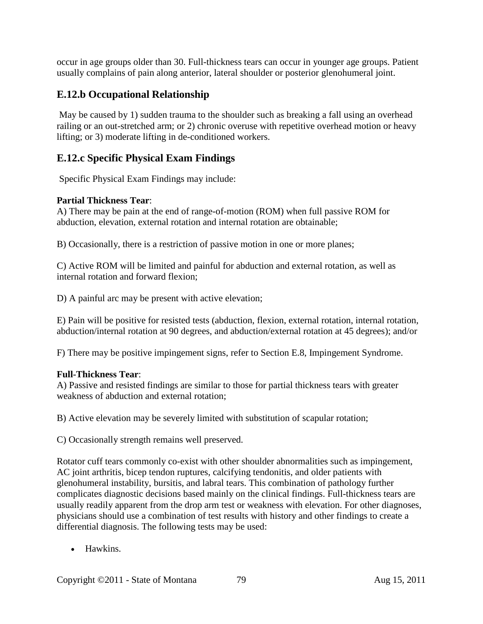occur in age groups older than 30. Full-thickness tears can occur in younger age groups. Patient usually complains of pain along anterior, lateral shoulder or posterior glenohumeral joint.

## **E.12.b Occupational Relationship**

May be caused by 1) sudden trauma to the shoulder such as breaking a fall using an overhead railing or an out-stretched arm; or 2) chronic overuse with repetitive overhead motion or heavy lifting; or 3) moderate lifting in de-conditioned workers.

## **E.12.c Specific Physical Exam Findings**

Specific Physical Exam Findings may include:

#### **Partial Thickness Tear**:

A) There may be pain at the end of range-of-motion (ROM) when full passive ROM for abduction, elevation, external rotation and internal rotation are obtainable;

B) Occasionally, there is a restriction of passive motion in one or more planes;

C) Active ROM will be limited and painful for abduction and external rotation, as well as internal rotation and forward flexion;

D) A painful arc may be present with active elevation;

E) Pain will be positive for resisted tests (abduction, flexion, external rotation, internal rotation, abduction/internal rotation at 90 degrees, and abduction/external rotation at 45 degrees); and/or

F) There may be positive impingement signs, refer to Section E.8, Impingement Syndrome.

#### **Full-Thickness Tear**:

A) Passive and resisted findings are similar to those for partial thickness tears with greater weakness of abduction and external rotation;

B) Active elevation may be severely limited with substitution of scapular rotation;

C) Occasionally strength remains well preserved.

Rotator cuff tears commonly co-exist with other shoulder abnormalities such as impingement, AC joint arthritis, bicep tendon ruptures, calcifying tendonitis, and older patients with glenohumeral instability, bursitis, and labral tears. This combination of pathology further complicates diagnostic decisions based mainly on the clinical findings. Full-thickness tears are usually readily apparent from the drop arm test or weakness with elevation. For other diagnoses, physicians should use a combination of test results with history and other findings to create a differential diagnosis. The following tests may be used:

• Hawkins.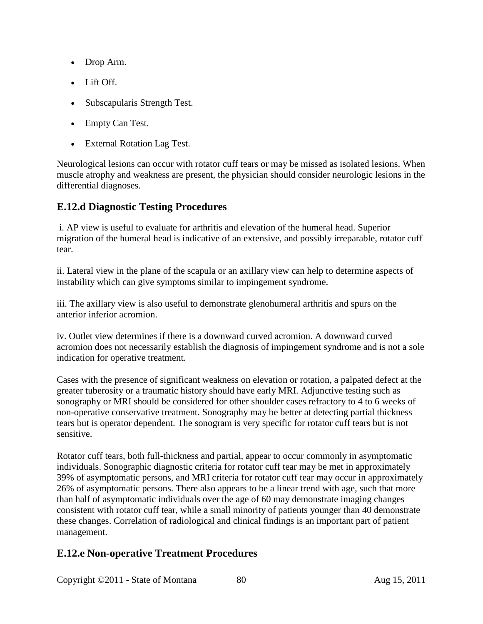- Drop Arm.
- Lift Off.
- Subscapularis Strength Test.
- Empty Can Test.
- External Rotation Lag Test.

Neurological lesions can occur with rotator cuff tears or may be missed as isolated lesions. When muscle atrophy and weakness are present, the physician should consider neurologic lesions in the differential diagnoses.

#### **E.12.d Diagnostic Testing Procedures**

i. AP view is useful to evaluate for arthritis and elevation of the humeral head. Superior migration of the humeral head is indicative of an extensive, and possibly irreparable, rotator cuff tear.

ii. Lateral view in the plane of the scapula or an axillary view can help to determine aspects of instability which can give symptoms similar to impingement syndrome.

iii. The axillary view is also useful to demonstrate glenohumeral arthritis and spurs on the anterior inferior acromion.

iv. Outlet view determines if there is a downward curved acromion. A downward curved acromion does not necessarily establish the diagnosis of impingement syndrome and is not a sole indication for operative treatment.

Cases with the presence of significant weakness on elevation or rotation, a palpated defect at the greater tuberosity or a traumatic history should have early MRI. Adjunctive testing such as sonography or MRI should be considered for other shoulder cases refractory to 4 to 6 weeks of non-operative conservative treatment. Sonography may be better at detecting partial thickness tears but is operator dependent. The sonogram is very specific for rotator cuff tears but is not sensitive.

Rotator cuff tears, both full-thickness and partial, appear to occur commonly in asymptomatic individuals. Sonographic diagnostic criteria for rotator cuff tear may be met in approximately 39% of asymptomatic persons, and MRI criteria for rotator cuff tear may occur in approximately 26% of asymptomatic persons. There also appears to be a linear trend with age, such that more than half of asymptomatic individuals over the age of 60 may demonstrate imaging changes consistent with rotator cuff tear, while a small minority of patients younger than 40 demonstrate these changes. Correlation of radiological and clinical findings is an important part of patient management.

## **E.12.e Non-operative Treatment Procedures**

Copyright ©2011 - State of Montana 80 Aug 15, 2011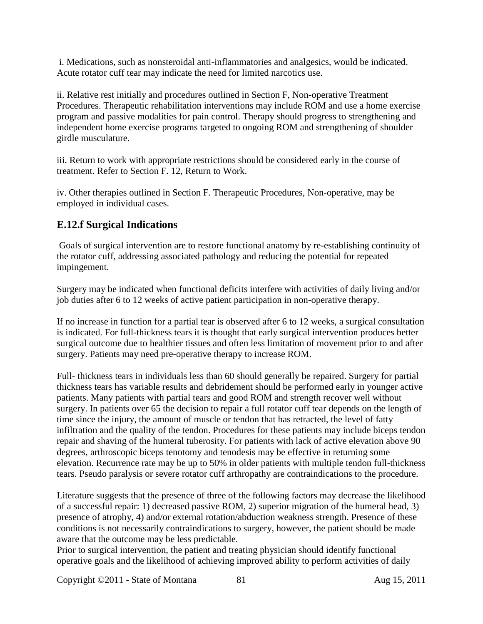i. Medications, such as nonsteroidal anti-inflammatories and analgesics, would be indicated. Acute rotator cuff tear may indicate the need for limited narcotics use.

ii. Relative rest initially and procedures outlined in Section F, Non-operative Treatment Procedures. Therapeutic rehabilitation interventions may include ROM and use a home exercise program and passive modalities for pain control. Therapy should progress to strengthening and independent home exercise programs targeted to ongoing ROM and strengthening of shoulder girdle musculature.

iii. Return to work with appropriate restrictions should be considered early in the course of treatment. Refer to Section F. 12, Return to Work.

iv. Other therapies outlined in Section F. Therapeutic Procedures, Non-operative, may be employed in individual cases.

# **E.12.f Surgical Indications**

Goals of surgical intervention are to restore functional anatomy by re-establishing continuity of the rotator cuff, addressing associated pathology and reducing the potential for repeated impingement.

Surgery may be indicated when functional deficits interfere with activities of daily living and/or job duties after 6 to 12 weeks of active patient participation in non-operative therapy.

If no increase in function for a partial tear is observed after 6 to 12 weeks, a surgical consultation is indicated. For full-thickness tears it is thought that early surgical intervention produces better surgical outcome due to healthier tissues and often less limitation of movement prior to and after surgery. Patients may need pre-operative therapy to increase ROM.

Full- thickness tears in individuals less than 60 should generally be repaired. Surgery for partial thickness tears has variable results and debridement should be performed early in younger active patients. Many patients with partial tears and good ROM and strength recover well without surgery. In patients over 65 the decision to repair a full rotator cuff tear depends on the length of time since the injury, the amount of muscle or tendon that has retracted, the level of fatty infiltration and the quality of the tendon. Procedures for these patients may include biceps tendon repair and shaving of the humeral tuberosity. For patients with lack of active elevation above 90 degrees, arthroscopic biceps tenotomy and tenodesis may be effective in returning some elevation. Recurrence rate may be up to 50% in older patients with multiple tendon full-thickness tears. Pseudo paralysis or severe rotator cuff arthropathy are contraindications to the procedure.

Literature suggests that the presence of three of the following factors may decrease the likelihood of a successful repair: 1) decreased passive ROM, 2) superior migration of the humeral head, 3) presence of atrophy, 4) and/or external rotation/abduction weakness strength. Presence of these conditions is not necessarily contraindications to surgery, however, the patient should be made aware that the outcome may be less predictable.

Prior to surgical intervention, the patient and treating physician should identify functional operative goals and the likelihood of achieving improved ability to perform activities of daily

Copyright ©2011 - State of Montana 81 Aug 15, 2011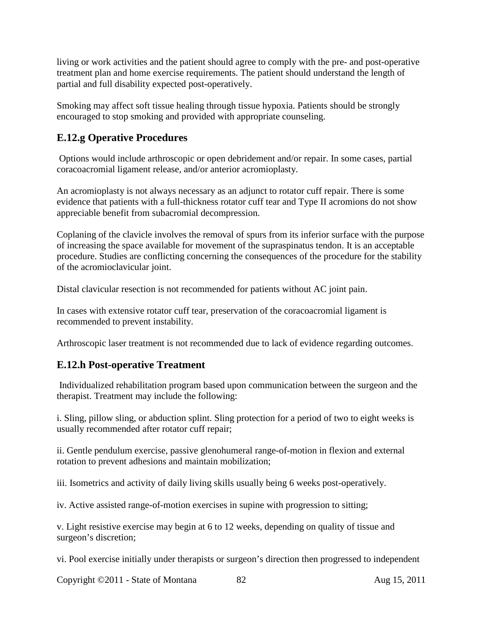living or work activities and the patient should agree to comply with the pre- and post-operative treatment plan and home exercise requirements. The patient should understand the length of partial and full disability expected post-operatively.

Smoking may affect soft tissue healing through tissue hypoxia. Patients should be strongly encouraged to stop smoking and provided with appropriate counseling.

# **E.12.g Operative Procedures**

Options would include arthroscopic or open debridement and/or repair. In some cases, partial coracoacromial ligament release, and/or anterior acromioplasty.

An acromioplasty is not always necessary as an adjunct to rotator cuff repair. There is some evidence that patients with a full-thickness rotator cuff tear and Type II acromions do not show appreciable benefit from subacromial decompression.

Coplaning of the clavicle involves the removal of spurs from its inferior surface with the purpose of increasing the space available for movement of the supraspinatus tendon. It is an acceptable procedure. Studies are conflicting concerning the consequences of the procedure for the stability of the acromioclavicular joint.

Distal clavicular resection is not recommended for patients without AC joint pain.

In cases with extensive rotator cuff tear, preservation of the coracoacromial ligament is recommended to prevent instability.

Arthroscopic laser treatment is not recommended due to lack of evidence regarding outcomes.

## **E.12.h Post-operative Treatment**

Individualized rehabilitation program based upon communication between the surgeon and the therapist. Treatment may include the following:

i. Sling, pillow sling, or abduction splint. Sling protection for a period of two to eight weeks is usually recommended after rotator cuff repair;

ii. Gentle pendulum exercise, passive glenohumeral range-of-motion in flexion and external rotation to prevent adhesions and maintain mobilization;

iii. Isometrics and activity of daily living skills usually being 6 weeks post-operatively.

iv. Active assisted range-of-motion exercises in supine with progression to sitting;

v. Light resistive exercise may begin at 6 to 12 weeks, depending on quality of tissue and surgeon's discretion;

vi. Pool exercise initially under therapists or surgeon's direction then progressed to independent

Copyright ©2011 - State of Montana 82 Aug 15, 2011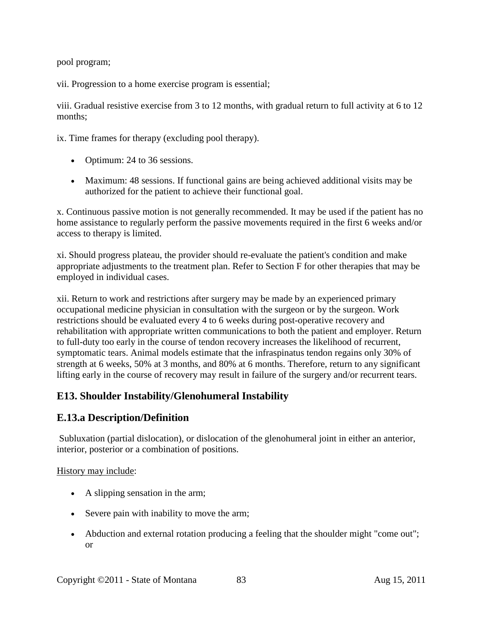pool program;

vii. Progression to a home exercise program is essential;

viii. Gradual resistive exercise from 3 to 12 months, with gradual return to full activity at 6 to 12 months;

ix. Time frames for therapy (excluding pool therapy).

- Optimum: 24 to 36 sessions.
- Maximum: 48 sessions. If functional gains are being achieved additional visits may be authorized for the patient to achieve their functional goal.

x. Continuous passive motion is not generally recommended. It may be used if the patient has no home assistance to regularly perform the passive movements required in the first 6 weeks and/or access to therapy is limited.

xi. Should progress plateau, the provider should re-evaluate the patient's condition and make appropriate adjustments to the treatment plan. Refer to Section F for other therapies that may be employed in individual cases.

xii. Return to work and restrictions after surgery may be made by an experienced primary occupational medicine physician in consultation with the surgeon or by the surgeon. Work restrictions should be evaluated every 4 to 6 weeks during post-operative recovery and rehabilitation with appropriate written communications to both the patient and employer. Return to full-duty too early in the course of tendon recovery increases the likelihood of recurrent, symptomatic tears. Animal models estimate that the infraspinatus tendon regains only 30% of strength at 6 weeks, 50% at 3 months, and 80% at 6 months. Therefore, return to any significant lifting early in the course of recovery may result in failure of the surgery and/or recurrent tears.

## **E13. Shoulder Instability/Glenohumeral Instability**

#### **E.13.a Description/Definition**

Subluxation (partial dislocation), or dislocation of the glenohumeral joint in either an anterior, interior, posterior or a combination of positions.

#### History may include:

- A slipping sensation in the arm;
- Severe pain with inability to move the arm;
- Abduction and external rotation producing a feeling that the shoulder might "come out"; or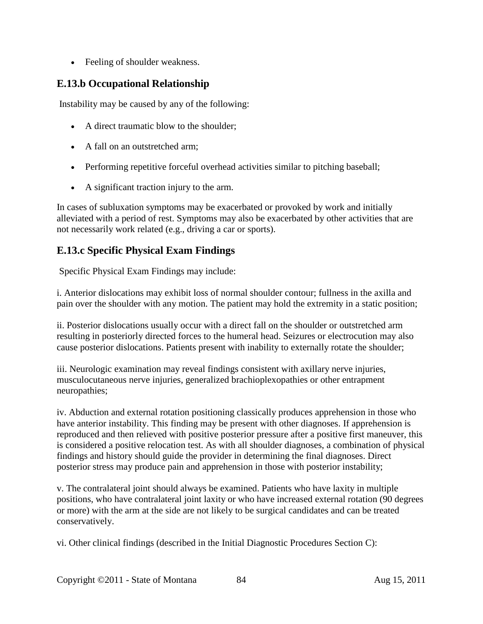• Feeling of shoulder weakness.

## **E.13.b Occupational Relationship**

Instability may be caused by any of the following:

- A direct traumatic blow to the shoulder;
- A fall on an outstretched arm:
- Performing repetitive forceful overhead activities similar to pitching baseball;
- A significant traction injury to the arm.

In cases of subluxation symptoms may be exacerbated or provoked by work and initially alleviated with a period of rest. Symptoms may also be exacerbated by other activities that are not necessarily work related (e.g., driving a car or sports).

## **E.13.c Specific Physical Exam Findings**

Specific Physical Exam Findings may include:

i. Anterior dislocations may exhibit loss of normal shoulder contour; fullness in the axilla and pain over the shoulder with any motion. The patient may hold the extremity in a static position;

ii. Posterior dislocations usually occur with a direct fall on the shoulder or outstretched arm resulting in posteriorly directed forces to the humeral head. Seizures or electrocution may also cause posterior dislocations. Patients present with inability to externally rotate the shoulder;

iii. Neurologic examination may reveal findings consistent with axillary nerve injuries, musculocutaneous nerve injuries, generalized brachioplexopathies or other entrapment neuropathies;

iv. Abduction and external rotation positioning classically produces apprehension in those who have anterior instability. This finding may be present with other diagnoses. If apprehension is reproduced and then relieved with positive posterior pressure after a positive first maneuver, this is considered a positive relocation test. As with all shoulder diagnoses, a combination of physical findings and history should guide the provider in determining the final diagnoses. Direct posterior stress may produce pain and apprehension in those with posterior instability;

v. The contralateral joint should always be examined. Patients who have laxity in multiple positions, who have contralateral joint laxity or who have increased external rotation (90 degrees or more) with the arm at the side are not likely to be surgical candidates and can be treated conservatively.

vi. Other clinical findings (described in the Initial Diagnostic Procedures Section C):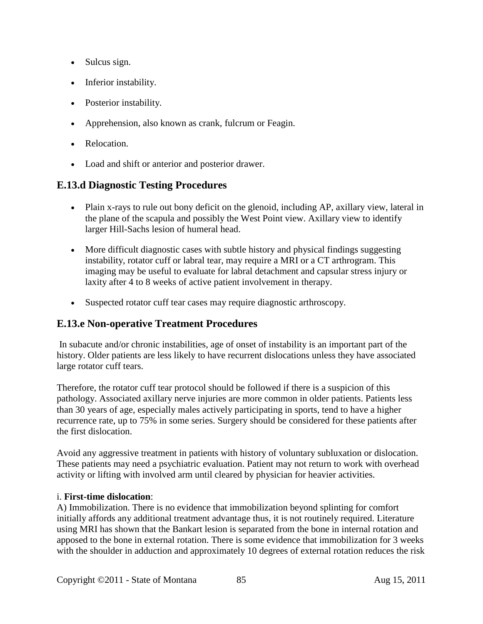- Sulcus sign.
- Inferior instability.
- Posterior instability.
- Apprehension, also known as crank, fulcrum or Feagin.
- Relocation.
- Load and shift or anterior and posterior drawer.

#### **E.13.d Diagnostic Testing Procedures**

- Plain x-rays to rule out bony deficit on the glenoid, including AP, axillary view, lateral in the plane of the scapula and possibly the West Point view. Axillary view to identify larger Hill-Sachs lesion of humeral head.
- More difficult diagnostic cases with subtle history and physical findings suggesting instability, rotator cuff or labral tear, may require a MRI or a CT arthrogram. This imaging may be useful to evaluate for labral detachment and capsular stress injury or laxity after 4 to 8 weeks of active patient involvement in therapy.
- Suspected rotator cuff tear cases may require diagnostic arthroscopy.

#### **E.13.e Non-operative Treatment Procedures**

In subacute and/or chronic instabilities, age of onset of instability is an important part of the history. Older patients are less likely to have recurrent dislocations unless they have associated large rotator cuff tears.

Therefore, the rotator cuff tear protocol should be followed if there is a suspicion of this pathology. Associated axillary nerve injuries are more common in older patients. Patients less than 30 years of age, especially males actively participating in sports, tend to have a higher recurrence rate, up to 75% in some series. Surgery should be considered for these patients after the first dislocation.

Avoid any aggressive treatment in patients with history of voluntary subluxation or dislocation. These patients may need a psychiatric evaluation. Patient may not return to work with overhead activity or lifting with involved arm until cleared by physician for heavier activities.

#### i. **First-time dislocation**:

A) Immobilization. There is no evidence that immobilization beyond splinting for comfort initially affords any additional treatment advantage thus, it is not routinely required. Literature using MRI has shown that the Bankart lesion is separated from the bone in internal rotation and apposed to the bone in external rotation. There is some evidence that immobilization for 3 weeks with the shoulder in adduction and approximately 10 degrees of external rotation reduces the risk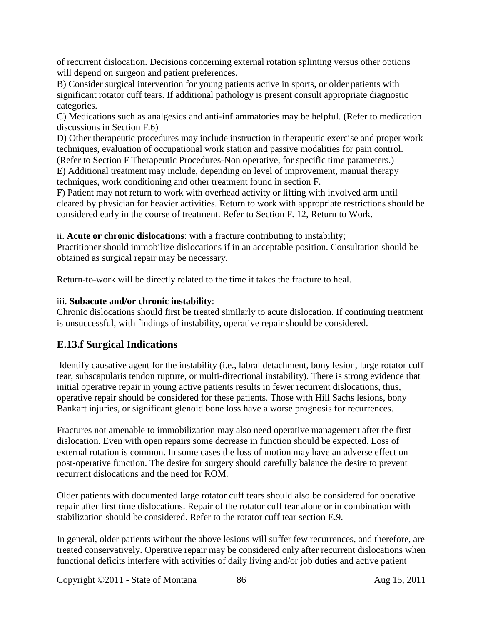of recurrent dislocation. Decisions concerning external rotation splinting versus other options will depend on surgeon and patient preferences.

B) Consider surgical intervention for young patients active in sports, or older patients with significant rotator cuff tears. If additional pathology is present consult appropriate diagnostic categories.

C) Medications such as analgesics and anti-inflammatories may be helpful. (Refer to medication discussions in Section F.6)

D) Other therapeutic procedures may include instruction in therapeutic exercise and proper work techniques, evaluation of occupational work station and passive modalities for pain control.

(Refer to Section F Therapeutic Procedures-Non operative, for specific time parameters.)

E) Additional treatment may include, depending on level of improvement, manual therapy techniques, work conditioning and other treatment found in section F.

F) Patient may not return to work with overhead activity or lifting with involved arm until cleared by physician for heavier activities. Return to work with appropriate restrictions should be considered early in the course of treatment. Refer to Section F. 12, Return to Work.

ii. **Acute or chronic dislocations**: with a fracture contributing to instability;

Practitioner should immobilize dislocations if in an acceptable position. Consultation should be obtained as surgical repair may be necessary.

Return-to-work will be directly related to the time it takes the fracture to heal.

#### iii. **Subacute and/or chronic instability**:

Chronic dislocations should first be treated similarly to acute dislocation. If continuing treatment is unsuccessful, with findings of instability, operative repair should be considered.

# **E.13.f Surgical Indications**

Identify causative agent for the instability (i.e., labral detachment, bony lesion, large rotator cuff tear, subscapularis tendon rupture, or multi-directional instability). There is strong evidence that initial operative repair in young active patients results in fewer recurrent dislocations, thus, operative repair should be considered for these patients. Those with Hill Sachs lesions, bony Bankart injuries, or significant glenoid bone loss have a worse prognosis for recurrences.

Fractures not amenable to immobilization may also need operative management after the first dislocation. Even with open repairs some decrease in function should be expected. Loss of external rotation is common. In some cases the loss of motion may have an adverse effect on post-operative function. The desire for surgery should carefully balance the desire to prevent recurrent dislocations and the need for ROM.

Older patients with documented large rotator cuff tears should also be considered for operative repair after first time dislocations. Repair of the rotator cuff tear alone or in combination with stabilization should be considered. Refer to the rotator cuff tear section E.9.

In general, older patients without the above lesions will suffer few recurrences, and therefore, are treated conservatively. Operative repair may be considered only after recurrent dislocations when functional deficits interfere with activities of daily living and/or job duties and active patient

Copyright ©2011 - State of Montana 86 Aug 15, 2011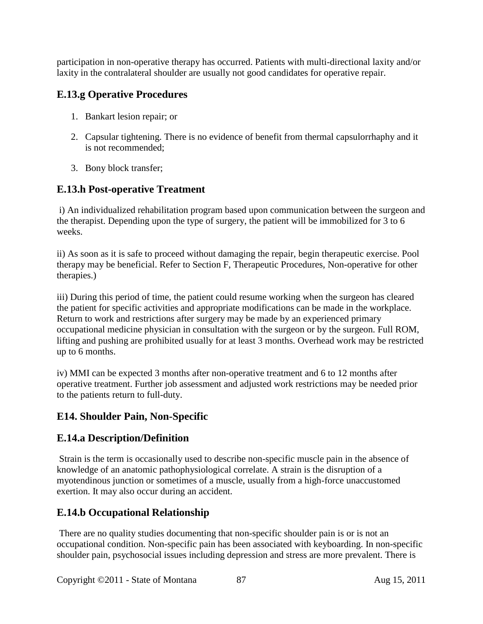participation in non-operative therapy has occurred. Patients with multi-directional laxity and/or laxity in the contralateral shoulder are usually not good candidates for operative repair.

# **E.13.g Operative Procedures**

- 1. Bankart lesion repair; or
- 2. Capsular tightening. There is no evidence of benefit from thermal capsulorrhaphy and it is not recommended;
- 3. Bony block transfer;

## **E.13.h Post-operative Treatment**

i) An individualized rehabilitation program based upon communication between the surgeon and the therapist. Depending upon the type of surgery, the patient will be immobilized for 3 to 6 weeks.

ii) As soon as it is safe to proceed without damaging the repair, begin therapeutic exercise. Pool therapy may be beneficial. Refer to Section F, Therapeutic Procedures, Non-operative for other therapies.)

iii) During this period of time, the patient could resume working when the surgeon has cleared the patient for specific activities and appropriate modifications can be made in the workplace. Return to work and restrictions after surgery may be made by an experienced primary occupational medicine physician in consultation with the surgeon or by the surgeon. Full ROM, lifting and pushing are prohibited usually for at least 3 months. Overhead work may be restricted up to 6 months.

iv) MMI can be expected 3 months after non-operative treatment and 6 to 12 months after operative treatment. Further job assessment and adjusted work restrictions may be needed prior to the patients return to full-duty.

## **E14. Shoulder Pain, Non-Specific**

## **E.14.a Description/Definition**

Strain is the term is occasionally used to describe non-specific muscle pain in the absence of knowledge of an anatomic pathophysiological correlate. A strain is the disruption of a myotendinous junction or sometimes of a muscle, usually from a high-force unaccustomed exertion. It may also occur during an accident.

# **E.14.b Occupational Relationship**

There are no quality studies documenting that non-specific shoulder pain is or is not an occupational condition. Non-specific pain has been associated with keyboarding. In non-specific shoulder pain, psychosocial issues including depression and stress are more prevalent. There is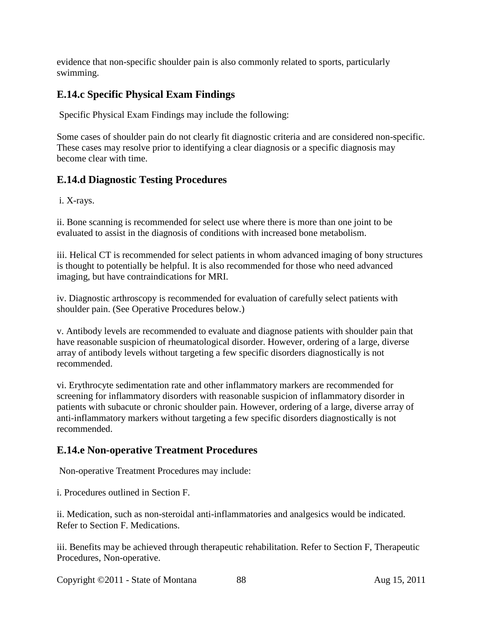evidence that non-specific shoulder pain is also commonly related to sports, particularly swimming.

# **E.14.c Specific Physical Exam Findings**

Specific Physical Exam Findings may include the following:

Some cases of shoulder pain do not clearly fit diagnostic criteria and are considered non-specific. These cases may resolve prior to identifying a clear diagnosis or a specific diagnosis may become clear with time.

## **E.14.d Diagnostic Testing Procedures**

i. X-rays.

ii. Bone scanning is recommended for select use where there is more than one joint to be evaluated to assist in the diagnosis of conditions with increased bone metabolism.

iii. Helical CT is recommended for select patients in whom advanced imaging of bony structures is thought to potentially be helpful. It is also recommended for those who need advanced imaging, but have contraindications for MRI.

iv. Diagnostic arthroscopy is recommended for evaluation of carefully select patients with shoulder pain. (See Operative Procedures below.)

v. Antibody levels are recommended to evaluate and diagnose patients with shoulder pain that have reasonable suspicion of rheumatological disorder. However, ordering of a large, diverse array of antibody levels without targeting a few specific disorders diagnostically is not recommended.

vi. Erythrocyte sedimentation rate and other inflammatory markers are recommended for screening for inflammatory disorders with reasonable suspicion of inflammatory disorder in patients with subacute or chronic shoulder pain. However, ordering of a large, diverse array of anti-inflammatory markers without targeting a few specific disorders diagnostically is not recommended.

## **E.14.e Non-operative Treatment Procedures**

Non-operative Treatment Procedures may include:

i. Procedures outlined in Section F.

ii. Medication, such as non-steroidal anti-inflammatories and analgesics would be indicated. Refer to Section F. Medications.

iii. Benefits may be achieved through therapeutic rehabilitation. Refer to Section F, Therapeutic Procedures, Non-operative.

Copyright ©2011 - State of Montana 88 Aug 15, 2011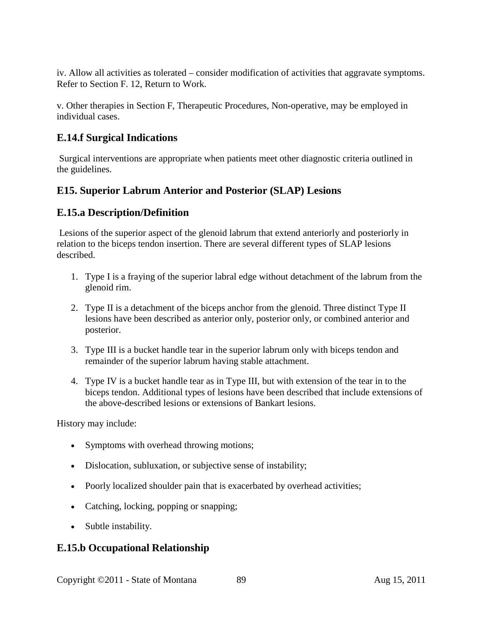iv. Allow all activities as tolerated – consider modification of activities that aggravate symptoms. Refer to Section F. 12, Return to Work.

v. Other therapies in Section F, Therapeutic Procedures, Non-operative, may be employed in individual cases.

#### **E.14.f Surgical Indications**

Surgical interventions are appropriate when patients meet other diagnostic criteria outlined in the guidelines.

#### **E15. Superior Labrum Anterior and Posterior (SLAP) Lesions**

#### **E.15.a Description/Definition**

Lesions of the superior aspect of the glenoid labrum that extend anteriorly and posteriorly in relation to the biceps tendon insertion. There are several different types of SLAP lesions described.

- 1. Type I is a fraying of the superior labral edge without detachment of the labrum from the glenoid rim.
- 2. Type II is a detachment of the biceps anchor from the glenoid. Three distinct Type II lesions have been described as anterior only, posterior only, or combined anterior and posterior.
- 3. Type III is a bucket handle tear in the superior labrum only with biceps tendon and remainder of the superior labrum having stable attachment.
- 4. Type IV is a bucket handle tear as in Type III, but with extension of the tear in to the biceps tendon. Additional types of lesions have been described that include extensions of the above-described lesions or extensions of Bankart lesions.

History may include:

- Symptoms with overhead throwing motions;
- Dislocation, subluxation, or subjective sense of instability;
- Poorly localized shoulder pain that is exacerbated by overhead activities;
- Catching, locking, popping or snapping;
- Subtle instability.

## **E.15.b Occupational Relationship**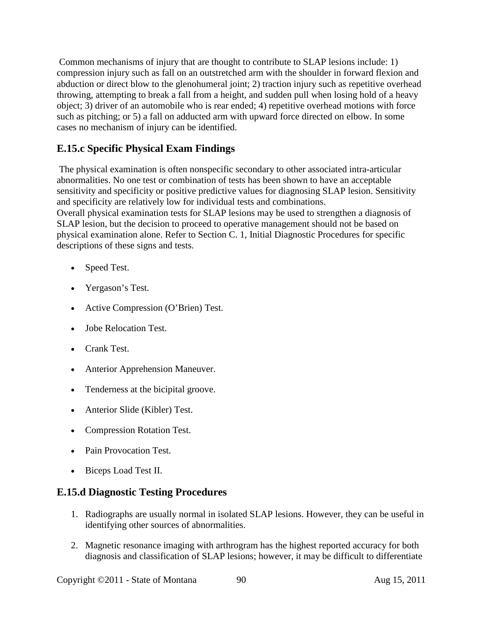Common mechanisms of injury that are thought to contribute to SLAP lesions include: 1) compression injury such as fall on an outstretched arm with the shoulder in forward flexion and abduction or direct blow to the glenohumeral joint; 2) traction injury such as repetitive overhead throwing, attempting to break a fall from a height, and sudden pull when losing hold of a heavy object; 3) driver of an automobile who is rear ended; 4) repetitive overhead motions with force such as pitching; or 5) a fall on adducted arm with upward force directed on elbow. In some cases no mechanism of injury can be identified.

# **E.15.c Specific Physical Exam Findings**

The physical examination is often nonspecific secondary to other associated intra-articular abnormalities. No one test or combination of tests has been shown to have an acceptable sensitivity and specificity or positive predictive values for diagnosing SLAP lesion. Sensitivity and specificity are relatively low for individual tests and combinations. Overall physical examination tests for SLAP lesions may be used to strengthen a diagnosis of SLAP lesion, but the decision to proceed to operative management should not be based on physical examination alone. Refer to Section C. 1, Initial Diagnostic Procedures for specific descriptions of these signs and tests.

- Speed Test.
- Yergason's Test.
- Active Compression (O'Brien) Test.
- Jobe Relocation Test.
- Crank Test.
- Anterior Apprehension Maneuver.
- Tenderness at the bicipital groove.
- Anterior Slide (Kibler) Test.
- Compression Rotation Test.
- Pain Provocation Test.
- Biceps Load Test II.

#### **E.15.d Diagnostic Testing Procedures**

- 1. Radiographs are usually normal in isolated SLAP lesions. However, they can be useful in identifying other sources of abnormalities.
- 2. Magnetic resonance imaging with arthrogram has the highest reported accuracy for both diagnosis and classification of SLAP lesions; however, it may be difficult to differentiate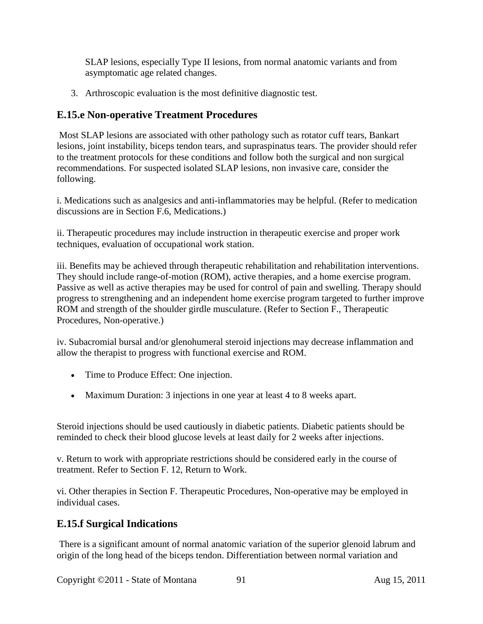SLAP lesions, especially Type II lesions, from normal anatomic variants and from asymptomatic age related changes.

3. Arthroscopic evaluation is the most definitive diagnostic test.

#### **E.15.e Non-operative Treatment Procedures**

Most SLAP lesions are associated with other pathology such as rotator cuff tears, Bankart lesions, joint instability, biceps tendon tears, and supraspinatus tears. The provider should refer to the treatment protocols for these conditions and follow both the surgical and non surgical recommendations. For suspected isolated SLAP lesions, non invasive care, consider the following.

i. Medications such as analgesics and anti-inflammatories may be helpful. (Refer to medication discussions are in Section F.6, Medications.)

ii. Therapeutic procedures may include instruction in therapeutic exercise and proper work techniques, evaluation of occupational work station.

iii. Benefits may be achieved through therapeutic rehabilitation and rehabilitation interventions. They should include range-of-motion (ROM), active therapies, and a home exercise program. Passive as well as active therapies may be used for control of pain and swelling. Therapy should progress to strengthening and an independent home exercise program targeted to further improve ROM and strength of the shoulder girdle musculature. (Refer to Section F., Therapeutic Procedures, Non-operative.)

iv. Subacromial bursal and/or glenohumeral steroid injections may decrease inflammation and allow the therapist to progress with functional exercise and ROM.

- Time to Produce Effect: One injection.
- Maximum Duration: 3 injections in one year at least 4 to 8 weeks apart.

Steroid injections should be used cautiously in diabetic patients. Diabetic patients should be reminded to check their blood glucose levels at least daily for 2 weeks after injections.

v. Return to work with appropriate restrictions should be considered early in the course of treatment. Refer to Section F. 12, Return to Work.

vi. Other therapies in Section F. Therapeutic Procedures, Non-operative may be employed in individual cases.

#### **E.15.f Surgical Indications**

There is a significant amount of normal anatomic variation of the superior glenoid labrum and origin of the long head of the biceps tendon. Differentiation between normal variation and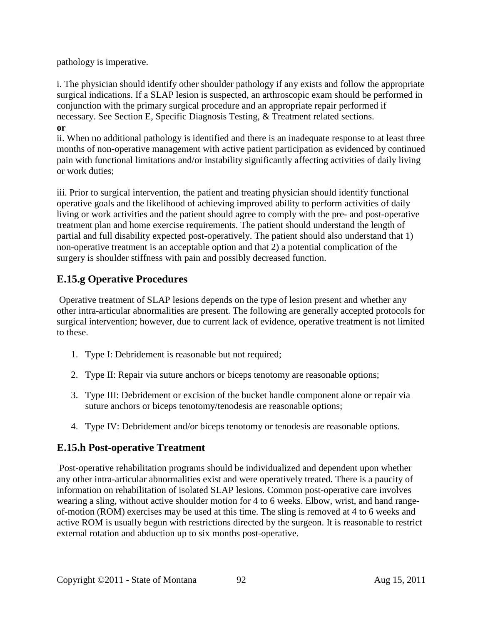pathology is imperative.

i. The physician should identify other shoulder pathology if any exists and follow the appropriate surgical indications. If a SLAP lesion is suspected, an arthroscopic exam should be performed in conjunction with the primary surgical procedure and an appropriate repair performed if necessary. See Section E, Specific Diagnosis Testing, & Treatment related sections. **or** 

ii. When no additional pathology is identified and there is an inadequate response to at least three months of non-operative management with active patient participation as evidenced by continued pain with functional limitations and/or instability significantly affecting activities of daily living or work duties;

iii. Prior to surgical intervention, the patient and treating physician should identify functional operative goals and the likelihood of achieving improved ability to perform activities of daily living or work activities and the patient should agree to comply with the pre- and post-operative treatment plan and home exercise requirements. The patient should understand the length of partial and full disability expected post-operatively. The patient should also understand that 1) non-operative treatment is an acceptable option and that 2) a potential complication of the surgery is shoulder stiffness with pain and possibly decreased function.

# **E.15.g Operative Procedures**

Operative treatment of SLAP lesions depends on the type of lesion present and whether any other intra-articular abnormalities are present. The following are generally accepted protocols for surgical intervention; however, due to current lack of evidence, operative treatment is not limited to these.

- 1. Type I: Debridement is reasonable but not required;
- 2. Type II: Repair via suture anchors or biceps tenotomy are reasonable options;
- 3. Type III: Debridement or excision of the bucket handle component alone or repair via suture anchors or biceps tenotomy/tenodesis are reasonable options;
- 4. Type IV: Debridement and/or biceps tenotomy or tenodesis are reasonable options.

## **E.15.h Post-operative Treatment**

Post-operative rehabilitation programs should be individualized and dependent upon whether any other intra-articular abnormalities exist and were operatively treated. There is a paucity of information on rehabilitation of isolated SLAP lesions. Common post-operative care involves wearing a sling, without active shoulder motion for 4 to 6 weeks. Elbow, wrist, and hand rangeof-motion (ROM) exercises may be used at this time. The sling is removed at 4 to 6 weeks and active ROM is usually begun with restrictions directed by the surgeon. It is reasonable to restrict external rotation and abduction up to six months post-operative.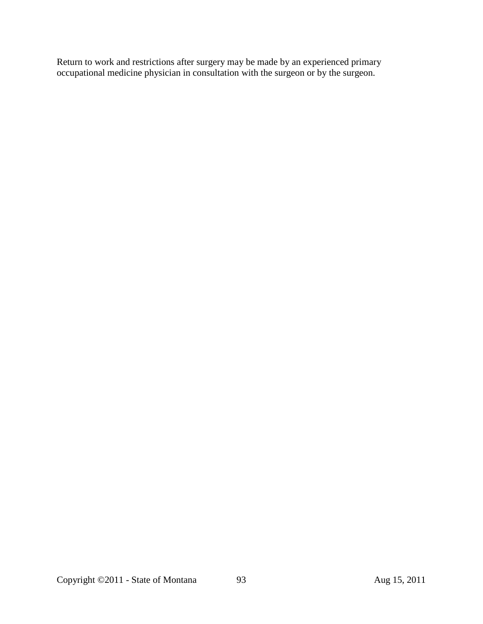Return to work and restrictions after surgery may be made by an experienced primary occupational medicine physician in consultation with the surgeon or by the surgeon.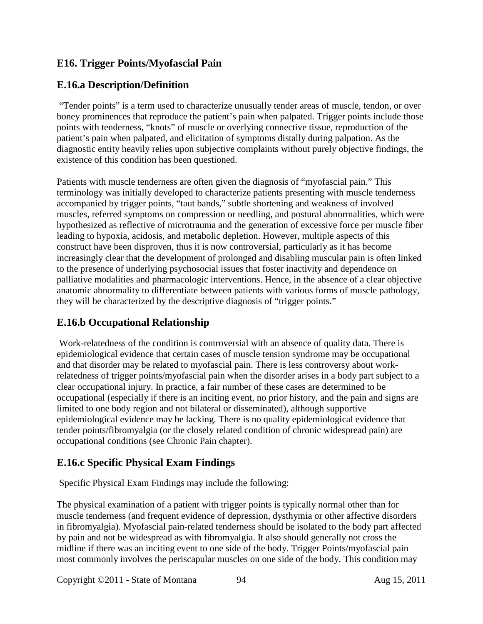# **E16. Trigger Points/Myofascial Pain**

# **E.16.a Description/Definition**

"Tender points" is a term used to characterize unusually tender areas of muscle, tendon, or over boney prominences that reproduce the patient's pain when palpated. Trigger points include those points with tenderness, "knots" of muscle or overlying connective tissue, reproduction of the patient's pain when palpated, and elicitation of symptoms distally during palpation. As the diagnostic entity heavily relies upon subjective complaints without purely objective findings, the existence of this condition has been questioned.

Patients with muscle tenderness are often given the diagnosis of "myofascial pain." This terminology was initially developed to characterize patients presenting with muscle tenderness accompanied by trigger points, "taut bands," subtle shortening and weakness of involved muscles, referred symptoms on compression or needling, and postural abnormalities, which were hypothesized as reflective of microtrauma and the generation of excessive force per muscle fiber leading to hypoxia, acidosis, and metabolic depletion. However, multiple aspects of this construct have been disproven, thus it is now controversial, particularly as it has become increasingly clear that the development of prolonged and disabling muscular pain is often linked to the presence of underlying psychosocial issues that foster inactivity and dependence on palliative modalities and pharmacologic interventions. Hence, in the absence of a clear objective anatomic abnormality to differentiate between patients with various forms of muscle pathology, they will be characterized by the descriptive diagnosis of "trigger points."

## **E.16.b Occupational Relationship**

Work-relatedness of the condition is controversial with an absence of quality data. There is epidemiological evidence that certain cases of muscle tension syndrome may be occupational and that disorder may be related to myofascial pain. There is less controversy about workrelatedness of trigger points/myofascial pain when the disorder arises in a body part subject to a clear occupational injury. In practice, a fair number of these cases are determined to be occupational (especially if there is an inciting event, no prior history, and the pain and signs are limited to one body region and not bilateral or disseminated), although supportive epidemiological evidence may be lacking. There is no quality epidemiological evidence that tender points/fibromyalgia (or the closely related condition of chronic widespread pain) are occupational conditions (see Chronic Pain chapter).

## **E.16.c Specific Physical Exam Findings**

Specific Physical Exam Findings may include the following:

The physical examination of a patient with trigger points is typically normal other than for muscle tenderness (and frequent evidence of depression, dysthymia or other affective disorders in fibromyalgia). Myofascial pain-related tenderness should be isolated to the body part affected by pain and not be widespread as with fibromyalgia. It also should generally not cross the midline if there was an inciting event to one side of the body. Trigger Points/myofascial pain most commonly involves the periscapular muscles on one side of the body. This condition may

Copyright ©2011 - State of Montana 94 Aug 15, 2011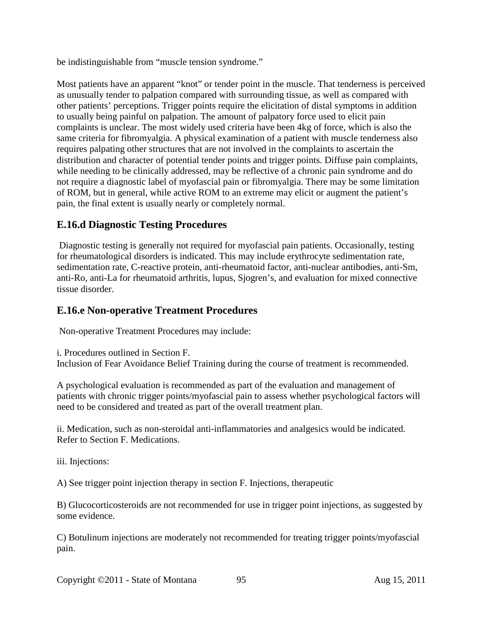be indistinguishable from "muscle tension syndrome."

Most patients have an apparent "knot" or tender point in the muscle. That tenderness is perceived as unusually tender to palpation compared with surrounding tissue, as well as compared with other patients' perceptions. Trigger points require the elicitation of distal symptoms in addition to usually being painful on palpation. The amount of palpatory force used to elicit pain complaints is unclear. The most widely used criteria have been 4kg of force, which is also the same criteria for fibromyalgia. A physical examination of a patient with muscle tenderness also requires palpating other structures that are not involved in the complaints to ascertain the distribution and character of potential tender points and trigger points. Diffuse pain complaints, while needing to be clinically addressed, may be reflective of a chronic pain syndrome and do not require a diagnostic label of myofascial pain or fibromyalgia. There may be some limitation of ROM, but in general, while active ROM to an extreme may elicit or augment the patient's pain, the final extent is usually nearly or completely normal.

#### **E.16.d Diagnostic Testing Procedures**

Diagnostic testing is generally not required for myofascial pain patients. Occasionally, testing for rheumatological disorders is indicated. This may include erythrocyte sedimentation rate, sedimentation rate, C-reactive protein, anti-rheumatoid factor, anti-nuclear antibodies, anti-Sm, anti-Ro, anti-La for rheumatoid arthritis, lupus, Sjogren's, and evaluation for mixed connective tissue disorder.

#### **E.16.e Non-operative Treatment Procedures**

Non-operative Treatment Procedures may include:

i. Procedures outlined in Section F.

Inclusion of Fear Avoidance Belief Training during the course of treatment is recommended.

A psychological evaluation is recommended as part of the evaluation and management of patients with chronic trigger points/myofascial pain to assess whether psychological factors will need to be considered and treated as part of the overall treatment plan.

ii. Medication, such as non-steroidal anti-inflammatories and analgesics would be indicated. Refer to Section F. Medications.

iii. Injections:

A) See trigger point injection therapy in section F. Injections, therapeutic

B) Glucocorticosteroids are not recommended for use in trigger point injections, as suggested by some evidence.

C) Botulinum injections are moderately not recommended for treating trigger points/myofascial pain.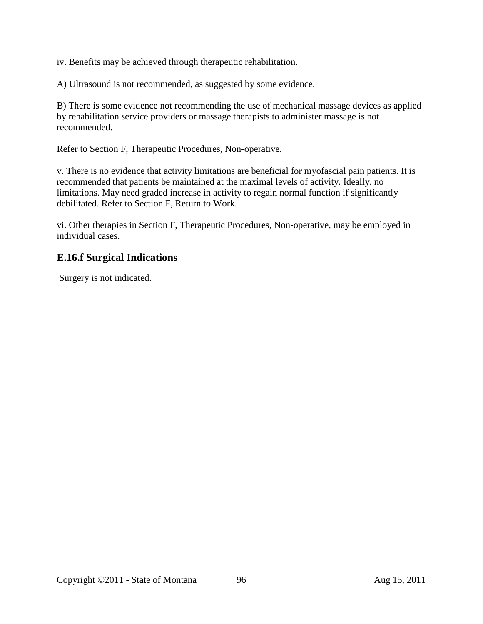iv. Benefits may be achieved through therapeutic rehabilitation.

A) Ultrasound is not recommended, as suggested by some evidence.

B) There is some evidence not recommending the use of mechanical massage devices as applied by rehabilitation service providers or massage therapists to administer massage is not recommended.

Refer to Section F, Therapeutic Procedures, Non-operative.

v. There is no evidence that activity limitations are beneficial for myofascial pain patients. It is recommended that patients be maintained at the maximal levels of activity. Ideally, no limitations. May need graded increase in activity to regain normal function if significantly debilitated. Refer to Section F, Return to Work.

vi. Other therapies in Section F, Therapeutic Procedures, Non-operative, may be employed in individual cases.

#### **E.16.f Surgical Indications**

Surgery is not indicated.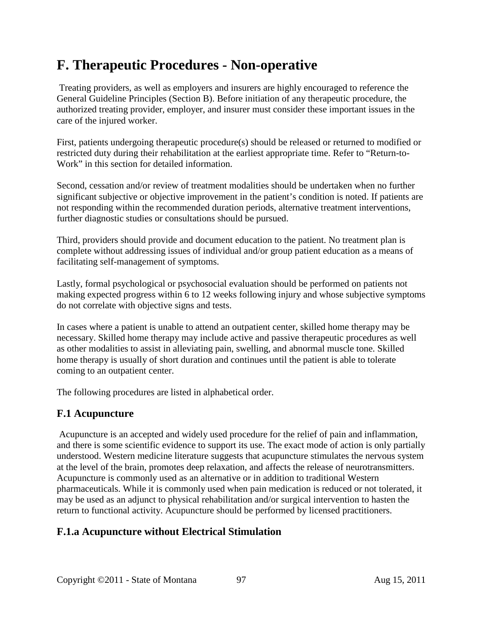# **F. Therapeutic Procedures - Non-operative**

Treating providers, as well as employers and insurers are highly encouraged to reference the General Guideline Principles (Section B). Before initiation of any therapeutic procedure, the authorized treating provider, employer, and insurer must consider these important issues in the care of the injured worker.

First, patients undergoing therapeutic procedure(s) should be released or returned to modified or restricted duty during their rehabilitation at the earliest appropriate time. Refer to "Return-to-Work" in this section for detailed information.

Second, cessation and/or review of treatment modalities should be undertaken when no further significant subjective or objective improvement in the patient's condition is noted. If patients are not responding within the recommended duration periods, alternative treatment interventions, further diagnostic studies or consultations should be pursued.

Third, providers should provide and document education to the patient. No treatment plan is complete without addressing issues of individual and/or group patient education as a means of facilitating self-management of symptoms.

Lastly, formal psychological or psychosocial evaluation should be performed on patients not making expected progress within 6 to 12 weeks following injury and whose subjective symptoms do not correlate with objective signs and tests.

In cases where a patient is unable to attend an outpatient center, skilled home therapy may be necessary. Skilled home therapy may include active and passive therapeutic procedures as well as other modalities to assist in alleviating pain, swelling, and abnormal muscle tone. Skilled home therapy is usually of short duration and continues until the patient is able to tolerate coming to an outpatient center.

The following procedures are listed in alphabetical order.

## **F.1 Acupuncture**

Acupuncture is an accepted and widely used procedure for the relief of pain and inflammation, and there is some scientific evidence to support its use. The exact mode of action is only partially understood. Western medicine literature suggests that acupuncture stimulates the nervous system at the level of the brain, promotes deep relaxation, and affects the release of neurotransmitters. Acupuncture is commonly used as an alternative or in addition to traditional Western pharmaceuticals. While it is commonly used when pain medication is reduced or not tolerated, it may be used as an adjunct to physical rehabilitation and/or surgical intervention to hasten the return to functional activity. Acupuncture should be performed by licensed practitioners.

## **F.1.a Acupuncture without Electrical Stimulation**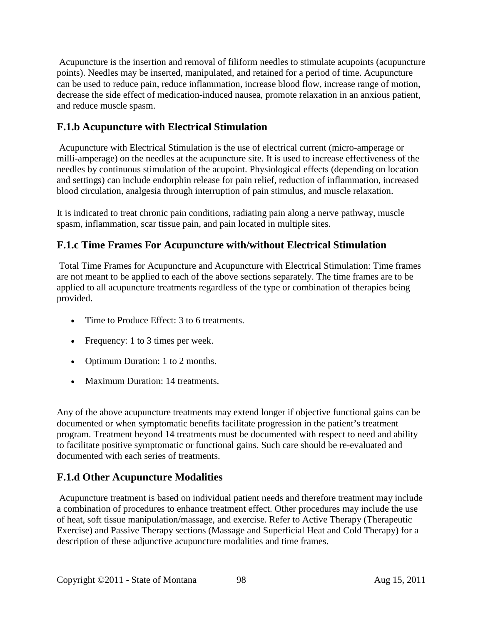Acupuncture is the insertion and removal of filiform needles to stimulate acupoints (acupuncture points). Needles may be inserted, manipulated, and retained for a period of time. Acupuncture can be used to reduce pain, reduce inflammation, increase blood flow, increase range of motion, decrease the side effect of medication-induced nausea, promote relaxation in an anxious patient, and reduce muscle spasm.

# **F.1.b Acupuncture with Electrical Stimulation**

Acupuncture with Electrical Stimulation is the use of electrical current (micro-amperage or milli-amperage) on the needles at the acupuncture site. It is used to increase effectiveness of the needles by continuous stimulation of the acupoint. Physiological effects (depending on location and settings) can include endorphin release for pain relief, reduction of inflammation, increased blood circulation, analgesia through interruption of pain stimulus, and muscle relaxation.

It is indicated to treat chronic pain conditions, radiating pain along a nerve pathway, muscle spasm, inflammation, scar tissue pain, and pain located in multiple sites.

## **F.1.c Time Frames For Acupuncture with/without Electrical Stimulation**

Total Time Frames for Acupuncture and Acupuncture with Electrical Stimulation: Time frames are not meant to be applied to each of the above sections separately. The time frames are to be applied to all acupuncture treatments regardless of the type or combination of therapies being provided.

- Time to Produce Effect: 3 to 6 treatments.
- Frequency: 1 to 3 times per week.
- Optimum Duration: 1 to 2 months.
- Maximum Duration: 14 treatments.

Any of the above acupuncture treatments may extend longer if objective functional gains can be documented or when symptomatic benefits facilitate progression in the patient's treatment program. Treatment beyond 14 treatments must be documented with respect to need and ability to facilitate positive symptomatic or functional gains. Such care should be re-evaluated and documented with each series of treatments.

## **F.1.d Other Acupuncture Modalities**

Acupuncture treatment is based on individual patient needs and therefore treatment may include a combination of procedures to enhance treatment effect. Other procedures may include the use of heat, soft tissue manipulation/massage, and exercise. Refer to Active Therapy (Therapeutic Exercise) and Passive Therapy sections (Massage and Superficial Heat and Cold Therapy) for a description of these adjunctive acupuncture modalities and time frames.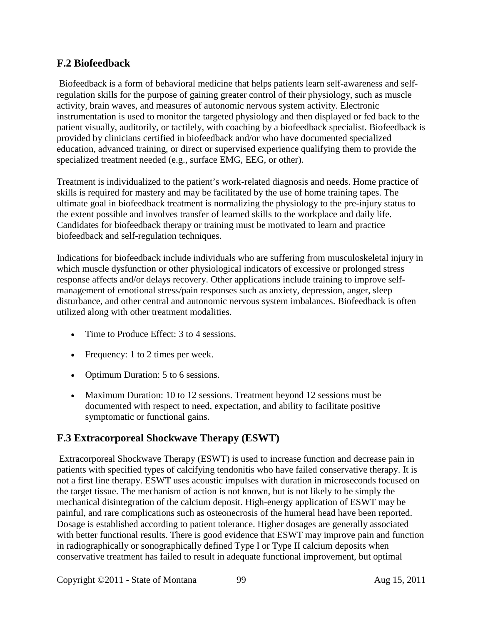#### **F.2 Biofeedback**

Biofeedback is a form of behavioral medicine that helps patients learn self-awareness and selfregulation skills for the purpose of gaining greater control of their physiology, such as muscle activity, brain waves, and measures of autonomic nervous system activity. Electronic instrumentation is used to monitor the targeted physiology and then displayed or fed back to the patient visually, auditorily, or tactilely, with coaching by a biofeedback specialist. Biofeedback is provided by clinicians certified in biofeedback and/or who have documented specialized education, advanced training, or direct or supervised experience qualifying them to provide the specialized treatment needed (e.g., surface EMG, EEG, or other).

Treatment is individualized to the patient's work-related diagnosis and needs. Home practice of skills is required for mastery and may be facilitated by the use of home training tapes. The ultimate goal in biofeedback treatment is normalizing the physiology to the pre-injury status to the extent possible and involves transfer of learned skills to the workplace and daily life. Candidates for biofeedback therapy or training must be motivated to learn and practice biofeedback and self-regulation techniques.

Indications for biofeedback include individuals who are suffering from musculoskeletal injury in which muscle dysfunction or other physiological indicators of excessive or prolonged stress response affects and/or delays recovery. Other applications include training to improve selfmanagement of emotional stress/pain responses such as anxiety, depression, anger, sleep disturbance, and other central and autonomic nervous system imbalances. Biofeedback is often utilized along with other treatment modalities.

- Time to Produce Effect: 3 to 4 sessions.
- Frequency: 1 to 2 times per week.
- Optimum Duration: 5 to 6 sessions.
- Maximum Duration: 10 to 12 sessions. Treatment beyond 12 sessions must be documented with respect to need, expectation, and ability to facilitate positive symptomatic or functional gains.

## **F.3 Extracorporeal Shockwave Therapy (ESWT)**

Extracorporeal Shockwave Therapy (ESWT) is used to increase function and decrease pain in patients with specified types of calcifying tendonitis who have failed conservative therapy. It is not a first line therapy. ESWT uses acoustic impulses with duration in microseconds focused on the target tissue. The mechanism of action is not known, but is not likely to be simply the mechanical disintegration of the calcium deposit. High-energy application of ESWT may be painful, and rare complications such as osteonecrosis of the humeral head have been reported. Dosage is established according to patient tolerance. Higher dosages are generally associated with better functional results. There is good evidence that ESWT may improve pain and function in radiographically or sonographically defined Type I or Type II calcium deposits when conservative treatment has failed to result in adequate functional improvement, but optimal

Copyright ©2011 - State of Montana 99 Aug 15, 2011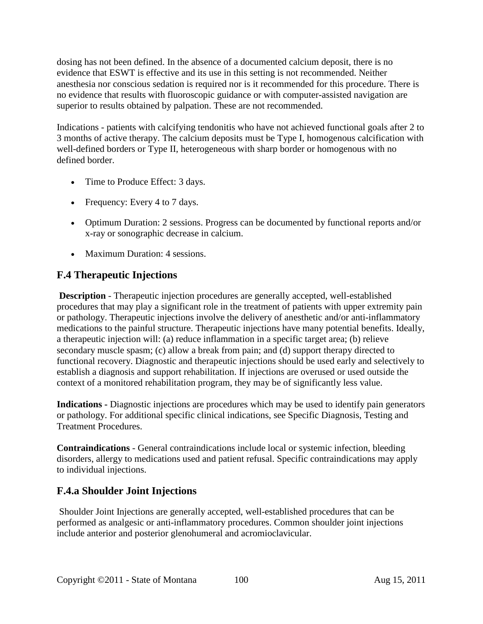dosing has not been defined. In the absence of a documented calcium deposit, there is no evidence that ESWT is effective and its use in this setting is not recommended. Neither anesthesia nor conscious sedation is required nor is it recommended for this procedure. There is no evidence that results with fluoroscopic guidance or with computer-assisted navigation are superior to results obtained by palpation. These are not recommended.

Indications - patients with calcifying tendonitis who have not achieved functional goals after 2 to 3 months of active therapy. The calcium deposits must be Type I, homogenous calcification with well-defined borders or Type II, heterogeneous with sharp border or homogenous with no defined border.

- Time to Produce Effect: 3 days.
- Frequency: Every 4 to 7 days.
- Optimum Duration: 2 sessions. Progress can be documented by functional reports and/or x-ray or sonographic decrease in calcium.
- Maximum Duration: 4 sessions.

## **F.4 Therapeutic Injections**

**Description** - Therapeutic injection procedures are generally accepted, well-established procedures that may play a significant role in the treatment of patients with upper extremity pain or pathology. Therapeutic injections involve the delivery of anesthetic and/or anti-inflammatory medications to the painful structure. Therapeutic injections have many potential benefits. Ideally, a therapeutic injection will: (a) reduce inflammation in a specific target area; (b) relieve secondary muscle spasm; (c) allow a break from pain; and (d) support therapy directed to functional recovery. Diagnostic and therapeutic injections should be used early and selectively to establish a diagnosis and support rehabilitation. If injections are overused or used outside the context of a monitored rehabilitation program, they may be of significantly less value.

**Indications -** Diagnostic injections are procedures which may be used to identify pain generators or pathology. For additional specific clinical indications, see Specific Diagnosis, Testing and Treatment Procedures.

**Contraindications** - General contraindications include local or systemic infection, bleeding disorders, allergy to medications used and patient refusal. Specific contraindications may apply to individual injections.

## **F.4.a Shoulder Joint Injections**

Shoulder Joint Injections are generally accepted, well-established procedures that can be performed as analgesic or anti-inflammatory procedures. Common shoulder joint injections include anterior and posterior glenohumeral and acromioclavicular.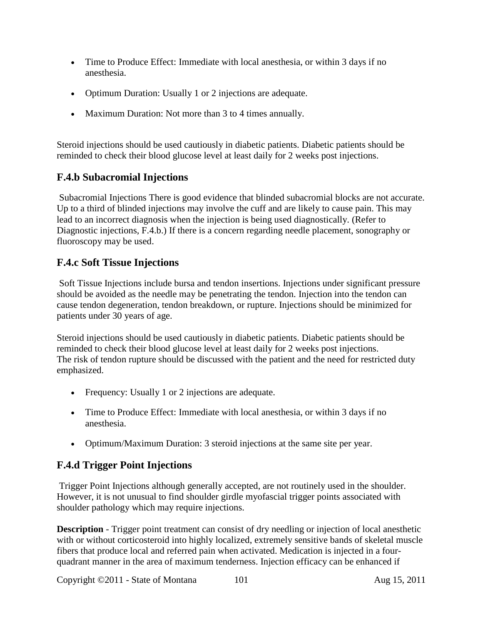- Time to Produce Effect: Immediate with local anesthesia, or within 3 days if no anesthesia.
- Optimum Duration: Usually 1 or 2 injections are adequate.
- Maximum Duration: Not more than 3 to 4 times annually.

Steroid injections should be used cautiously in diabetic patients. Diabetic patients should be reminded to check their blood glucose level at least daily for 2 weeks post injections.

## **F.4.b Subacromial Injections**

Subacromial Injections There is good evidence that blinded subacromial blocks are not accurate. Up to a third of blinded injections may involve the cuff and are likely to cause pain. This may lead to an incorrect diagnosis when the injection is being used diagnostically. (Refer to Diagnostic injections, F.4.b.) If there is a concern regarding needle placement, sonography or fluoroscopy may be used.

#### **F.4.c Soft Tissue Injections**

Soft Tissue Injections include bursa and tendon insertions. Injections under significant pressure should be avoided as the needle may be penetrating the tendon. Injection into the tendon can cause tendon degeneration, tendon breakdown, or rupture. Injections should be minimized for patients under 30 years of age.

Steroid injections should be used cautiously in diabetic patients. Diabetic patients should be reminded to check their blood glucose level at least daily for 2 weeks post injections. The risk of tendon rupture should be discussed with the patient and the need for restricted duty emphasized.

- Frequency: Usually 1 or 2 injections are adequate.
- Time to Produce Effect: Immediate with local anesthesia, or within 3 days if no anesthesia.
- Optimum/Maximum Duration: 3 steroid injections at the same site per year.

## **F.4.d Trigger Point Injections**

Trigger Point Injections although generally accepted, are not routinely used in the shoulder. However, it is not unusual to find shoulder girdle myofascial trigger points associated with shoulder pathology which may require injections.

**Description** - Trigger point treatment can consist of dry needling or injection of local anesthetic with or without corticosteroid into highly localized, extremely sensitive bands of skeletal muscle fibers that produce local and referred pain when activated. Medication is injected in a fourquadrant manner in the area of maximum tenderness. Injection efficacy can be enhanced if

Copyright ©2011 - State of Montana 101 Aug 15, 2011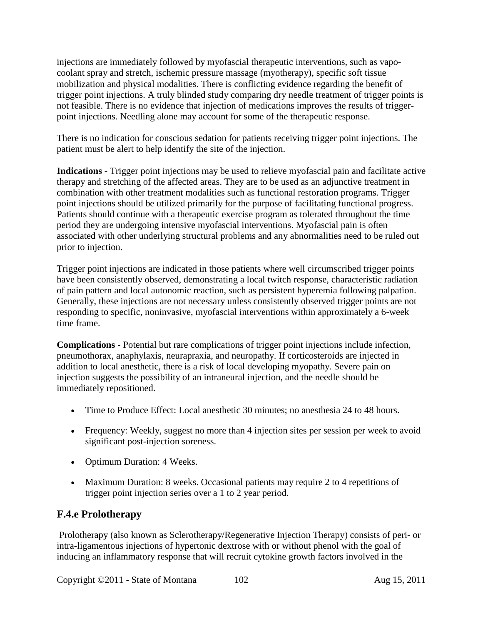injections are immediately followed by myofascial therapeutic interventions, such as vapocoolant spray and stretch, ischemic pressure massage (myotherapy), specific soft tissue mobilization and physical modalities. There is conflicting evidence regarding the benefit of trigger point injections. A truly blinded study comparing dry needle treatment of trigger points is not feasible. There is no evidence that injection of medications improves the results of triggerpoint injections. Needling alone may account for some of the therapeutic response.

There is no indication for conscious sedation for patients receiving trigger point injections. The patient must be alert to help identify the site of the injection.

**Indications** - Trigger point injections may be used to relieve myofascial pain and facilitate active therapy and stretching of the affected areas. They are to be used as an adjunctive treatment in combination with other treatment modalities such as functional restoration programs. Trigger point injections should be utilized primarily for the purpose of facilitating functional progress. Patients should continue with a therapeutic exercise program as tolerated throughout the time period they are undergoing intensive myofascial interventions. Myofascial pain is often associated with other underlying structural problems and any abnormalities need to be ruled out prior to injection.

Trigger point injections are indicated in those patients where well circumscribed trigger points have been consistently observed, demonstrating a local twitch response, characteristic radiation of pain pattern and local autonomic reaction, such as persistent hyperemia following palpation. Generally, these injections are not necessary unless consistently observed trigger points are not responding to specific, noninvasive, myofascial interventions within approximately a 6-week time frame.

**Complications** - Potential but rare complications of trigger point injections include infection, pneumothorax, anaphylaxis, neurapraxia, and neuropathy. If corticosteroids are injected in addition to local anesthetic, there is a risk of local developing myopathy. Severe pain on injection suggests the possibility of an intraneural injection, and the needle should be immediately repositioned.

- Time to Produce Effect: Local anesthetic 30 minutes; no anesthesia 24 to 48 hours.
- Frequency: Weekly, suggest no more than 4 injection sites per session per week to avoid significant post-injection soreness.
- Optimum Duration: 4 Weeks.
- Maximum Duration: 8 weeks. Occasional patients may require 2 to 4 repetitions of trigger point injection series over a 1 to 2 year period.

## **F.4.e Prolotherapy**

Prolotherapy (also known as Sclerotherapy/Regenerative Injection Therapy) consists of peri- or intra-ligamentous injections of hypertonic dextrose with or without phenol with the goal of inducing an inflammatory response that will recruit cytokine growth factors involved in the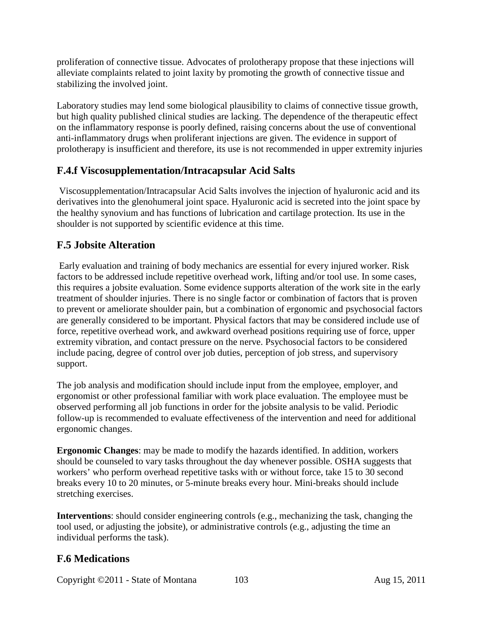proliferation of connective tissue. Advocates of prolotherapy propose that these injections will alleviate complaints related to joint laxity by promoting the growth of connective tissue and stabilizing the involved joint.

Laboratory studies may lend some biological plausibility to claims of connective tissue growth, but high quality published clinical studies are lacking. The dependence of the therapeutic effect on the inflammatory response is poorly defined, raising concerns about the use of conventional anti-inflammatory drugs when proliferant injections are given. The evidence in support of prolotherapy is insufficient and therefore, its use is not recommended in upper extremity injuries

## **F.4.f Viscosupplementation/Intracapsular Acid Salts**

Viscosupplementation/Intracapsular Acid Salts involves the injection of hyaluronic acid and its derivatives into the glenohumeral joint space. Hyaluronic acid is secreted into the joint space by the healthy synovium and has functions of lubrication and cartilage protection. Its use in the shoulder is not supported by scientific evidence at this time.

## **F.5 Jobsite Alteration**

Early evaluation and training of body mechanics are essential for every injured worker. Risk factors to be addressed include repetitive overhead work, lifting and/or tool use. In some cases, this requires a jobsite evaluation. Some evidence supports alteration of the work site in the early treatment of shoulder injuries. There is no single factor or combination of factors that is proven to prevent or ameliorate shoulder pain, but a combination of ergonomic and psychosocial factors are generally considered to be important. Physical factors that may be considered include use of force, repetitive overhead work, and awkward overhead positions requiring use of force, upper extremity vibration, and contact pressure on the nerve. Psychosocial factors to be considered include pacing, degree of control over job duties, perception of job stress, and supervisory support.

The job analysis and modification should include input from the employee, employer, and ergonomist or other professional familiar with work place evaluation. The employee must be observed performing all job functions in order for the jobsite analysis to be valid. Periodic follow-up is recommended to evaluate effectiveness of the intervention and need for additional ergonomic changes.

**Ergonomic Changes**: may be made to modify the hazards identified. In addition, workers should be counseled to vary tasks throughout the day whenever possible. OSHA suggests that workers' who perform overhead repetitive tasks with or without force, take 15 to 30 second breaks every 10 to 20 minutes, or 5-minute breaks every hour. Mini-breaks should include stretching exercises.

**Interventions**: should consider engineering controls (e.g., mechanizing the task, changing the tool used, or adjusting the jobsite), or administrative controls (e.g., adjusting the time an individual performs the task).

## **F.6 Medications**

Copyright ©2011 - State of Montana 103 Aug 15, 2011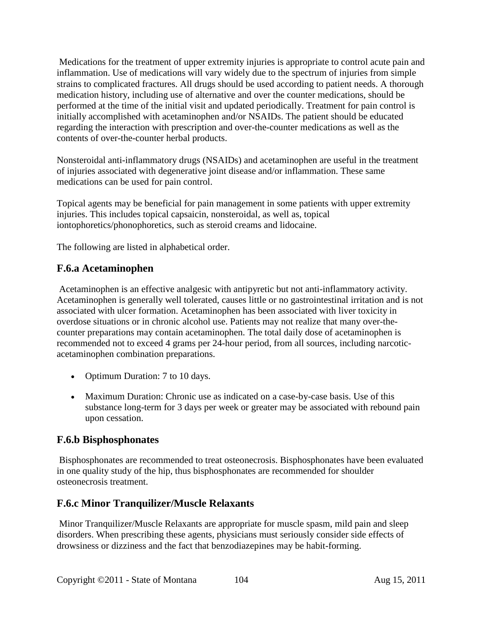Medications for the treatment of upper extremity injuries is appropriate to control acute pain and inflammation. Use of medications will vary widely due to the spectrum of injuries from simple strains to complicated fractures. All drugs should be used according to patient needs. A thorough medication history, including use of alternative and over the counter medications, should be performed at the time of the initial visit and updated periodically. Treatment for pain control is initially accomplished with acetaminophen and/or NSAIDs. The patient should be educated regarding the interaction with prescription and over-the-counter medications as well as the contents of over-the-counter herbal products.

Nonsteroidal anti-inflammatory drugs (NSAIDs) and acetaminophen are useful in the treatment of injuries associated with degenerative joint disease and/or inflammation. These same medications can be used for pain control.

Topical agents may be beneficial for pain management in some patients with upper extremity injuries. This includes topical capsaicin, nonsteroidal, as well as, topical iontophoretics/phonophoretics, such as steroid creams and lidocaine.

The following are listed in alphabetical order.

#### **F.6.a Acetaminophen**

Acetaminophen is an effective analgesic with antipyretic but not anti-inflammatory activity. Acetaminophen is generally well tolerated, causes little or no gastrointestinal irritation and is not associated with ulcer formation. Acetaminophen has been associated with liver toxicity in overdose situations or in chronic alcohol use. Patients may not realize that many over-thecounter preparations may contain acetaminophen. The total daily dose of acetaminophen is recommended not to exceed 4 grams per 24-hour period, from all sources, including narcoticacetaminophen combination preparations.

- Optimum Duration: 7 to 10 days.
- Maximum Duration: Chronic use as indicated on a case-by-case basis. Use of this substance long-term for 3 days per week or greater may be associated with rebound pain upon cessation.

#### **F.6.b Bisphosphonates**

Bisphosphonates are recommended to treat osteonecrosis. Bisphosphonates have been evaluated in one quality study of the hip, thus bisphosphonates are recommended for shoulder osteonecrosis treatment.

#### **F.6.c Minor Tranquilizer/Muscle Relaxants**

Minor Tranquilizer/Muscle Relaxants are appropriate for muscle spasm, mild pain and sleep disorders. When prescribing these agents, physicians must seriously consider side effects of drowsiness or dizziness and the fact that benzodiazepines may be habit-forming.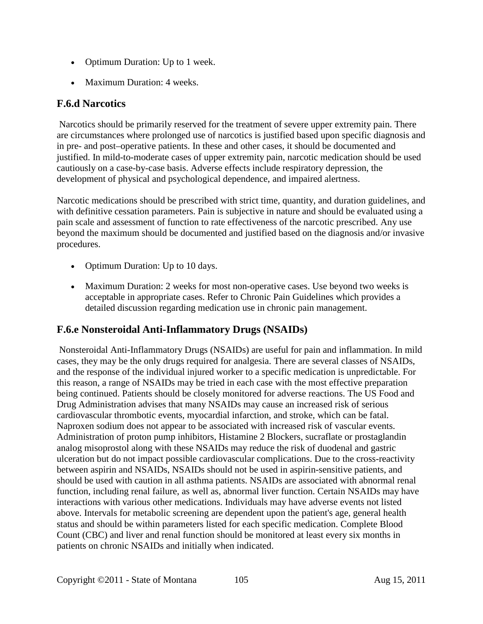- Optimum Duration: Up to 1 week.
- Maximum Duration: 4 weeks.

#### **F.6.d Narcotics**

Narcotics should be primarily reserved for the treatment of severe upper extremity pain. There are circumstances where prolonged use of narcotics is justified based upon specific diagnosis and in pre- and post–operative patients. In these and other cases, it should be documented and justified. In mild-to-moderate cases of upper extremity pain, narcotic medication should be used cautiously on a case-by-case basis. Adverse effects include respiratory depression, the development of physical and psychological dependence, and impaired alertness.

Narcotic medications should be prescribed with strict time, quantity, and duration guidelines, and with definitive cessation parameters. Pain is subjective in nature and should be evaluated using a pain scale and assessment of function to rate effectiveness of the narcotic prescribed. Any use beyond the maximum should be documented and justified based on the diagnosis and/or invasive procedures.

- Optimum Duration: Up to 10 days.
- Maximum Duration: 2 weeks for most non-operative cases. Use beyond two weeks is acceptable in appropriate cases. Refer to Chronic Pain Guidelines which provides a detailed discussion regarding medication use in chronic pain management.

## **F.6.e Nonsteroidal Anti-Inflammatory Drugs (NSAIDs)**

Nonsteroidal Anti-Inflammatory Drugs (NSAIDs) are useful for pain and inflammation. In mild cases, they may be the only drugs required for analgesia. There are several classes of NSAIDs, and the response of the individual injured worker to a specific medication is unpredictable. For this reason, a range of NSAIDs may be tried in each case with the most effective preparation being continued. Patients should be closely monitored for adverse reactions. The US Food and Drug Administration advises that many NSAIDs may cause an increased risk of serious cardiovascular thrombotic events, myocardial infarction, and stroke, which can be fatal. Naproxen sodium does not appear to be associated with increased risk of vascular events. Administration of proton pump inhibitors, Histamine 2 Blockers, sucraflate or prostaglandin analog misoprostol along with these NSAIDs may reduce the risk of duodenal and gastric ulceration but do not impact possible cardiovascular complications. Due to the cross-reactivity between aspirin and NSAIDs, NSAIDs should not be used in aspirin-sensitive patients, and should be used with caution in all asthma patients. NSAIDs are associated with abnormal renal function, including renal failure, as well as, abnormal liver function. Certain NSAIDs may have interactions with various other medications. Individuals may have adverse events not listed above. Intervals for metabolic screening are dependent upon the patient's age, general health status and should be within parameters listed for each specific medication. Complete Blood Count (CBC) and liver and renal function should be monitored at least every six months in patients on chronic NSAIDs and initially when indicated.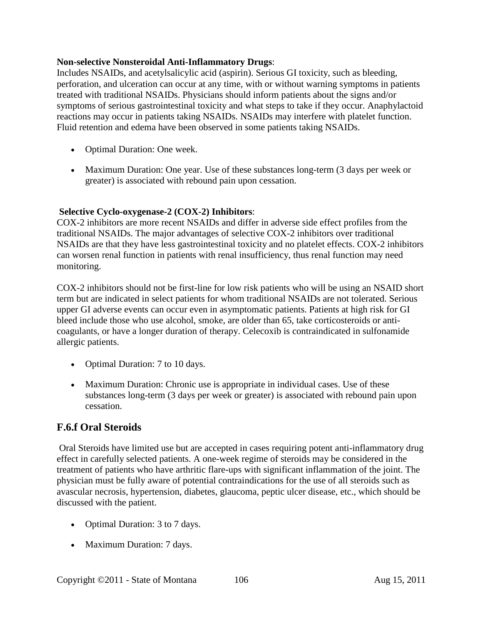#### **Non-selective Nonsteroidal Anti-Inflammatory Drugs**:

Includes NSAIDs, and acetylsalicylic acid (aspirin). Serious GI toxicity, such as bleeding, perforation, and ulceration can occur at any time, with or without warning symptoms in patients treated with traditional NSAIDs. Physicians should inform patients about the signs and/or symptoms of serious gastrointestinal toxicity and what steps to take if they occur. Anaphylactoid reactions may occur in patients taking NSAIDs. NSAIDs may interfere with platelet function. Fluid retention and edema have been observed in some patients taking NSAIDs.

- Optimal Duration: One week.
- Maximum Duration: One year. Use of these substances long-term (3 days per week or greater) is associated with rebound pain upon cessation.

#### **Selective Cyclo-oxygenase-2 (COX-2) Inhibitors**:

COX-2 inhibitors are more recent NSAIDs and differ in adverse side effect profiles from the traditional NSAIDs. The major advantages of selective COX-2 inhibitors over traditional NSAIDs are that they have less gastrointestinal toxicity and no platelet effects. COX-2 inhibitors can worsen renal function in patients with renal insufficiency, thus renal function may need monitoring.

COX-2 inhibitors should not be first-line for low risk patients who will be using an NSAID short term but are indicated in select patients for whom traditional NSAIDs are not tolerated. Serious upper GI adverse events can occur even in asymptomatic patients. Patients at high risk for GI bleed include those who use alcohol, smoke, are older than 65, take corticosteroids or anticoagulants, or have a longer duration of therapy. Celecoxib is contraindicated in sulfonamide allergic patients.

- Optimal Duration: 7 to 10 days.
- Maximum Duration: Chronic use is appropriate in individual cases. Use of these substances long-term (3 days per week or greater) is associated with rebound pain upon cessation.

#### **F.6.f Oral Steroids**

Oral Steroids have limited use but are accepted in cases requiring potent anti-inflammatory drug effect in carefully selected patients. A one-week regime of steroids may be considered in the treatment of patients who have arthritic flare-ups with significant inflammation of the joint. The physician must be fully aware of potential contraindications for the use of all steroids such as avascular necrosis, hypertension, diabetes, glaucoma, peptic ulcer disease, etc., which should be discussed with the patient.

- Optimal Duration: 3 to 7 days.
- Maximum Duration: 7 days.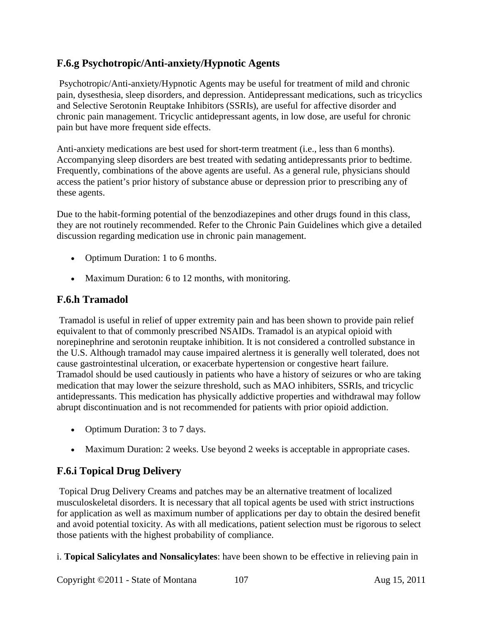## **F.6.g Psychotropic/Anti-anxiety/Hypnotic Agents**

Psychotropic/Anti-anxiety/Hypnotic Agents may be useful for treatment of mild and chronic pain, dysesthesia, sleep disorders, and depression. Antidepressant medications, such as tricyclics and Selective Serotonin Reuptake Inhibitors (SSRIs), are useful for affective disorder and chronic pain management. Tricyclic antidepressant agents, in low dose, are useful for chronic pain but have more frequent side effects.

Anti-anxiety medications are best used for short-term treatment (i.e., less than 6 months). Accompanying sleep disorders are best treated with sedating antidepressants prior to bedtime. Frequently, combinations of the above agents are useful. As a general rule, physicians should access the patient's prior history of substance abuse or depression prior to prescribing any of these agents.

Due to the habit-forming potential of the benzodiazepines and other drugs found in this class, they are not routinely recommended. Refer to the Chronic Pain Guidelines which give a detailed discussion regarding medication use in chronic pain management.

- Optimum Duration: 1 to 6 months.
- Maximum Duration: 6 to 12 months, with monitoring.

#### **F.6.h Tramadol**

Tramadol is useful in relief of upper extremity pain and has been shown to provide pain relief equivalent to that of commonly prescribed NSAIDs. Tramadol is an atypical opioid with norepinephrine and serotonin reuptake inhibition. It is not considered a controlled substance in the U.S. Although tramadol may cause impaired alertness it is generally well tolerated, does not cause gastrointestinal ulceration, or exacerbate hypertension or congestive heart failure. Tramadol should be used cautiously in patients who have a history of seizures or who are taking medication that may lower the seizure threshold, such as MAO inhibiters, SSRIs, and tricyclic antidepressants. This medication has physically addictive properties and withdrawal may follow abrupt discontinuation and is not recommended for patients with prior opioid addiction.

- Optimum Duration: 3 to 7 days.
- Maximum Duration: 2 weeks. Use beyond 2 weeks is acceptable in appropriate cases.

#### **F.6.i Topical Drug Delivery**

Topical Drug Delivery Creams and patches may be an alternative treatment of localized musculoskeletal disorders. It is necessary that all topical agents be used with strict instructions for application as well as maximum number of applications per day to obtain the desired benefit and avoid potential toxicity. As with all medications, patient selection must be rigorous to select those patients with the highest probability of compliance.

i. **Topical Salicylates and Nonsalicylates**: have been shown to be effective in relieving pain in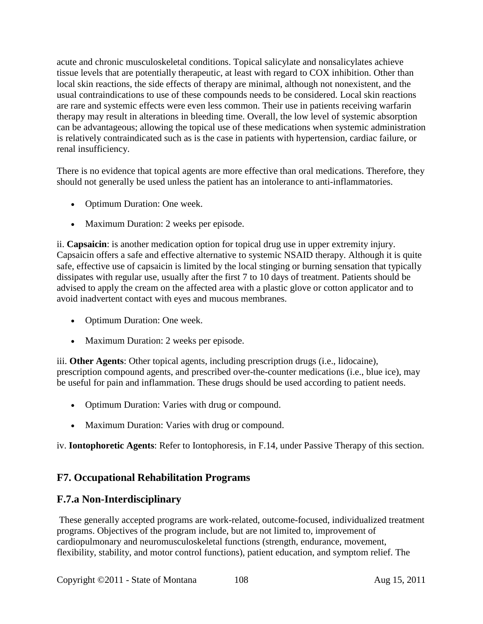acute and chronic musculoskeletal conditions. Topical salicylate and nonsalicylates achieve tissue levels that are potentially therapeutic, at least with regard to COX inhibition. Other than local skin reactions, the side effects of therapy are minimal, although not nonexistent, and the usual contraindications to use of these compounds needs to be considered. Local skin reactions are rare and systemic effects were even less common. Their use in patients receiving warfarin therapy may result in alterations in bleeding time. Overall, the low level of systemic absorption can be advantageous; allowing the topical use of these medications when systemic administration is relatively contraindicated such as is the case in patients with hypertension, cardiac failure, or renal insufficiency.

There is no evidence that topical agents are more effective than oral medications. Therefore, they should not generally be used unless the patient has an intolerance to anti-inflammatories.

- Optimum Duration: One week.
- Maximum Duration: 2 weeks per episode.

ii. **Capsaicin**: is another medication option for topical drug use in upper extremity injury. Capsaicin offers a safe and effective alternative to systemic NSAID therapy. Although it is quite safe, effective use of capsaicin is limited by the local stinging or burning sensation that typically dissipates with regular use, usually after the first 7 to 10 days of treatment. Patients should be advised to apply the cream on the affected area with a plastic glove or cotton applicator and to avoid inadvertent contact with eyes and mucous membranes.

- Optimum Duration: One week.
- Maximum Duration: 2 weeks per episode.

iii. **Other Agents**: Other topical agents, including prescription drugs (i.e., lidocaine), prescription compound agents, and prescribed over-the-counter medications (i.e., blue ice), may be useful for pain and inflammation. These drugs should be used according to patient needs.

- Optimum Duration: Varies with drug or compound.
- Maximum Duration: Varies with drug or compound.

iv. **Iontophoretic Agents**: Refer to Iontophoresis, in F.14, under Passive Therapy of this section.

# **F7. Occupational Rehabilitation Programs**

## **F.7.a Non-Interdisciplinary**

These generally accepted programs are work-related, outcome-focused, individualized treatment programs. Objectives of the program include, but are not limited to, improvement of cardiopulmonary and neuromusculoskeletal functions (strength, endurance, movement, flexibility, stability, and motor control functions), patient education, and symptom relief. The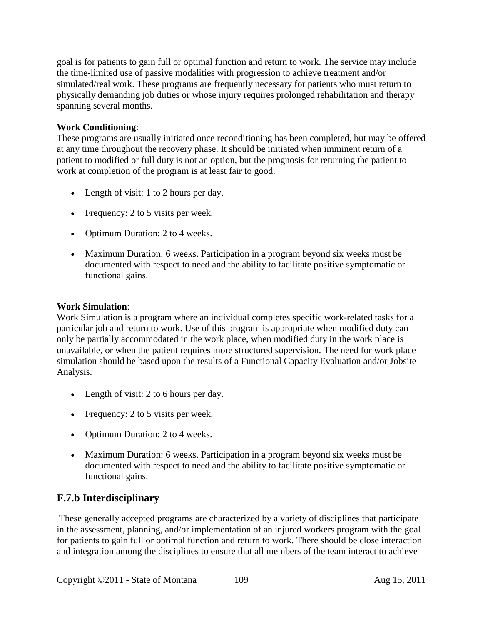goal is for patients to gain full or optimal function and return to work. The service may include the time-limited use of passive modalities with progression to achieve treatment and/or simulated/real work. These programs are frequently necessary for patients who must return to physically demanding job duties or whose injury requires prolonged rehabilitation and therapy spanning several months.

#### **Work Conditioning**:

These programs are usually initiated once reconditioning has been completed, but may be offered at any time throughout the recovery phase. It should be initiated when imminent return of a patient to modified or full duty is not an option, but the prognosis for returning the patient to work at completion of the program is at least fair to good.

- Length of visit: 1 to 2 hours per day.
- Frequency: 2 to 5 visits per week.
- Optimum Duration: 2 to 4 weeks.
- Maximum Duration: 6 weeks. Participation in a program beyond six weeks must be documented with respect to need and the ability to facilitate positive symptomatic or functional gains.

#### **Work Simulation**:

Work Simulation is a program where an individual completes specific work-related tasks for a particular job and return to work. Use of this program is appropriate when modified duty can only be partially accommodated in the work place, when modified duty in the work place is unavailable, or when the patient requires more structured supervision. The need for work place simulation should be based upon the results of a Functional Capacity Evaluation and/or Jobsite Analysis.

- Length of visit: 2 to 6 hours per day.
- Frequency: 2 to 5 visits per week.
- Optimum Duration: 2 to 4 weeks.
- Maximum Duration: 6 weeks. Participation in a program beyond six weeks must be documented with respect to need and the ability to facilitate positive symptomatic or functional gains.

# **F.7.b Interdisciplinary**

These generally accepted programs are characterized by a variety of disciplines that participate in the assessment, planning, and/or implementation of an injured workers program with the goal for patients to gain full or optimal function and return to work. There should be close interaction and integration among the disciplines to ensure that all members of the team interact to achieve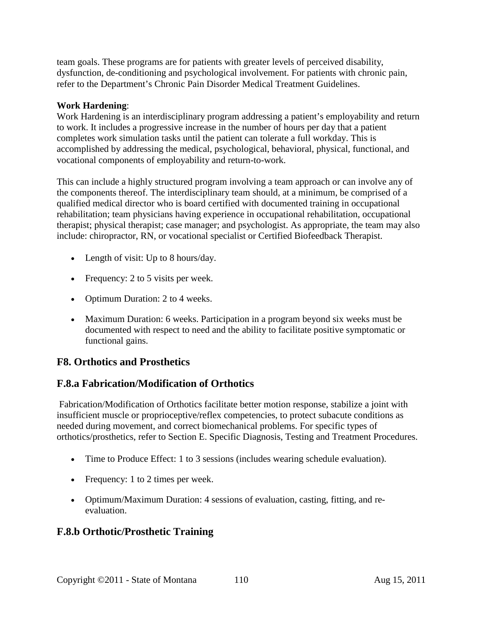team goals. These programs are for patients with greater levels of perceived disability, dysfunction, de-conditioning and psychological involvement. For patients with chronic pain, refer to the Department's Chronic Pain Disorder Medical Treatment Guidelines.

#### **Work Hardening**:

Work Hardening is an interdisciplinary program addressing a patient's employability and return to work. It includes a progressive increase in the number of hours per day that a patient completes work simulation tasks until the patient can tolerate a full workday. This is accomplished by addressing the medical, psychological, behavioral, physical, functional, and vocational components of employability and return-to-work.

This can include a highly structured program involving a team approach or can involve any of the components thereof. The interdisciplinary team should, at a minimum, be comprised of a qualified medical director who is board certified with documented training in occupational rehabilitation; team physicians having experience in occupational rehabilitation, occupational therapist; physical therapist; case manager; and psychologist. As appropriate, the team may also include: chiropractor, RN, or vocational specialist or Certified Biofeedback Therapist.

- Length of visit: Up to 8 hours/day.
- Frequency: 2 to 5 visits per week.
- Optimum Duration: 2 to 4 weeks.
- Maximum Duration: 6 weeks. Participation in a program beyond six weeks must be documented with respect to need and the ability to facilitate positive symptomatic or functional gains.

#### **F8. Orthotics and Prosthetics**

#### **F.8.a Fabrication/Modification of Orthotics**

Fabrication/Modification of Orthotics facilitate better motion response, stabilize a joint with insufficient muscle or proprioceptive/reflex competencies, to protect subacute conditions as needed during movement, and correct biomechanical problems. For specific types of orthotics/prosthetics, refer to Section E. Specific Diagnosis, Testing and Treatment Procedures.

- Time to Produce Effect: 1 to 3 sessions (includes wearing schedule evaluation).
- Frequency: 1 to 2 times per week.
- Optimum/Maximum Duration: 4 sessions of evaluation, casting, fitting, and reevaluation.

#### **F.8.b Orthotic/Prosthetic Training**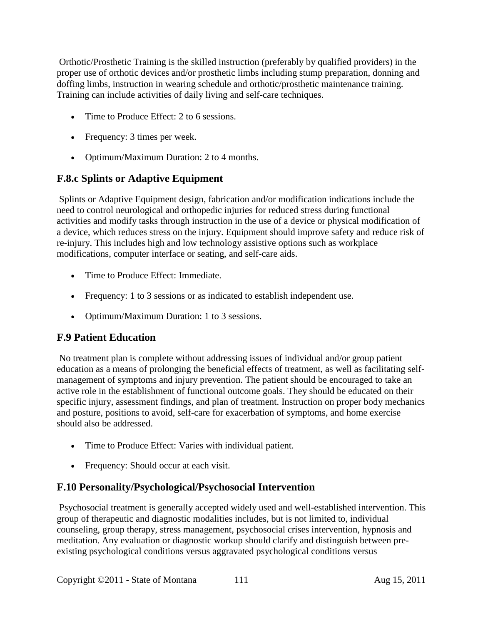Orthotic/Prosthetic Training is the skilled instruction (preferably by qualified providers) in the proper use of orthotic devices and/or prosthetic limbs including stump preparation, donning and doffing limbs, instruction in wearing schedule and orthotic/prosthetic maintenance training. Training can include activities of daily living and self-care techniques.

- Time to Produce Effect: 2 to 6 sessions.
- Frequency: 3 times per week.
- Optimum/Maximum Duration: 2 to 4 months.

# **F.8.c Splints or Adaptive Equipment**

Splints or Adaptive Equipment design, fabrication and/or modification indications include the need to control neurological and orthopedic injuries for reduced stress during functional activities and modify tasks through instruction in the use of a device or physical modification of a device, which reduces stress on the injury. Equipment should improve safety and reduce risk of re-injury. This includes high and low technology assistive options such as workplace modifications, computer interface or seating, and self-care aids.

- Time to Produce Effect: Immediate.
- Frequency: 1 to 3 sessions or as indicated to establish independent use.
- Optimum/Maximum Duration: 1 to 3 sessions.

# **F.9 Patient Education**

No treatment plan is complete without addressing issues of individual and/or group patient education as a means of prolonging the beneficial effects of treatment, as well as facilitating selfmanagement of symptoms and injury prevention. The patient should be encouraged to take an active role in the establishment of functional outcome goals. They should be educated on their specific injury, assessment findings, and plan of treatment. Instruction on proper body mechanics and posture, positions to avoid, self-care for exacerbation of symptoms, and home exercise should also be addressed.

- Time to Produce Effect: Varies with individual patient.
- Frequency: Should occur at each visit.

#### **F.10 Personality/Psychological/Psychosocial Intervention**

Psychosocial treatment is generally accepted widely used and well-established intervention. This group of therapeutic and diagnostic modalities includes, but is not limited to, individual counseling, group therapy, stress management, psychosocial crises intervention, hypnosis and meditation. Any evaluation or diagnostic workup should clarify and distinguish between preexisting psychological conditions versus aggravated psychological conditions versus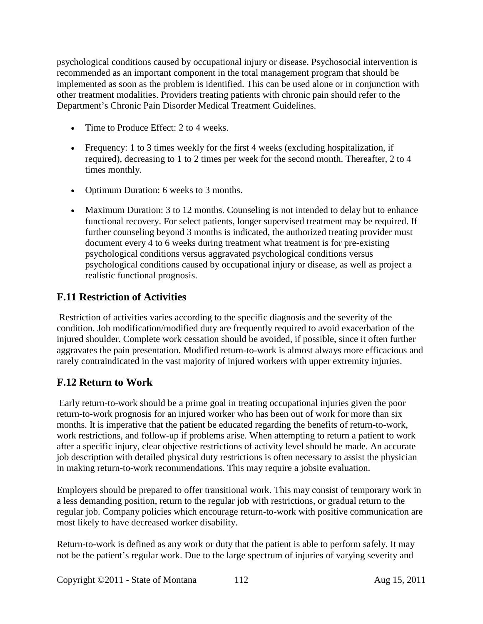psychological conditions caused by occupational injury or disease. Psychosocial intervention is recommended as an important component in the total management program that should be implemented as soon as the problem is identified. This can be used alone or in conjunction with other treatment modalities. Providers treating patients with chronic pain should refer to the Department's Chronic Pain Disorder Medical Treatment Guidelines.

- Time to Produce Effect: 2 to 4 weeks.
- Frequency: 1 to 3 times weekly for the first 4 weeks (excluding hospitalization, if required), decreasing to 1 to 2 times per week for the second month. Thereafter, 2 to 4 times monthly.
- Optimum Duration: 6 weeks to 3 months.
- Maximum Duration: 3 to 12 months. Counseling is not intended to delay but to enhance functional recovery. For select patients, longer supervised treatment may be required. If further counseling beyond 3 months is indicated, the authorized treating provider must document every 4 to 6 weeks during treatment what treatment is for pre-existing psychological conditions versus aggravated psychological conditions versus psychological conditions caused by occupational injury or disease, as well as project a realistic functional prognosis.

### **F.11 Restriction of Activities**

Restriction of activities varies according to the specific diagnosis and the severity of the condition. Job modification/modified duty are frequently required to avoid exacerbation of the injured shoulder. Complete work cessation should be avoided, if possible, since it often further aggravates the pain presentation. Modified return-to-work is almost always more efficacious and rarely contraindicated in the vast majority of injured workers with upper extremity injuries.

# **F.12 Return to Work**

Early return-to-work should be a prime goal in treating occupational injuries given the poor return-to-work prognosis for an injured worker who has been out of work for more than six months. It is imperative that the patient be educated regarding the benefits of return-to-work, work restrictions, and follow-up if problems arise. When attempting to return a patient to work after a specific injury, clear objective restrictions of activity level should be made. An accurate job description with detailed physical duty restrictions is often necessary to assist the physician in making return-to-work recommendations. This may require a jobsite evaluation.

Employers should be prepared to offer transitional work. This may consist of temporary work in a less demanding position, return to the regular job with restrictions, or gradual return to the regular job. Company policies which encourage return-to-work with positive communication are most likely to have decreased worker disability.

Return-to-work is defined as any work or duty that the patient is able to perform safely. It may not be the patient's regular work. Due to the large spectrum of injuries of varying severity and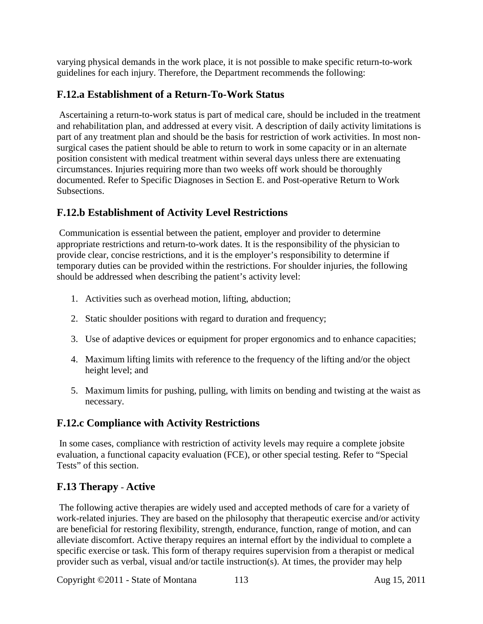varying physical demands in the work place, it is not possible to make specific return-to-work guidelines for each injury. Therefore, the Department recommends the following:

# **F.12.a Establishment of a Return-To-Work Status**

Ascertaining a return-to-work status is part of medical care, should be included in the treatment and rehabilitation plan, and addressed at every visit. A description of daily activity limitations is part of any treatment plan and should be the basis for restriction of work activities. In most nonsurgical cases the patient should be able to return to work in some capacity or in an alternate position consistent with medical treatment within several days unless there are extenuating circumstances. Injuries requiring more than two weeks off work should be thoroughly documented. Refer to Specific Diagnoses in Section E. and Post-operative Return to Work Subsections.

# **F.12.b Establishment of Activity Level Restrictions**

Communication is essential between the patient, employer and provider to determine appropriate restrictions and return-to-work dates. It is the responsibility of the physician to provide clear, concise restrictions, and it is the employer's responsibility to determine if temporary duties can be provided within the restrictions. For shoulder injuries, the following should be addressed when describing the patient's activity level:

- 1. Activities such as overhead motion, lifting, abduction;
- 2. Static shoulder positions with regard to duration and frequency;
- 3. Use of adaptive devices or equipment for proper ergonomics and to enhance capacities;
- 4. Maximum lifting limits with reference to the frequency of the lifting and/or the object height level; and
- 5. Maximum limits for pushing, pulling, with limits on bending and twisting at the waist as necessary.

# **F.12.c Compliance with Activity Restrictions**

In some cases, compliance with restriction of activity levels may require a complete jobsite evaluation, a functional capacity evaluation (FCE), or other special testing. Refer to "Special Tests" of this section.

# **F.13 Therapy** - **Active**

The following active therapies are widely used and accepted methods of care for a variety of work-related injuries. They are based on the philosophy that therapeutic exercise and/or activity are beneficial for restoring flexibility, strength, endurance, function, range of motion, and can alleviate discomfort. Active therapy requires an internal effort by the individual to complete a specific exercise or task. This form of therapy requires supervision from a therapist or medical provider such as verbal, visual and/or tactile instruction(s). At times, the provider may help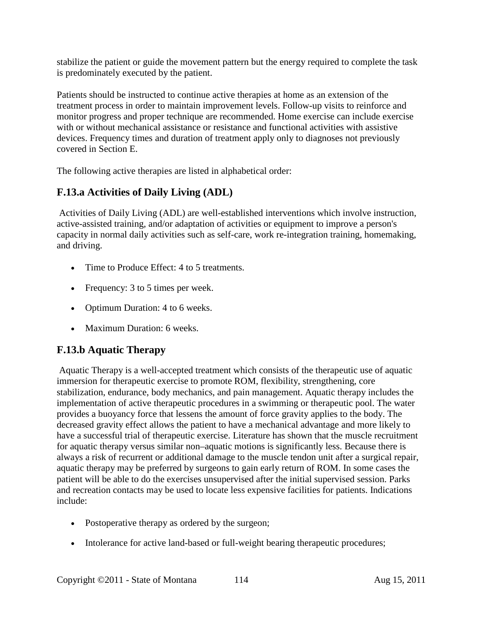stabilize the patient or guide the movement pattern but the energy required to complete the task is predominately executed by the patient.

Patients should be instructed to continue active therapies at home as an extension of the treatment process in order to maintain improvement levels. Follow-up visits to reinforce and monitor progress and proper technique are recommended. Home exercise can include exercise with or without mechanical assistance or resistance and functional activities with assistive devices. Frequency times and duration of treatment apply only to diagnoses not previously covered in Section E.

The following active therapies are listed in alphabetical order:

# **F.13.a Activities of Daily Living (ADL)**

Activities of Daily Living (ADL) are well-established interventions which involve instruction, active-assisted training, and/or adaptation of activities or equipment to improve a person's capacity in normal daily activities such as self-care, work re-integration training, homemaking, and driving.

- Time to Produce Effect: 4 to 5 treatments.
- Frequency: 3 to 5 times per week.
- Optimum Duration: 4 to 6 weeks.
- Maximum Duration: 6 weeks.

# **F.13.b Aquatic Therapy**

Aquatic Therapy is a well-accepted treatment which consists of the therapeutic use of aquatic immersion for therapeutic exercise to promote ROM, flexibility, strengthening, core stabilization, endurance, body mechanics, and pain management. Aquatic therapy includes the implementation of active therapeutic procedures in a swimming or therapeutic pool. The water provides a buoyancy force that lessens the amount of force gravity applies to the body. The decreased gravity effect allows the patient to have a mechanical advantage and more likely to have a successful trial of therapeutic exercise. Literature has shown that the muscle recruitment for aquatic therapy versus similar non–aquatic motions is significantly less. Because there is always a risk of recurrent or additional damage to the muscle tendon unit after a surgical repair, aquatic therapy may be preferred by surgeons to gain early return of ROM. In some cases the patient will be able to do the exercises unsupervised after the initial supervised session. Parks and recreation contacts may be used to locate less expensive facilities for patients. Indications include:

- Postoperative therapy as ordered by the surgeon;
- Intolerance for active land-based or full-weight bearing therapeutic procedures;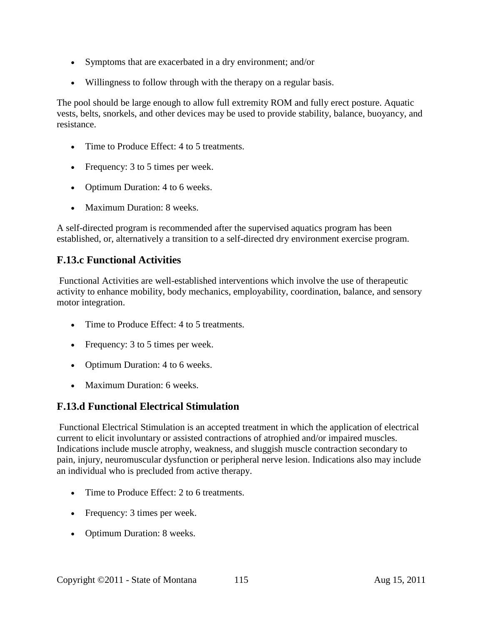- Symptoms that are exacerbated in a dry environment; and/or
- Willingness to follow through with the therapy on a regular basis.

The pool should be large enough to allow full extremity ROM and fully erect posture. Aquatic vests, belts, snorkels, and other devices may be used to provide stability, balance, buoyancy, and resistance.

- Time to Produce Effect: 4 to 5 treatments.
- Frequency: 3 to 5 times per week.
- Optimum Duration: 4 to 6 weeks.
- Maximum Duration: 8 weeks.

A self-directed program is recommended after the supervised aquatics program has been established, or, alternatively a transition to a self-directed dry environment exercise program.

### **F.13.c Functional Activities**

Functional Activities are well-established interventions which involve the use of therapeutic activity to enhance mobility, body mechanics, employability, coordination, balance, and sensory motor integration.

- Time to Produce Effect: 4 to 5 treatments.
- Frequency: 3 to 5 times per week.
- Optimum Duration: 4 to 6 weeks.
- Maximum Duration: 6 weeks.

# **F.13.d Functional Electrical Stimulation**

Functional Electrical Stimulation is an accepted treatment in which the application of electrical current to elicit involuntary or assisted contractions of atrophied and/or impaired muscles. Indications include muscle atrophy, weakness, and sluggish muscle contraction secondary to pain, injury, neuromuscular dysfunction or peripheral nerve lesion. Indications also may include an individual who is precluded from active therapy.

- Time to Produce Effect: 2 to 6 treatments.
- Frequency: 3 times per week.
- Optimum Duration: 8 weeks.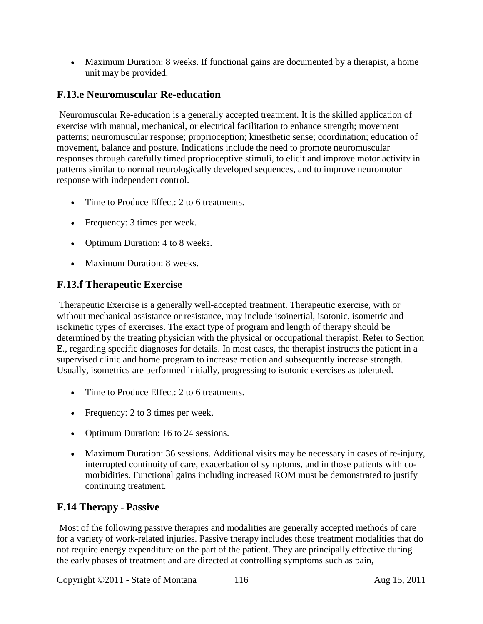• Maximum Duration: 8 weeks. If functional gains are documented by a therapist, a home unit may be provided.

# **F.13.e Neuromuscular Re-education**

Neuromuscular Re-education is a generally accepted treatment. It is the skilled application of exercise with manual, mechanical, or electrical facilitation to enhance strength; movement patterns; neuromuscular response; proprioception; kinesthetic sense; coordination; education of movement, balance and posture. Indications include the need to promote neuromuscular responses through carefully timed proprioceptive stimuli, to elicit and improve motor activity in patterns similar to normal neurologically developed sequences, and to improve neuromotor response with independent control.

- Time to Produce Effect: 2 to 6 treatments.
- Frequency: 3 times per week.
- Optimum Duration: 4 to 8 weeks.
- Maximum Duration: 8 weeks.

# **F.13.f Therapeutic Exercise**

Therapeutic Exercise is a generally well-accepted treatment. Therapeutic exercise, with or without mechanical assistance or resistance, may include isoinertial, isotonic, isometric and isokinetic types of exercises. The exact type of program and length of therapy should be determined by the treating physician with the physical or occupational therapist. Refer to Section E., regarding specific diagnoses for details. In most cases, the therapist instructs the patient in a supervised clinic and home program to increase motion and subsequently increase strength. Usually, isometrics are performed initially, progressing to isotonic exercises as tolerated.

- Time to Produce Effect: 2 to 6 treatments.
- Frequency: 2 to 3 times per week.
- Optimum Duration: 16 to 24 sessions.
- Maximum Duration: 36 sessions. Additional visits may be necessary in cases of re-injury, interrupted continuity of care, exacerbation of symptoms, and in those patients with comorbidities. Functional gains including increased ROM must be demonstrated to justify continuing treatment.

# **F.14 Therapy** - **Passive**

Most of the following passive therapies and modalities are generally accepted methods of care for a variety of work-related injuries. Passive therapy includes those treatment modalities that do not require energy expenditure on the part of the patient. They are principally effective during the early phases of treatment and are directed at controlling symptoms such as pain,

Copyright ©2011 - State of Montana 116 Aug 15, 2011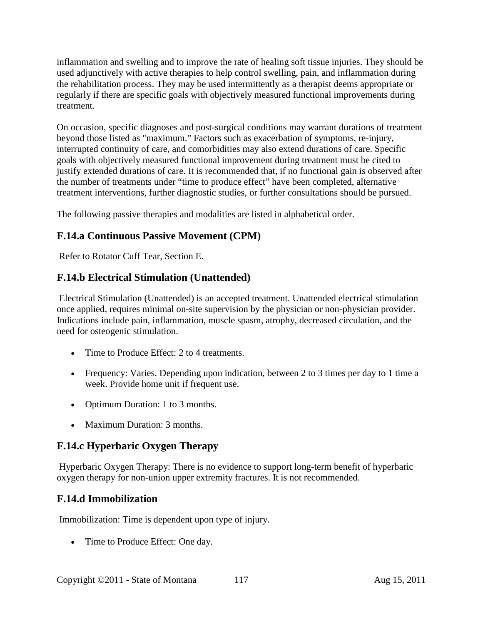inflammation and swelling and to improve the rate of healing soft tissue injuries. They should be used adjunctively with active therapies to help control swelling, pain, and inflammation during the rehabilitation process. They may be used intermittently as a therapist deems appropriate or regularly if there are specific goals with objectively measured functional improvements during treatment.

On occasion, specific diagnoses and post-surgical conditions may warrant durations of treatment beyond those listed as "maximum." Factors such as exacerbation of symptoms, re-injury, interrupted continuity of care, and comorbidities may also extend durations of care. Specific goals with objectively measured functional improvement during treatment must be cited to justify extended durations of care. It is recommended that, if no functional gain is observed after the number of treatments under "time to produce effect" have been completed, alternative treatment interventions, further diagnostic studies, or further consultations should be pursued.

The following passive therapies and modalities are listed in alphabetical order.

# **F.14.a Continuous Passive Movement (CPM)**

Refer to Rotator Cuff Tear, Section E.

### **F.14.b Electrical Stimulation (Unattended)**

Electrical Stimulation (Unattended) is an accepted treatment. Unattended electrical stimulation once applied, requires minimal on-site supervision by the physician or non-physician provider. Indications include pain, inflammation, muscle spasm, atrophy, decreased circulation, and the need for osteogenic stimulation.

- Time to Produce Effect: 2 to 4 treatments.
- Frequency: Varies. Depending upon indication, between 2 to 3 times per day to 1 time a week. Provide home unit if frequent use.
- Optimum Duration: 1 to 3 months.
- Maximum Duration: 3 months.

# **F.14.c Hyperbaric Oxygen Therapy**

Hyperbaric Oxygen Therapy: There is no evidence to support long-term benefit of hyperbaric oxygen therapy for non-union upper extremity fractures. It is not recommended.

#### **F.14.d Immobilization**

Immobilization: Time is dependent upon type of injury.

• Time to Produce Effect: One day.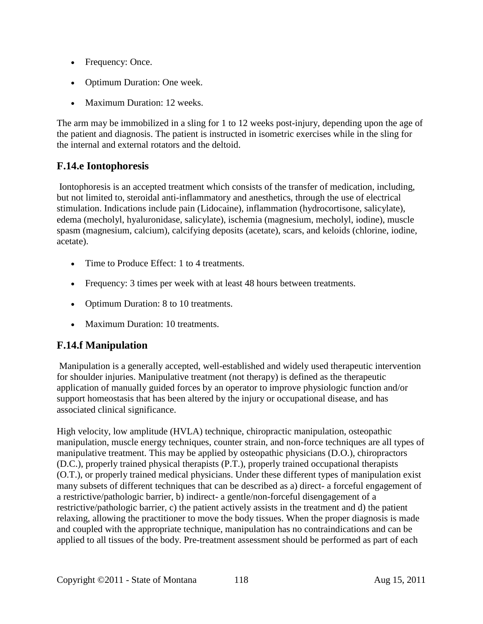- Frequency: Once.
- Optimum Duration: One week.
- Maximum Duration: 12 weeks.

The arm may be immobilized in a sling for 1 to 12 weeks post-injury, depending upon the age of the patient and diagnosis. The patient is instructed in isometric exercises while in the sling for the internal and external rotators and the deltoid.

# **F.14.e Iontophoresis**

Iontophoresis is an accepted treatment which consists of the transfer of medication, including, but not limited to, steroidal anti-inflammatory and anesthetics, through the use of electrical stimulation. Indications include pain (Lidocaine), inflammation (hydrocortisone, salicylate), edema (mecholyl, hyaluronidase, salicylate), ischemia (magnesium, mecholyl, iodine), muscle spasm (magnesium, calcium), calcifying deposits (acetate), scars, and keloids (chlorine, iodine, acetate).

- Time to Produce Effect: 1 to 4 treatments.
- Frequency: 3 times per week with at least 48 hours between treatments.
- Optimum Duration: 8 to 10 treatments.
- Maximum Duration: 10 treatments.

# **F.14.f Manipulation**

Manipulation is a generally accepted, well-established and widely used therapeutic intervention for shoulder injuries. Manipulative treatment (not therapy) is defined as the therapeutic application of manually guided forces by an operator to improve physiologic function and/or support homeostasis that has been altered by the injury or occupational disease, and has associated clinical significance.

High velocity, low amplitude (HVLA) technique, chiropractic manipulation, osteopathic manipulation, muscle energy techniques, counter strain, and non-force techniques are all types of manipulative treatment. This may be applied by osteopathic physicians (D.O.), chiropractors (D.C.), properly trained physical therapists (P.T.), properly trained occupational therapists (O.T.), or properly trained medical physicians. Under these different types of manipulation exist many subsets of different techniques that can be described as a) direct- a forceful engagement of a restrictive/pathologic barrier, b) indirect- a gentle/non-forceful disengagement of a restrictive/pathologic barrier, c) the patient actively assists in the treatment and d) the patient relaxing, allowing the practitioner to move the body tissues. When the proper diagnosis is made and coupled with the appropriate technique, manipulation has no contraindications and can be applied to all tissues of the body. Pre-treatment assessment should be performed as part of each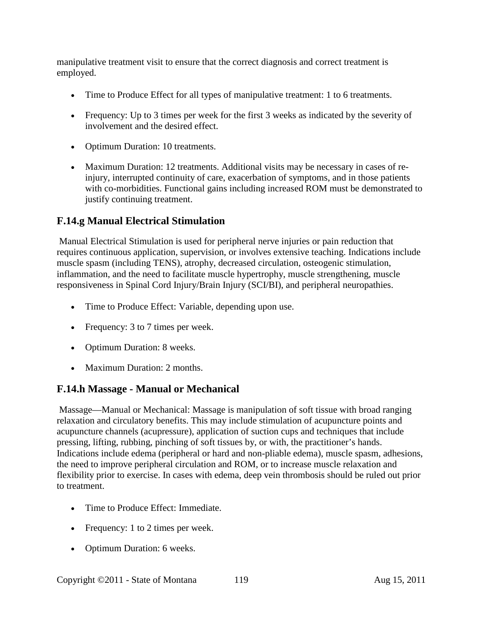manipulative treatment visit to ensure that the correct diagnosis and correct treatment is employed.

- Time to Produce Effect for all types of manipulative treatment: 1 to 6 treatments.
- Frequency: Up to 3 times per week for the first 3 weeks as indicated by the severity of involvement and the desired effect.
- Optimum Duration: 10 treatments.
- Maximum Duration: 12 treatments. Additional visits may be necessary in cases of reinjury, interrupted continuity of care, exacerbation of symptoms, and in those patients with co-morbidities. Functional gains including increased ROM must be demonstrated to justify continuing treatment.

### **F.14.g Manual Electrical Stimulation**

Manual Electrical Stimulation is used for peripheral nerve injuries or pain reduction that requires continuous application, supervision, or involves extensive teaching. Indications include muscle spasm (including TENS), atrophy, decreased circulation, osteogenic stimulation, inflammation, and the need to facilitate muscle hypertrophy, muscle strengthening, muscle responsiveness in Spinal Cord Injury/Brain Injury (SCI/BI), and peripheral neuropathies.

- Time to Produce Effect: Variable, depending upon use.
- Frequency: 3 to 7 times per week.
- Optimum Duration: 8 weeks.
- Maximum Duration: 2 months.

#### **F.14.h Massage - Manual or Mechanical**

Massage—Manual or Mechanical: Massage is manipulation of soft tissue with broad ranging relaxation and circulatory benefits. This may include stimulation of acupuncture points and acupuncture channels (acupressure), application of suction cups and techniques that include pressing, lifting, rubbing, pinching of soft tissues by, or with, the practitioner's hands. Indications include edema (peripheral or hard and non-pliable edema), muscle spasm, adhesions, the need to improve peripheral circulation and ROM, or to increase muscle relaxation and flexibility prior to exercise. In cases with edema, deep vein thrombosis should be ruled out prior to treatment.

- Time to Produce Effect: Immediate.
- Frequency: 1 to 2 times per week.
- Optimum Duration: 6 weeks.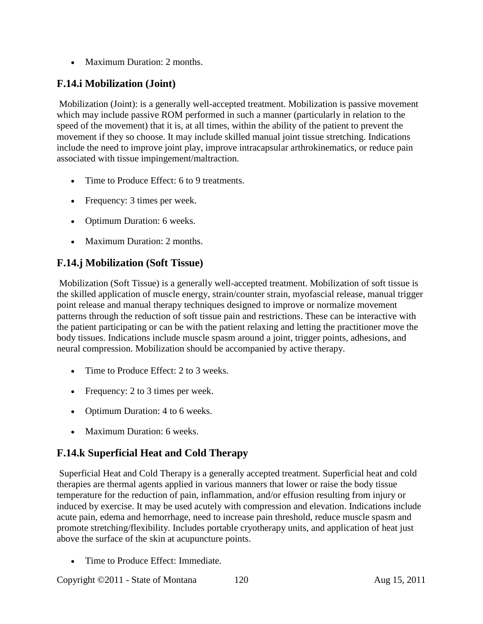• Maximum Duration: 2 months.

# **F.14.i Mobilization (Joint)**

Mobilization (Joint): is a generally well-accepted treatment. Mobilization is passive movement which may include passive ROM performed in such a manner (particularly in relation to the speed of the movement) that it is, at all times, within the ability of the patient to prevent the movement if they so choose. It may include skilled manual joint tissue stretching. Indications include the need to improve joint play, improve intracapsular arthrokinematics, or reduce pain associated with tissue impingement/maltraction.

- Time to Produce Effect: 6 to 9 treatments.
- Frequency: 3 times per week.
- Optimum Duration: 6 weeks.
- Maximum Duration: 2 months.

# **F.14.j Mobilization (Soft Tissue)**

Mobilization (Soft Tissue) is a generally well-accepted treatment. Mobilization of soft tissue is the skilled application of muscle energy, strain/counter strain, myofascial release, manual trigger point release and manual therapy techniques designed to improve or normalize movement patterns through the reduction of soft tissue pain and restrictions. These can be interactive with the patient participating or can be with the patient relaxing and letting the practitioner move the body tissues. Indications include muscle spasm around a joint, trigger points, adhesions, and neural compression. Mobilization should be accompanied by active therapy.

- Time to Produce Effect: 2 to 3 weeks.
- Frequency: 2 to 3 times per week.
- Optimum Duration: 4 to 6 weeks.
- Maximum Duration: 6 weeks.

# **F.14.k Superficial Heat and Cold Therapy**

Superficial Heat and Cold Therapy is a generally accepted treatment. Superficial heat and cold therapies are thermal agents applied in various manners that lower or raise the body tissue temperature for the reduction of pain, inflammation, and/or effusion resulting from injury or induced by exercise. It may be used acutely with compression and elevation. Indications include acute pain, edema and hemorrhage, need to increase pain threshold, reduce muscle spasm and promote stretching/flexibility. Includes portable cryotherapy units, and application of heat just above the surface of the skin at acupuncture points.

• Time to Produce Effect: Immediate.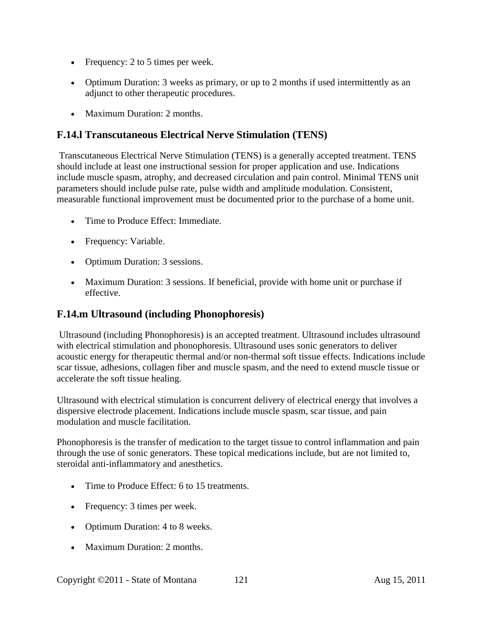- Frequency: 2 to 5 times per week.
- Optimum Duration: 3 weeks as primary, or up to 2 months if used intermittently as an adjunct to other therapeutic procedures.
- Maximum Duration: 2 months.

### **F.14.l Transcutaneous Electrical Nerve Stimulation (TENS)**

Transcutaneous Electrical Nerve Stimulation (TENS) is a generally accepted treatment. TENS should include at least one instructional session for proper application and use. Indications include muscle spasm, atrophy, and decreased circulation and pain control. Minimal TENS unit parameters should include pulse rate, pulse width and amplitude modulation. Consistent, measurable functional improvement must be documented prior to the purchase of a home unit.

- Time to Produce Effect: Immediate.
- Frequency: Variable.
- Optimum Duration: 3 sessions.
- Maximum Duration: 3 sessions. If beneficial, provide with home unit or purchase if effective.

#### **F.14.m Ultrasound (including Phonophoresis)**

Ultrasound (including Phonophoresis) is an accepted treatment. Ultrasound includes ultrasound with electrical stimulation and phonophoresis. Ultrasound uses sonic generators to deliver acoustic energy for therapeutic thermal and/or non-thermal soft tissue effects. Indications include scar tissue, adhesions, collagen fiber and muscle spasm, and the need to extend muscle tissue or accelerate the soft tissue healing.

Ultrasound with electrical stimulation is concurrent delivery of electrical energy that involves a dispersive electrode placement. Indications include muscle spasm, scar tissue, and pain modulation and muscle facilitation.

Phonophoresis is the transfer of medication to the target tissue to control inflammation and pain through the use of sonic generators. These topical medications include, but are not limited to, steroidal anti-inflammatory and anesthetics.

- Time to Produce Effect: 6 to 15 treatments.
- Frequency: 3 times per week.
- Optimum Duration: 4 to 8 weeks.
- Maximum Duration: 2 months.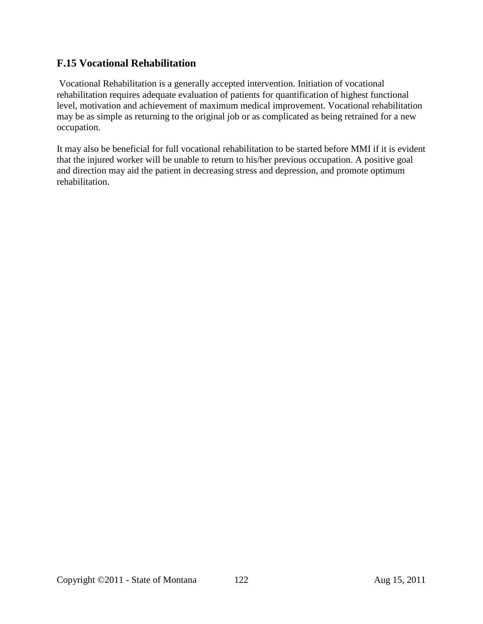### **F.15 Vocational Rehabilitation**

Vocational Rehabilitation is a generally accepted intervention. Initiation of vocational rehabilitation requires adequate evaluation of patients for quantification of highest functional level, motivation and achievement of maximum medical improvement. Vocational rehabilitation may be as simple as returning to the original job or as complicated as being retrained for a new occupation.

It may also be beneficial for full vocational rehabilitation to be started before MMI if it is evident that the injured worker will be unable to return to his/her previous occupation. A positive goal and direction may aid the patient in decreasing stress and depression, and promote optimum rehabilitation.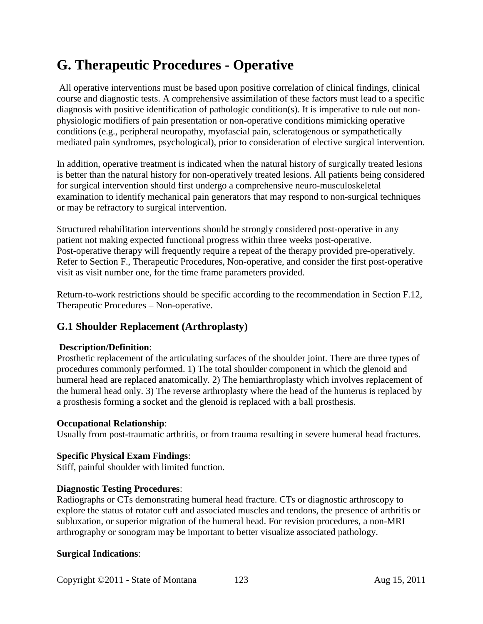# **G. Therapeutic Procedures - Operative**

All operative interventions must be based upon positive correlation of clinical findings, clinical course and diagnostic tests. A comprehensive assimilation of these factors must lead to a specific diagnosis with positive identification of pathologic condition(s). It is imperative to rule out nonphysiologic modifiers of pain presentation or non-operative conditions mimicking operative conditions (e.g., peripheral neuropathy, myofascial pain, scleratogenous or sympathetically mediated pain syndromes, psychological), prior to consideration of elective surgical intervention.

In addition, operative treatment is indicated when the natural history of surgically treated lesions is better than the natural history for non-operatively treated lesions. All patients being considered for surgical intervention should first undergo a comprehensive neuro-musculoskeletal examination to identify mechanical pain generators that may respond to non-surgical techniques or may be refractory to surgical intervention.

Structured rehabilitation interventions should be strongly considered post-operative in any patient not making expected functional progress within three weeks post-operative. Post-operative therapy will frequently require a repeat of the therapy provided pre-operatively. Refer to Section F., Therapeutic Procedures, Non-operative, and consider the first post-operative visit as visit number one, for the time frame parameters provided.

Return-to-work restrictions should be specific according to the recommendation in Section F.12, Therapeutic Procedures – Non-operative.

# **G.1 Shoulder Replacement (Arthroplasty)**

#### **Description/Definition**:

Prosthetic replacement of the articulating surfaces of the shoulder joint. There are three types of procedures commonly performed. 1) The total shoulder component in which the glenoid and humeral head are replaced anatomically. 2) The hemiarthroplasty which involves replacement of the humeral head only. 3) The reverse arthroplasty where the head of the humerus is replaced by a prosthesis forming a socket and the glenoid is replaced with a ball prosthesis.

#### **Occupational Relationship**:

Usually from post-traumatic arthritis, or from trauma resulting in severe humeral head fractures.

#### **Specific Physical Exam Findings**:

Stiff, painful shoulder with limited function.

#### **Diagnostic Testing Procedures**:

Radiographs or CTs demonstrating humeral head fracture. CTs or diagnostic arthroscopy to explore the status of rotator cuff and associated muscles and tendons, the presence of arthritis or subluxation, or superior migration of the humeral head. For revision procedures, a non-MRI arthrography or sonogram may be important to better visualize associated pathology.

#### **Surgical Indications**: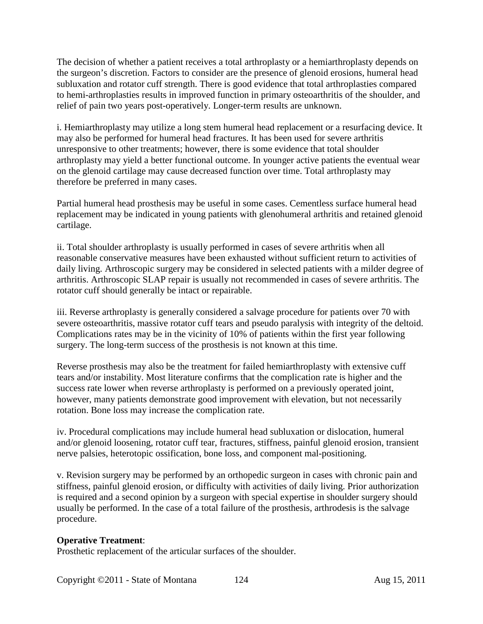The decision of whether a patient receives a total arthroplasty or a hemiarthroplasty depends on the surgeon's discretion. Factors to consider are the presence of glenoid erosions, humeral head subluxation and rotator cuff strength. There is good evidence that total arthroplasties compared to hemi-arthroplasties results in improved function in primary osteoarthritis of the shoulder, and relief of pain two years post-operatively. Longer-term results are unknown.

i. Hemiarthroplasty may utilize a long stem humeral head replacement or a resurfacing device. It may also be performed for humeral head fractures. It has been used for severe arthritis unresponsive to other treatments; however, there is some evidence that total shoulder arthroplasty may yield a better functional outcome. In younger active patients the eventual wear on the glenoid cartilage may cause decreased function over time. Total arthroplasty may therefore be preferred in many cases.

Partial humeral head prosthesis may be useful in some cases. Cementless surface humeral head replacement may be indicated in young patients with glenohumeral arthritis and retained glenoid cartilage.

ii. Total shoulder arthroplasty is usually performed in cases of severe arthritis when all reasonable conservative measures have been exhausted without sufficient return to activities of daily living. Arthroscopic surgery may be considered in selected patients with a milder degree of arthritis. Arthroscopic SLAP repair is usually not recommended in cases of severe arthritis. The rotator cuff should generally be intact or repairable.

iii. Reverse arthroplasty is generally considered a salvage procedure for patients over 70 with severe osteoarthritis, massive rotator cuff tears and pseudo paralysis with integrity of the deltoid. Complications rates may be in the vicinity of 10% of patients within the first year following surgery. The long-term success of the prosthesis is not known at this time.

Reverse prosthesis may also be the treatment for failed hemiarthroplasty with extensive cuff tears and/or instability. Most literature confirms that the complication rate is higher and the success rate lower when reverse arthroplasty is performed on a previously operated joint, however, many patients demonstrate good improvement with elevation, but not necessarily rotation. Bone loss may increase the complication rate.

iv. Procedural complications may include humeral head subluxation or dislocation, humeral and/or glenoid loosening, rotator cuff tear, fractures, stiffness, painful glenoid erosion, transient nerve palsies, heterotopic ossification, bone loss, and component mal-positioning.

v. Revision surgery may be performed by an orthopedic surgeon in cases with chronic pain and stiffness, painful glenoid erosion, or difficulty with activities of daily living. Prior authorization is required and a second opinion by a surgeon with special expertise in shoulder surgery should usually be performed. In the case of a total failure of the prosthesis, arthrodesis is the salvage procedure.

#### **Operative Treatment**:

Prosthetic replacement of the articular surfaces of the shoulder.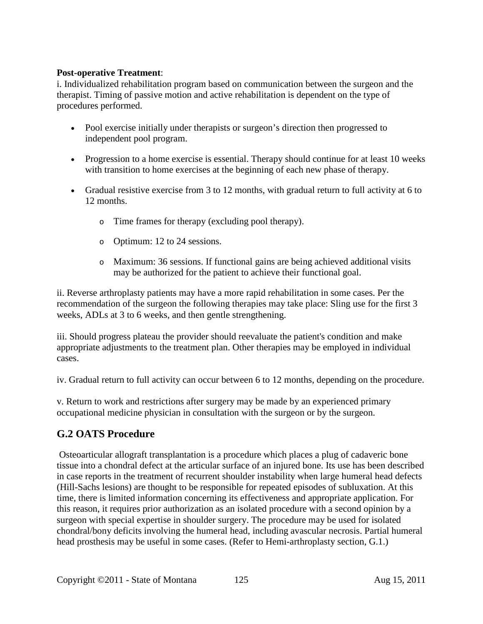#### **Post-operative Treatment**:

i. Individualized rehabilitation program based on communication between the surgeon and the therapist. Timing of passive motion and active rehabilitation is dependent on the type of procedures performed.

- Pool exercise initially under therapists or surgeon's direction then progressed to independent pool program.
- Progression to a home exercise is essential. Therapy should continue for at least 10 weeks with transition to home exercises at the beginning of each new phase of therapy.
- Gradual resistive exercise from 3 to 12 months, with gradual return to full activity at 6 to 12 months.
	- o Time frames for therapy (excluding pool therapy).
	- o Optimum: 12 to 24 sessions.
	- o Maximum: 36 sessions. If functional gains are being achieved additional visits may be authorized for the patient to achieve their functional goal.

ii. Reverse arthroplasty patients may have a more rapid rehabilitation in some cases. Per the recommendation of the surgeon the following therapies may take place: Sling use for the first 3 weeks, ADLs at 3 to 6 weeks, and then gentle strengthening.

iii. Should progress plateau the provider should reevaluate the patient's condition and make appropriate adjustments to the treatment plan. Other therapies may be employed in individual cases.

iv. Gradual return to full activity can occur between 6 to 12 months, depending on the procedure.

v. Return to work and restrictions after surgery may be made by an experienced primary occupational medicine physician in consultation with the surgeon or by the surgeon.

# **G.2 OATS Procedure**

Osteoarticular allograft transplantation is a procedure which places a plug of cadaveric bone tissue into a chondral defect at the articular surface of an injured bone. Its use has been described in case reports in the treatment of recurrent shoulder instability when large humeral head defects (Hill-Sachs lesions) are thought to be responsible for repeated episodes of subluxation. At this time, there is limited information concerning its effectiveness and appropriate application. For this reason, it requires prior authorization as an isolated procedure with a second opinion by a surgeon with special expertise in shoulder surgery. The procedure may be used for isolated chondral/bony deficits involving the humeral head, including avascular necrosis. Partial humeral head prosthesis may be useful in some cases. (Refer to Hemi-arthroplasty section, G.1.)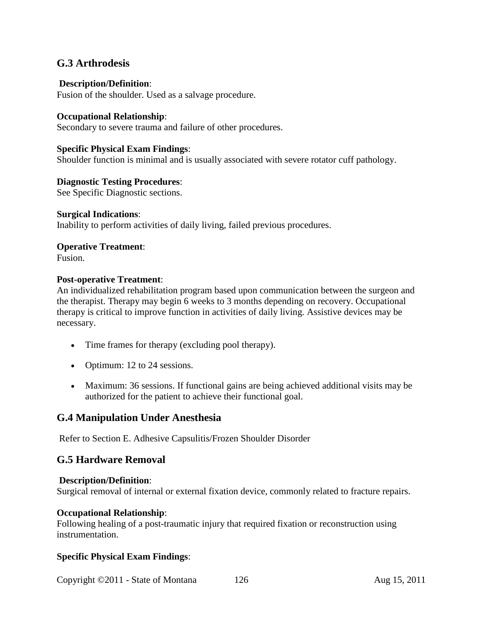#### **G.3 Arthrodesis**

#### **Description/Definition**:

Fusion of the shoulder. Used as a salvage procedure.

#### **Occupational Relationship**:

Secondary to severe trauma and failure of other procedures.

#### **Specific Physical Exam Findings**:

Shoulder function is minimal and is usually associated with severe rotator cuff pathology.

#### **Diagnostic Testing Procedures**:

See Specific Diagnostic sections.

#### **Surgical Indications**:

Inability to perform activities of daily living, failed previous procedures.

# **Operative Treatment**:

Fusion.

#### **Post-operative Treatment**:

An individualized rehabilitation program based upon communication between the surgeon and the therapist. Therapy may begin 6 weeks to 3 months depending on recovery. Occupational therapy is critical to improve function in activities of daily living. Assistive devices may be necessary.

- Time frames for therapy (excluding pool therapy).
- Optimum: 12 to 24 sessions.
- Maximum: 36 sessions. If functional gains are being achieved additional visits may be authorized for the patient to achieve their functional goal.

#### **G.4 Manipulation Under Anesthesia**

Refer to Section E. Adhesive Capsulitis/Frozen Shoulder Disorder

#### **G.5 Hardware Removal**

#### **Description/Definition**:

Surgical removal of internal or external fixation device, commonly related to fracture repairs.

#### **Occupational Relationship**:

Following healing of a post-traumatic injury that required fixation or reconstruction using instrumentation.

#### **Specific Physical Exam Findings**:

Copyright ©2011 - State of Montana 126 Aug 15, 2011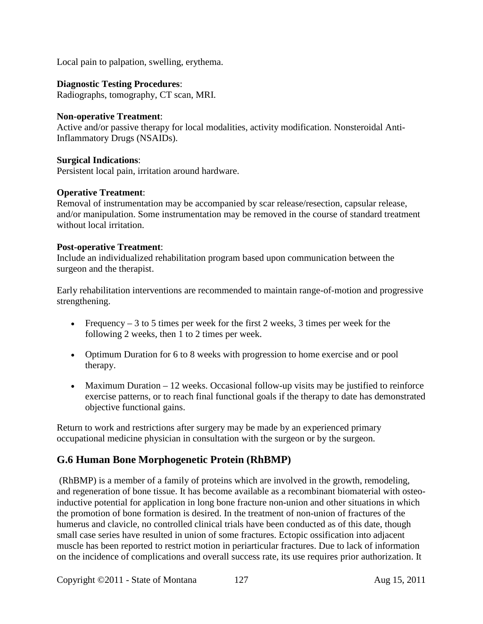Local pain to palpation, swelling, erythema.

#### **Diagnostic Testing Procedures**:

Radiographs, tomography, CT scan, MRI.

#### **Non-operative Treatment**:

Active and/or passive therapy for local modalities, activity modification. Nonsteroidal Anti-Inflammatory Drugs (NSAIDs).

#### **Surgical Indications**:

Persistent local pain, irritation around hardware.

#### **Operative Treatment**:

Removal of instrumentation may be accompanied by scar release/resection, capsular release, and/or manipulation. Some instrumentation may be removed in the course of standard treatment without local irritation.

#### **Post-operative Treatment**:

Include an individualized rehabilitation program based upon communication between the surgeon and the therapist.

Early rehabilitation interventions are recommended to maintain range-of-motion and progressive strengthening.

- Frequency 3 to 5 times per week for the first 2 weeks, 3 times per week for the following 2 weeks, then 1 to 2 times per week.
- Optimum Duration for 6 to 8 weeks with progression to home exercise and or pool therapy.
- Maximum Duration 12 weeks. Occasional follow-up visits may be justified to reinforce exercise patterns, or to reach final functional goals if the therapy to date has demonstrated objective functional gains.

Return to work and restrictions after surgery may be made by an experienced primary occupational medicine physician in consultation with the surgeon or by the surgeon.

#### **G.6 Human Bone Morphogenetic Protein (RhBMP)**

(RhBMP) is a member of a family of proteins which are involved in the growth, remodeling, and regeneration of bone tissue. It has become available as a recombinant biomaterial with osteoinductive potential for application in long bone fracture non-union and other situations in which the promotion of bone formation is desired. In the treatment of non-union of fractures of the humerus and clavicle, no controlled clinical trials have been conducted as of this date, though small case series have resulted in union of some fractures. Ectopic ossification into adjacent muscle has been reported to restrict motion in periarticular fractures. Due to lack of information on the incidence of complications and overall success rate, its use requires prior authorization. It